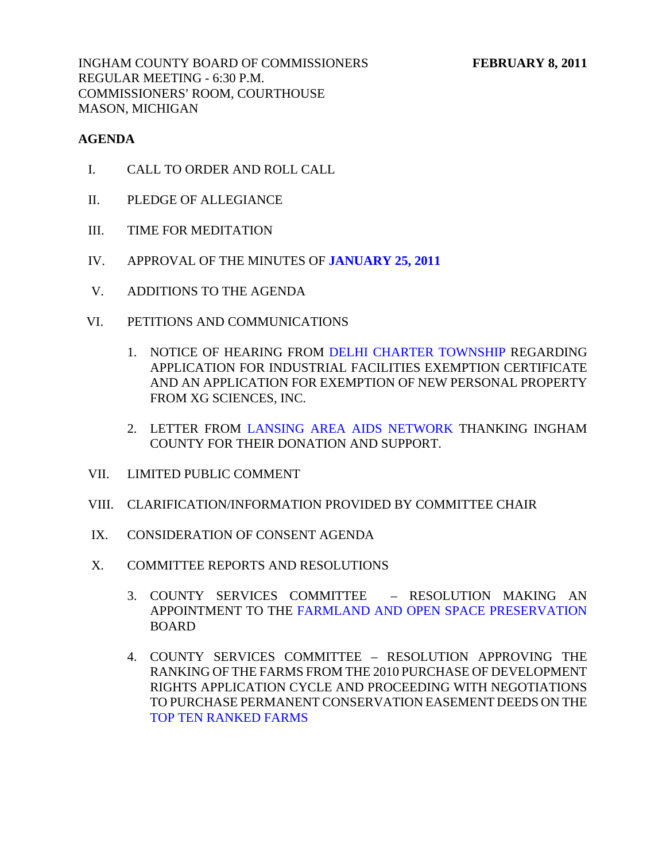INGHAM COUNTY BOARD OF COMMISSIONERS FEBRUARY 8, 2011 REGULAR MEETING - 6:30 P.M. COMMISSIONERS' ROOM, COURTHOUSE MASON, MICHIGAN

## **AGENDA**

- I. CALL TO ORDER AND ROLL CALL
- II. PLEDGE OF ALLEGIANCE
- III. TIME FOR MEDITATION
- IV. APPROVAL OF THE MINUTES OF **[JANUARY 25, 2011](#page-3-0)**
- V. ADDITIONS TO THE AGENDA
- VI. PETITIONS AND COMMUNICATIONS
	- 1. NOTICE OF HEARING FRO[M DELHI CHARTER TOWNSHIP REG](#page-38-0)ARDING APPLICATION FOR INDUSTRIAL FACILITIES EXEMPTION CERTIFICATE AND AN APPLICATION FOR EXEMPTION OF NEW PERSONAL PROPERTY FROM XG SCIENCES, INC.
	- 2. LETTER FRO[M LANSING AREA AIDS NETWORK THA](#page-39-0)NKING INGHAM COUNTY FOR THEIR DONATION AND SUPPORT.
- VII. LIMITED PUBLIC COMMENT
- VIII. CLARIFICATION/INFORMATION PROVIDED BY COMMITTEE CHAIR
- IX. CONSIDERATION OF CONSENT AGENDA
- X. COMMITTEE REPORTS AND RESOLUTIONS
	- 3. COUNTY SERVICES COMMITTEE RESOLUTION MAKING AN APPOINTMENT TO THE [FARMLAND AND OPEN SPACE PRESERVATION](#page-40-0) BOARD
	- 4. COUNTY SERVICES COMMITTEE RESOLUTION APPROVING THE RANKING OF THE FARMS FROM THE 2010 PURCHASE OF DEVELOPMENT RIGHTS APPLICATION CYCLE AND PROCEEDING WITH NEGOTIATIONS [TO PURCHASE PERMANENT CONSERV](#page-41-0)ATION EASEMENT DEEDS ON THE TOP TEN RANKED FARMS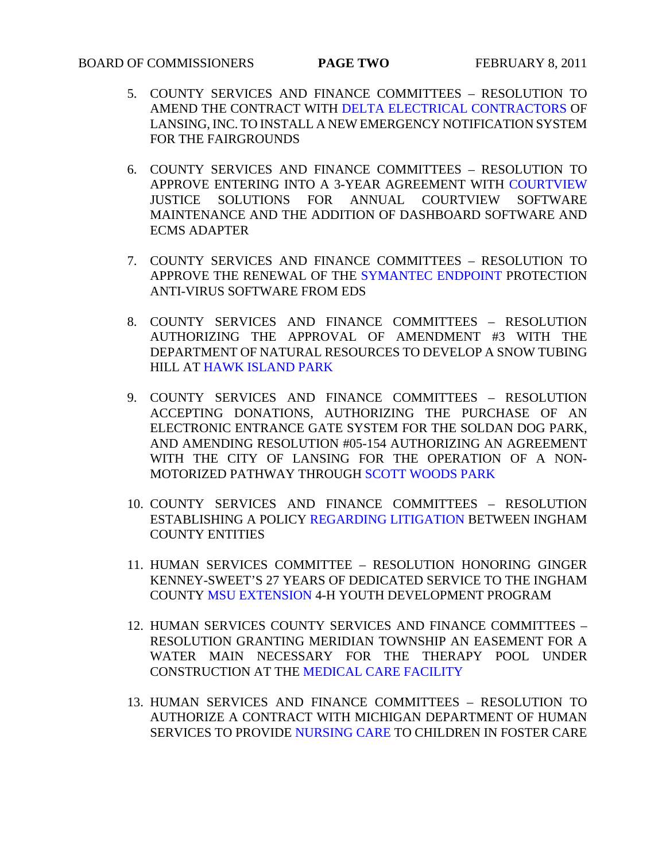## **BOARD OF COMMISSIONERS PAGE TWO FEBRUARY 8, 2011**

- 5. COUNTY SERVICES AND FINANCE COMMITTEES RESOLUTION TO AMEND THE CONTRACT WIT[H DELTA ELECTRICAL CONTRACTORS OF](#page-45-0)  LANSING, INC. TO INSTALL A NEW EMERGENCY NOTIFICATION SYSTEM FOR THE FAIRGROUNDS
- 6. COUNTY SERVICES AND FINANCE COMMITTEES [RESOLUTION TO](#page-46-0)  APPROVE ENTERING INTO A 3-YEAR AGREEMENT WITH COURTVIEW JUSTICE SOLUTIONS FOR ANNUAL COURTVIEW SOFTWARE MAINTENANCE AND THE ADDITION OF DASHBOARD SOFTWARE AND ECMS ADAPTER
- 7. COUNTY SERVICES AND FINANCE COMMITTEES RESOLUTION TO APPROVE THE RENEWAL OF T[HE SYMANTEC ENDPOINT PROT](#page-48-0)ECTION ANTI-VIRUS SOFTWARE FROM EDS
- 8. COUNTY SERVICES AND FINANCE COMMITTEES RESOLUTION AUTHORIZING THE APPROVAL OF AMENDMENT #3 WITH THE DEPA[RTMENT OF NATURAL RES](#page-49-0)OURCES TO DEVELOP A SNOW TUBING HILL AT HAWK ISLAND PARK
- 9. COUNTY SERVICES AND FINANCE COMMITTEES RESOLUTION ACCEPTING DONATIONS, AUTHORIZING THE PURCHASE OF AN ELECTRONIC ENTRANCE GATE SYSTEM FOR THE SOLDAN DOG PARK, AND AMENDING RESOLUTION #05-154 AUTHORIZING AN AGREEMENT WITH THE CITY OF LANSING [FOR THE OPERATION OF](#page-50-0) A NON-MOTORIZED PATHWAY THROUGH SCOTT WOODS PARK
- 10. COUNTY SERVICES AND FINANCE COMMITTEES RESOLUTION ESTABLISHING A POLI[CY REGARDING LITIGATION BET](#page-52-0)WEEN INGHAM COUNTY ENTITIES
- 11. HUMAN SERVICES COMMITTEE RESOLUTION HONORING GINGER KENNE[Y-SWEET'S 27 YEARS OF](#page-54-0) DEDICATED SERVICE TO THE INGHAM COUNTY MSU EXTENSION 4-H YOUTH DEVELOPMENT PROGRAM
- 12. HUMAN SERVICES COUNTY SERVICES AND FINANCE COMMITTEES RESOLUTION GRANTING MERIDIAN TOWNSHIP AN EASEMENT FOR A WATER MAIN NECESSARY FOR THE THERAPY POOL UNDER CONSTRUCTION [AT THE MEDICAL CARE FACILITY](#page-55-0)
- 13. HUMAN SERVICES AND FINANCE COMMITTEES RESOLUTION TO AUTHORIZE A CONT[RACT WITH MICHIGAN](#page-56-0) DEPARTMENT OF HUMAN SERVICES TO PROVIDE NURSING CARE TO CHILDREN IN FOSTER CARE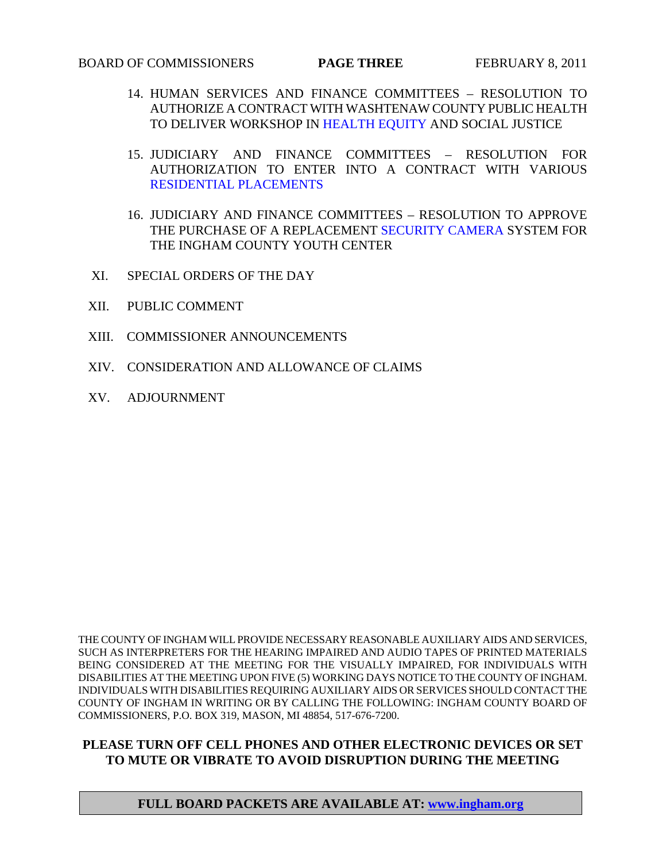- 14. HUMAN SERVICES AND FINANCE COMMITTEES RESOLUTION TO AUTHORIZE A CONTRACT WITH WASHTENAW COUNTY PUBLIC HEALTH TO DELIVER WORKSHO[P IN HEALTH EQUITY AND S](#page-57-0)OCIAL JUSTICE
- 15. JUDICIARY AND FINANCE COMMITTEES RESOLUTION FOR AUTHORIZATION TO ENTER INTO A CONTRACT WITH VARIOUS [RESIDENTIAL PLACEMENTS](#page-58-0)
- 16. JUDICIARY AND FINANCE COMMITTEES RESOLUTION TO APPROVE THE PURCHASE OF A REPLACEMENT [SECURITY CAMERA SYSTEM FO](#page-60-0)R THE INGHAM COUNTY YOUTH CENTER
- XI. SPECIAL ORDERS OF THE DAY
- XII. PUBLIC COMMENT
- XIII. COMMISSIONER ANNOUNCEMENTS
- XIV. CONSIDERATION AND ALLOWANCE OF CLAIMS
- XV. ADJOURNMENT

THE COUNTY OF INGHAM WILL PROVIDE NECESSARY REASONABLE AUXILIARY AIDS AND SERVICES, SUCH AS INTERPRETERS FOR THE HEARING IMPAIRED AND AUDIO TAPES OF PRINTED MATERIALS BEING CONSIDERED AT THE MEETING FOR THE VISUALLY IMPAIRED, FOR INDIVIDUALS WITH DISABILITIES AT THE MEETING UPON FIVE (5) WORKING DAYS NOTICE TO THE COUNTY OF INGHAM. INDIVIDUALS WITH DISABILITIES REQUIRING AUXILIARY AIDS OR SERVICES SHOULD CONTACT THE COUNTY OF INGHAM IN WRITING OR BY CALLING THE FOLLOWING: INGHAM COUNTY BOARD OF COMMISSIONERS, P.O. BOX 319, MASON, MI 48854, 517-676-7200.

#### **PLEASE TURN OFF CELL PHONES AND OTHER ELECTRONIC DEVICES OR SET TO MUTE OR VIBRATE TO AVOID DISRUPTION DURING THE MEETING**

## **FULL BOARD PACKETS ARE AVAILABLE AT: www.ingham.org**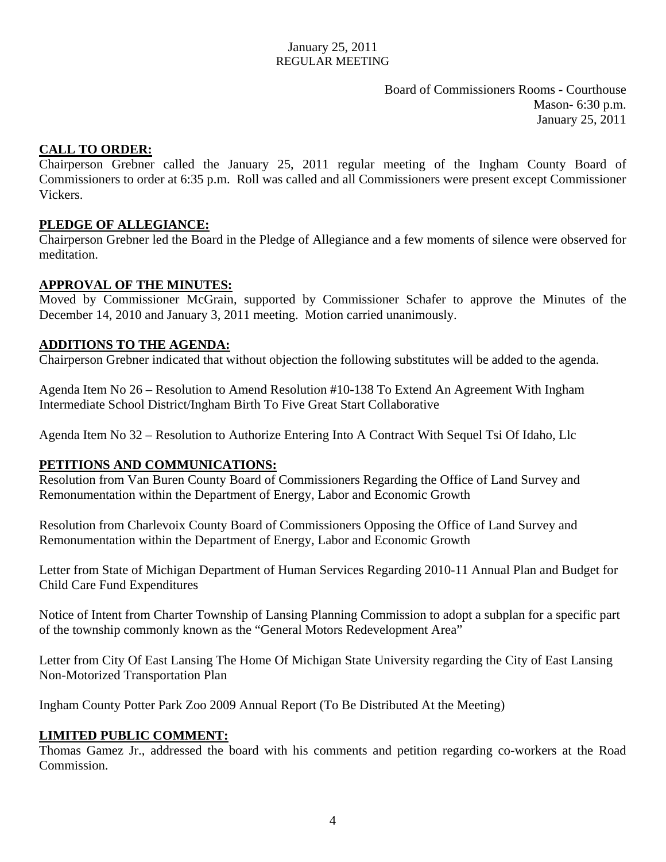Board of Commissioners Rooms - Courthouse Mason- 6:30 p.m. January 25, 2011

## <span id="page-3-0"></span>**CALL TO ORDER:**

Chairperson Grebner called the January 25, 2011 regular meeting of the Ingham County Board of Commissioners to order at 6:35 p.m. Roll was called and all Commissioners were present except Commissioner Vickers.

## **PLEDGE OF ALLEGIANCE:**

Chairperson Grebner led the Board in the Pledge of Allegiance and a few moments of silence were observed for meditation.

## **APPROVAL OF THE MINUTES:**

Moved by Commissioner McGrain, supported by Commissioner Schafer to approve the Minutes of the December 14, 2010 and January 3, 2011 meeting. Motion carried unanimously.

## **ADDITIONS TO THE AGENDA:**

Chairperson Grebner indicated that without objection the following substitutes will be added to the agenda.

Agenda Item No 26 – Resolution to Amend Resolution #10-138 To Extend An Agreement With Ingham Intermediate School District/Ingham Birth To Five Great Start Collaborative

Agenda Item No 32 – Resolution to Authorize Entering Into A Contract With Sequel Tsi Of Idaho, Llc

## **PETITIONS AND COMMUNICATIONS:**

Resolution from Van Buren County Board of Commissioners Regarding the Office of Land Survey and Remonumentation within the Department of Energy, Labor and Economic Growth

Resolution from Charlevoix County Board of Commissioners Opposing the Office of Land Survey and Remonumentation within the Department of Energy, Labor and Economic Growth

Letter from State of Michigan Department of Human Services Regarding 2010-11 Annual Plan and Budget for Child Care Fund Expenditures

Notice of Intent from Charter Township of Lansing Planning Commission to adopt a subplan for a specific part of the township commonly known as the "General Motors Redevelopment Area"

Letter from City Of East Lansing The Home Of Michigan State University regarding the City of East Lansing Non-Motorized Transportation Plan

Ingham County Potter Park Zoo 2009 Annual Report (To Be Distributed At the Meeting)

## **LIMITED PUBLIC COMMENT:**

Thomas Gamez Jr., addressed the board with his comments and petition regarding co-workers at the Road Commission.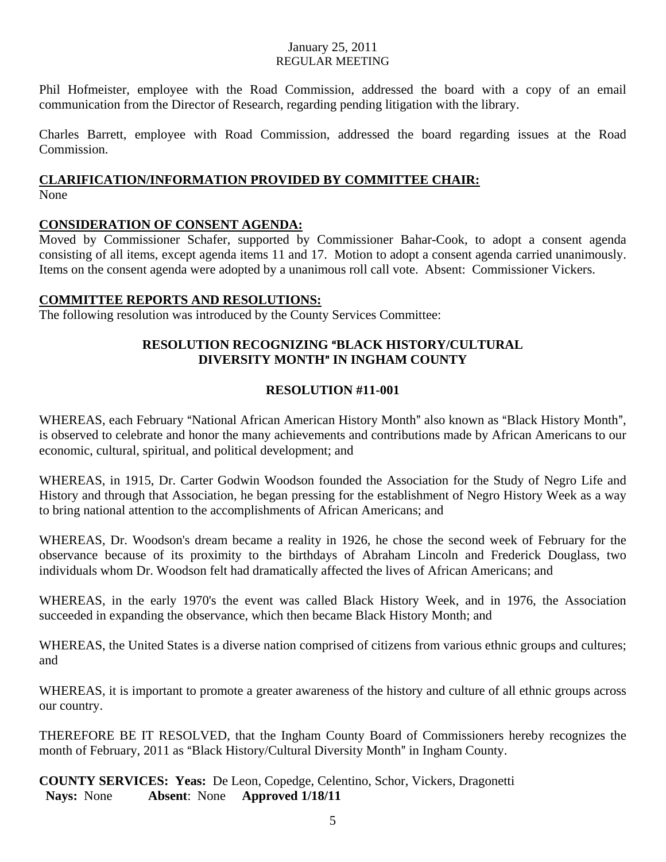Phil Hofmeister, employee with the Road Commission, addressed the board with a copy of an email communication from the Director of Research, regarding pending litigation with the library.

Charles Barrett, employee with Road Commission, addressed the board regarding issues at the Road Commission.

# **CLARIFICATION/INFORMATION PROVIDED BY COMMITTEE CHAIR:**

None

## **CONSIDERATION OF CONSENT AGENDA:**

Moved by Commissioner Schafer, supported by Commissioner Bahar-Cook, to adopt a consent agenda consisting of all items, except agenda items 11 and 17. Motion to adopt a consent agenda carried unanimously. Items on the consent agenda were adopted by a unanimous roll call vote. Absent: Commissioner Vickers.

## **COMMITTEE REPORTS AND RESOLUTIONS:**

The following resolution was introduced by the County Services Committee:

## **RESOLUTION RECOGNIZING "BLACK HISTORY/CULTURAL DIVERSITY MONTH" IN INGHAM COUNTY**

## **RESOLUTION #11-001**

WHEREAS, each February "National African American History Month" also known as "Black History Month", is observed to celebrate and honor the many achievements and contributions made by African Americans to our economic, cultural, spiritual, and political development; and

WHEREAS, in 1915, Dr. Carter Godwin Woodson founded the Association for the Study of Negro Life and History and through that Association, he began pressing for the establishment of Negro History Week as a way to bring national attention to the accomplishments of African Americans; and

WHEREAS, Dr. Woodson's dream became a reality in 1926, he chose the second week of February for the observance because of its proximity to the birthdays of Abraham Lincoln and Frederick Douglass, two individuals whom Dr. Woodson felt had dramatically affected the lives of African Americans; and

WHEREAS, in the early 1970's the event was called Black History Week, and in 1976, the Association succeeded in expanding the observance, which then became Black History Month; and

WHEREAS, the United States is a diverse nation comprised of citizens from various ethnic groups and cultures; and

WHEREAS, it is important to promote a greater awareness of the history and culture of all ethnic groups across our country.

THEREFORE BE IT RESOLVED, that the Ingham County Board of Commissioners hereby recognizes the month of February, 2011 as "Black History/Cultural Diversity Month" in Ingham County.

**COUNTY SERVICES: Yeas:** De Leon, Copedge, Celentino, Schor, Vickers, Dragonetti  **Nays:** None **Absent**: None **Approved 1/18/11**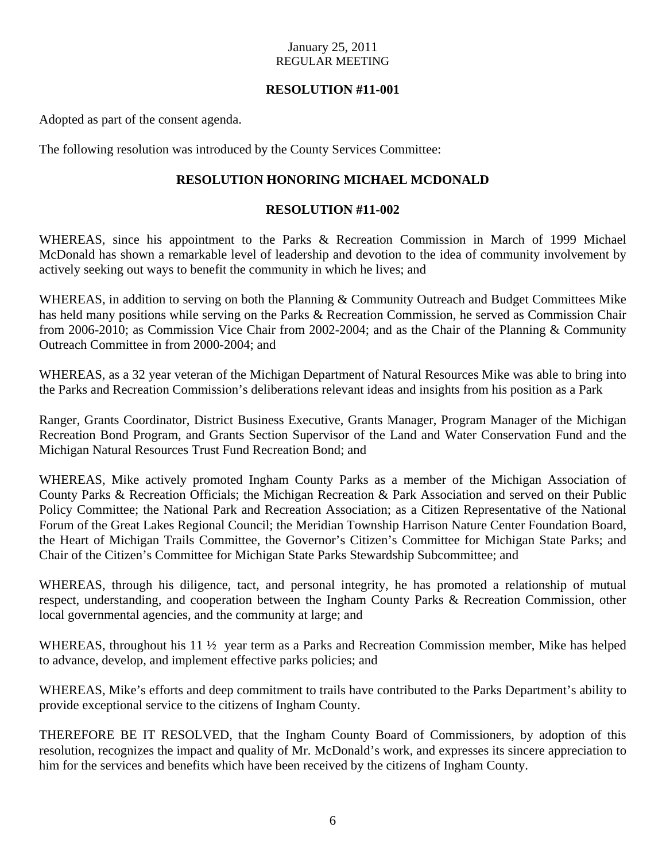## **RESOLUTION #11-001**

Adopted as part of the consent agenda.

The following resolution was introduced by the County Services Committee:

## **RESOLUTION HONORING MICHAEL MCDONALD**

## **RESOLUTION #11-002**

WHEREAS, since his appointment to the Parks & Recreation Commission in March of 1999 Michael McDonald has shown a remarkable level of leadership and devotion to the idea of community involvement by actively seeking out ways to benefit the community in which he lives; and

WHEREAS, in addition to serving on both the Planning & Community Outreach and Budget Committees Mike has held many positions while serving on the Parks & Recreation Commission, he served as Commission Chair from 2006-2010; as Commission Vice Chair from 2002-2004; and as the Chair of the Planning & Community Outreach Committee in from 2000-2004; and

WHEREAS, as a 32 year veteran of the Michigan Department of Natural Resources Mike was able to bring into the Parks and Recreation Commission's deliberations relevant ideas and insights from his position as a Park

Ranger, Grants Coordinator, District Business Executive, Grants Manager, Program Manager of the Michigan Recreation Bond Program, and Grants Section Supervisor of the Land and Water Conservation Fund and the Michigan Natural Resources Trust Fund Recreation Bond; and

WHEREAS, Mike actively promoted Ingham County Parks as a member of the Michigan Association of County Parks & Recreation Officials; the Michigan Recreation & Park Association and served on their Public Policy Committee; the National Park and Recreation Association; as a Citizen Representative of the National Forum of the Great Lakes Regional Council; the Meridian Township Harrison Nature Center Foundation Board, the Heart of Michigan Trails Committee, the Governor's Citizen's Committee for Michigan State Parks; and Chair of the Citizen's Committee for Michigan State Parks Stewardship Subcommittee; and

WHEREAS, through his diligence, tact, and personal integrity, he has promoted a relationship of mutual respect, understanding, and cooperation between the Ingham County Parks & Recreation Commission, other local governmental agencies, and the community at large; and

WHEREAS, throughout his 11 <sup>1</sup>/<sub>2</sub> year term as a Parks and Recreation Commission member, Mike has helped to advance, develop, and implement effective parks policies; and

WHEREAS, Mike's efforts and deep commitment to trails have contributed to the Parks Department's ability to provide exceptional service to the citizens of Ingham County.

THEREFORE BE IT RESOLVED, that the Ingham County Board of Commissioners, by adoption of this resolution, recognizes the impact and quality of Mr. McDonald's work, and expresses its sincere appreciation to him for the services and benefits which have been received by the citizens of Ingham County.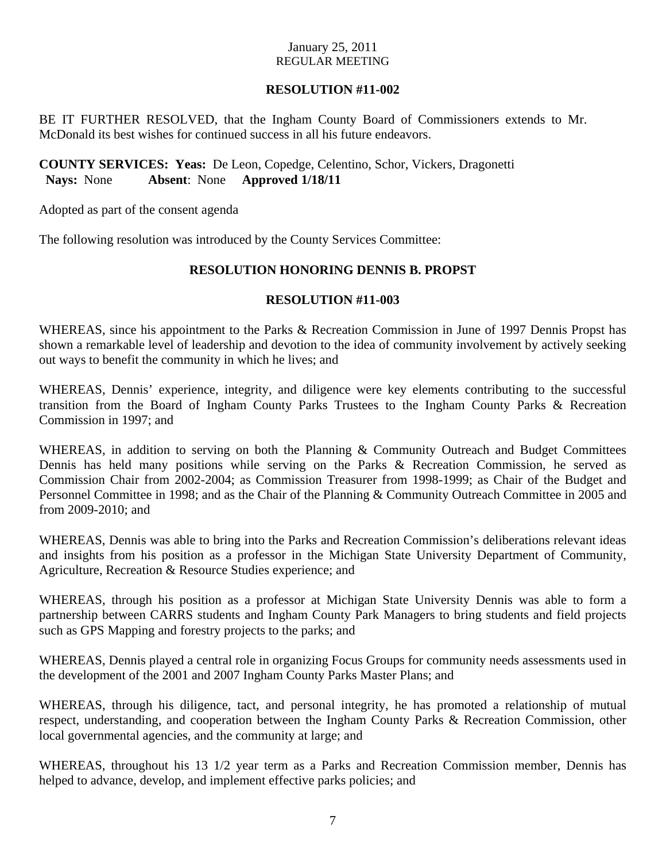## **RESOLUTION #11-002**

BE IT FURTHER RESOLVED, that the Ingham County Board of Commissioners extends to Mr. McDonald its best wishes for continued success in all his future endeavors.

## **COUNTY SERVICES: Yeas:** De Leon, Copedge, Celentino, Schor, Vickers, Dragonetti  **Nays:** None **Absent**: None **Approved 1/18/11**

Adopted as part of the consent agenda

The following resolution was introduced by the County Services Committee:

## **RESOLUTION HONORING DENNIS B. PROPST**

## **RESOLUTION #11-003**

WHEREAS, since his appointment to the Parks & Recreation Commission in June of 1997 Dennis Propst has shown a remarkable level of leadership and devotion to the idea of community involvement by actively seeking out ways to benefit the community in which he lives; and

WHEREAS, Dennis' experience, integrity, and diligence were key elements contributing to the successful transition from the Board of Ingham County Parks Trustees to the Ingham County Parks & Recreation Commission in 1997; and

WHEREAS, in addition to serving on both the Planning & Community Outreach and Budget Committees Dennis has held many positions while serving on the Parks & Recreation Commission, he served as Commission Chair from 2002-2004; as Commission Treasurer from 1998-1999; as Chair of the Budget and Personnel Committee in 1998; and as the Chair of the Planning & Community Outreach Committee in 2005 and from 2009-2010; and

WHEREAS, Dennis was able to bring into the Parks and Recreation Commission's deliberations relevant ideas and insights from his position as a professor in the Michigan State University Department of Community, Agriculture, Recreation & Resource Studies experience; and

WHEREAS, through his position as a professor at Michigan State University Dennis was able to form a partnership between CARRS students and Ingham County Park Managers to bring students and field projects such as GPS Mapping and forestry projects to the parks; and

WHEREAS, Dennis played a central role in organizing Focus Groups for community needs assessments used in the development of the 2001 and 2007 Ingham County Parks Master Plans; and

WHEREAS, through his diligence, tact, and personal integrity, he has promoted a relationship of mutual respect, understanding, and cooperation between the Ingham County Parks & Recreation Commission, other local governmental agencies, and the community at large; and

WHEREAS, throughout his 13 1/2 year term as a Parks and Recreation Commission member, Dennis has helped to advance, develop, and implement effective parks policies; and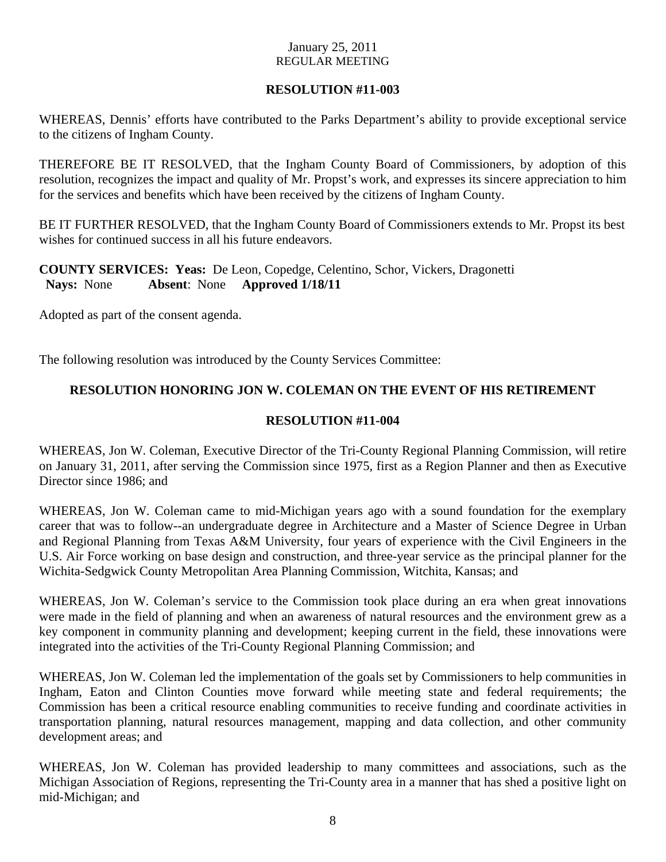## **RESOLUTION #11-003**

WHEREAS, Dennis' efforts have contributed to the Parks Department's ability to provide exceptional service to the citizens of Ingham County.

THEREFORE BE IT RESOLVED, that the Ingham County Board of Commissioners, by adoption of this resolution, recognizes the impact and quality of Mr. Propst's work, and expresses its sincere appreciation to him for the services and benefits which have been received by the citizens of Ingham County.

BE IT FURTHER RESOLVED, that the Ingham County Board of Commissioners extends to Mr. Propst its best wishes for continued success in all his future endeavors.

**COUNTY SERVICES: Yeas:** De Leon, Copedge, Celentino, Schor, Vickers, Dragonetti  **Nays:** None **Absent**: None **Approved 1/18/11** 

Adopted as part of the consent agenda.

The following resolution was introduced by the County Services Committee:

## **RESOLUTION HONORING JON W. COLEMAN ON THE EVENT OF HIS RETIREMENT**

## **RESOLUTION #11-004**

WHEREAS, Jon W. Coleman, Executive Director of the Tri-County Regional Planning Commission, will retire on January 31, 2011, after serving the Commission since 1975, first as a Region Planner and then as Executive Director since 1986; and

WHEREAS, Jon W. Coleman came to mid-Michigan years ago with a sound foundation for the exemplary career that was to follow--an undergraduate degree in Architecture and a Master of Science Degree in Urban and Regional Planning from Texas A&M University, four years of experience with the Civil Engineers in the U.S. Air Force working on base design and construction, and three-year service as the principal planner for the Wichita-Sedgwick County Metropolitan Area Planning Commission, Witchita, Kansas; and

WHEREAS, Jon W. Coleman's service to the Commission took place during an era when great innovations were made in the field of planning and when an awareness of natural resources and the environment grew as a key component in community planning and development; keeping current in the field, these innovations were integrated into the activities of the Tri-County Regional Planning Commission; and

WHEREAS, Jon W. Coleman led the implementation of the goals set by Commissioners to help communities in Ingham, Eaton and Clinton Counties move forward while meeting state and federal requirements; the Commission has been a critical resource enabling communities to receive funding and coordinate activities in transportation planning, natural resources management, mapping and data collection, and other community development areas; and

WHEREAS, Jon W. Coleman has provided leadership to many committees and associations, such as the Michigan Association of Regions, representing the Tri-County area in a manner that has shed a positive light on mid-Michigan; and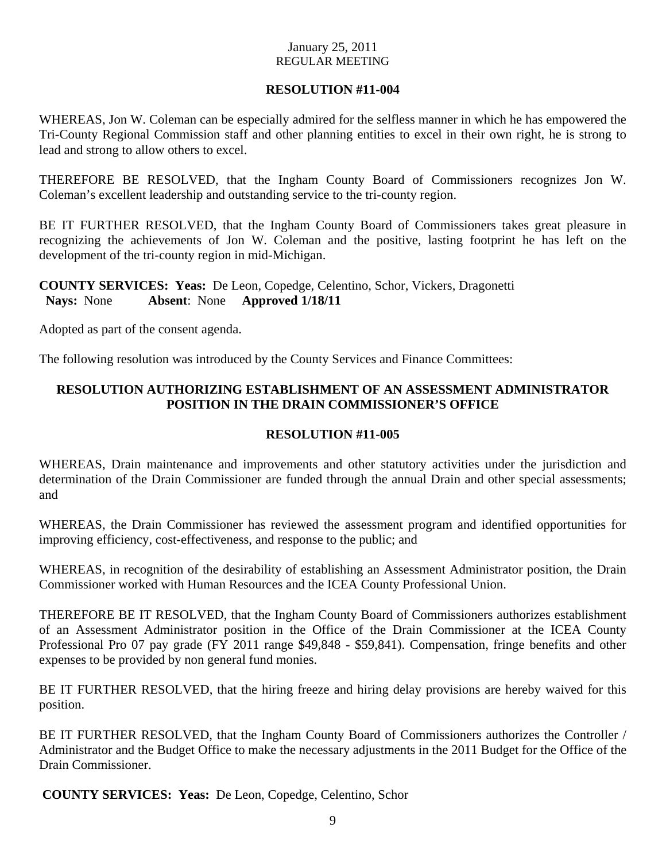## **RESOLUTION #11-004**

WHEREAS, Jon W. Coleman can be especially admired for the selfless manner in which he has empowered the Tri-County Regional Commission staff and other planning entities to excel in their own right, he is strong to lead and strong to allow others to excel.

THEREFORE BE RESOLVED, that the Ingham County Board of Commissioners recognizes Jon W. Coleman's excellent leadership and outstanding service to the tri-county region.

BE IT FURTHER RESOLVED, that the Ingham County Board of Commissioners takes great pleasure in recognizing the achievements of Jon W. Coleman and the positive, lasting footprint he has left on the development of the tri-county region in mid-Michigan.

## **COUNTY SERVICES: Yeas:** De Leon, Copedge, Celentino, Schor, Vickers, Dragonetti  **Nays:** None **Absent**: None **Approved 1/18/11**

Adopted as part of the consent agenda.

The following resolution was introduced by the County Services and Finance Committees:

## **RESOLUTION AUTHORIZING ESTABLISHMENT OF AN ASSESSMENT ADMINISTRATOR POSITION IN THE DRAIN COMMISSIONER'S OFFICE**

## **RESOLUTION #11-005**

WHEREAS, Drain maintenance and improvements and other statutory activities under the jurisdiction and determination of the Drain Commissioner are funded through the annual Drain and other special assessments; and

WHEREAS, the Drain Commissioner has reviewed the assessment program and identified opportunities for improving efficiency, cost-effectiveness, and response to the public; and

WHEREAS, in recognition of the desirability of establishing an Assessment Administrator position, the Drain Commissioner worked with Human Resources and the ICEA County Professional Union.

THEREFORE BE IT RESOLVED, that the Ingham County Board of Commissioners authorizes establishment of an Assessment Administrator position in the Office of the Drain Commissioner at the ICEA County Professional Pro 07 pay grade (FY 2011 range \$49,848 - \$59,841). Compensation, fringe benefits and other expenses to be provided by non general fund monies.

BE IT FURTHER RESOLVED, that the hiring freeze and hiring delay provisions are hereby waived for this position.

BE IT FURTHER RESOLVED, that the Ingham County Board of Commissioners authorizes the Controller / Administrator and the Budget Office to make the necessary adjustments in the 2011 Budget for the Office of the Drain Commissioner.

**COUNTY SERVICES: Yeas:** De Leon, Copedge, Celentino, Schor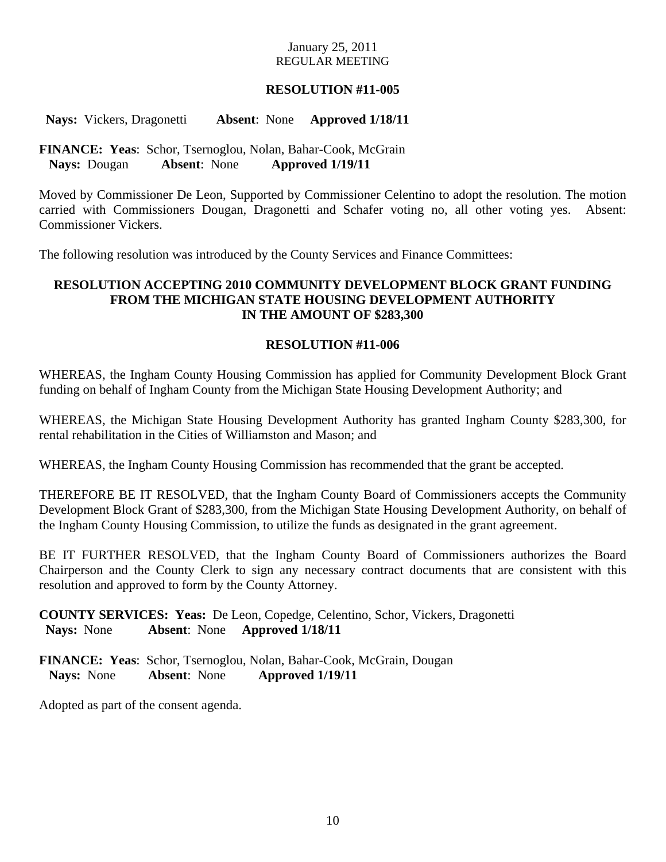## **RESOLUTION #11-005**

 **Nays:** Vickers, Dragonetti **Absent**: None **Approved 1/18/11** 

## **FINANCE: Yeas**: Schor, Tsernoglou, Nolan, Bahar-Cook, McGrain  **Nays:** Dougan **Absent**: None **Approved 1/19/11**

Moved by Commissioner De Leon, Supported by Commissioner Celentino to adopt the resolution. The motion carried with Commissioners Dougan, Dragonetti and Schafer voting no, all other voting yes. Absent: Commissioner Vickers.

The following resolution was introduced by the County Services and Finance Committees:

## **RESOLUTION ACCEPTING 2010 COMMUNITY DEVELOPMENT BLOCK GRANT FUNDING FROM THE MICHIGAN STATE HOUSING DEVELOPMENT AUTHORITY IN THE AMOUNT OF \$283,300**

#### **RESOLUTION #11-006**

WHEREAS, the Ingham County Housing Commission has applied for Community Development Block Grant funding on behalf of Ingham County from the Michigan State Housing Development Authority; and

WHEREAS, the Michigan State Housing Development Authority has granted Ingham County \$283,300, for rental rehabilitation in the Cities of Williamston and Mason; and

WHEREAS, the Ingham County Housing Commission has recommended that the grant be accepted.

THEREFORE BE IT RESOLVED, that the Ingham County Board of Commissioners accepts the Community Development Block Grant of \$283,300, from the Michigan State Housing Development Authority, on behalf of the Ingham County Housing Commission, to utilize the funds as designated in the grant agreement.

BE IT FURTHER RESOLVED, that the Ingham County Board of Commissioners authorizes the Board Chairperson and the County Clerk to sign any necessary contract documents that are consistent with this resolution and approved to form by the County Attorney.

**COUNTY SERVICES: Yeas:** De Leon, Copedge, Celentino, Schor, Vickers, Dragonetti  **Nays:** None **Absent**: None **Approved 1/18/11** 

**FINANCE: Yeas**: Schor, Tsernoglou, Nolan, Bahar-Cook, McGrain, Dougan  **Nays:** None **Absent**: None **Approved 1/19/11** 

Adopted as part of the consent agenda.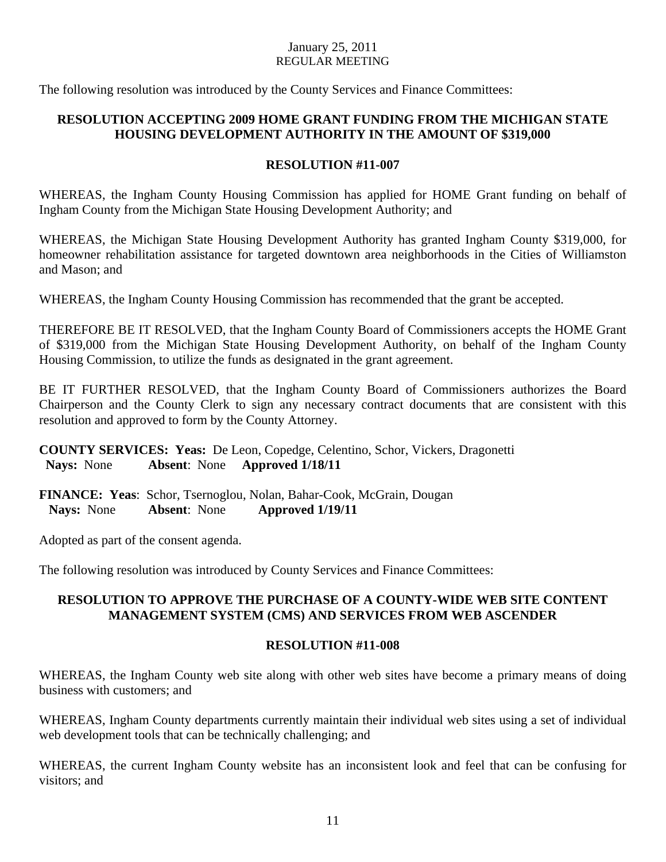The following resolution was introduced by the County Services and Finance Committees:

## **RESOLUTION ACCEPTING 2009 HOME GRANT FUNDING FROM THE MICHIGAN STATE HOUSING DEVELOPMENT AUTHORITY IN THE AMOUNT OF \$319,000**

## **RESOLUTION #11-007**

WHEREAS, the Ingham County Housing Commission has applied for HOME Grant funding on behalf of Ingham County from the Michigan State Housing Development Authority; and

WHEREAS, the Michigan State Housing Development Authority has granted Ingham County \$319,000, for homeowner rehabilitation assistance for targeted downtown area neighborhoods in the Cities of Williamston and Mason; and

WHEREAS, the Ingham County Housing Commission has recommended that the grant be accepted.

THEREFORE BE IT RESOLVED, that the Ingham County Board of Commissioners accepts the HOME Grant of \$319,000 from the Michigan State Housing Development Authority, on behalf of the Ingham County Housing Commission, to utilize the funds as designated in the grant agreement.

BE IT FURTHER RESOLVED, that the Ingham County Board of Commissioners authorizes the Board Chairperson and the County Clerk to sign any necessary contract documents that are consistent with this resolution and approved to form by the County Attorney.

**COUNTY SERVICES: Yeas:** De Leon, Copedge, Celentino, Schor, Vickers, Dragonetti  **Nays:** None **Absent**: None **Approved 1/18/11** 

**FINANCE: Yeas**: Schor, Tsernoglou, Nolan, Bahar-Cook, McGrain, Dougan  **Nays:** None **Absent**: None **Approved 1/19/11** 

Adopted as part of the consent agenda.

The following resolution was introduced by County Services and Finance Committees:

## **RESOLUTION TO APPROVE THE PURCHASE OF A COUNTY-WIDE WEB SITE CONTENT MANAGEMENT SYSTEM (CMS) AND SERVICES FROM WEB ASCENDER**

## **RESOLUTION #11-008**

WHEREAS, the Ingham County web site along with other web sites have become a primary means of doing business with customers; and

WHEREAS, Ingham County departments currently maintain their individual web sites using a set of individual web development tools that can be technically challenging; and

WHEREAS, the current Ingham County website has an inconsistent look and feel that can be confusing for visitors; and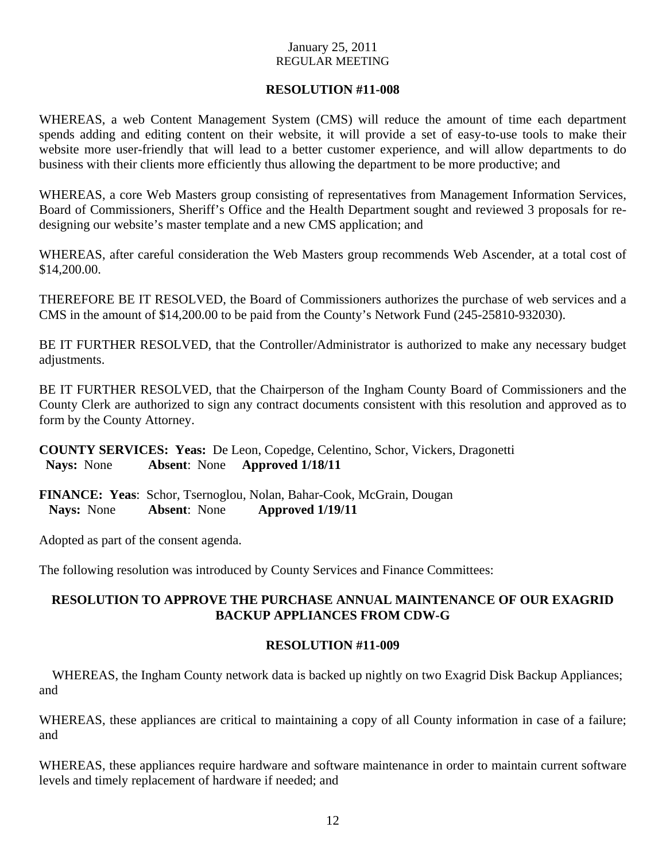## **RESOLUTION #11-008**

WHEREAS, a web Content Management System (CMS) will reduce the amount of time each department spends adding and editing content on their website, it will provide a set of easy-to-use tools to make their website more user-friendly that will lead to a better customer experience, and will allow departments to do business with their clients more efficiently thus allowing the department to be more productive; and

WHEREAS, a core Web Masters group consisting of representatives from Management Information Services, Board of Commissioners, Sheriff's Office and the Health Department sought and reviewed 3 proposals for redesigning our website's master template and a new CMS application; and

WHEREAS, after careful consideration the Web Masters group recommends Web Ascender, at a total cost of \$14,200.00.

THEREFORE BE IT RESOLVED, the Board of Commissioners authorizes the purchase of web services and a CMS in the amount of \$14,200.00 to be paid from the County's Network Fund (245-25810-932030).

BE IT FURTHER RESOLVED, that the Controller/Administrator is authorized to make any necessary budget adjustments.

BE IT FURTHER RESOLVED, that the Chairperson of the Ingham County Board of Commissioners and the County Clerk are authorized to sign any contract documents consistent with this resolution and approved as to form by the County Attorney.

**COUNTY SERVICES: Yeas:** De Leon, Copedge, Celentino, Schor, Vickers, Dragonetti  **Nays:** None **Absent**: None **Approved 1/18/11** 

**FINANCE: Yeas**: Schor, Tsernoglou, Nolan, Bahar-Cook, McGrain, Dougan  **Nays:** None **Absent**: None **Approved 1/19/11** 

Adopted as part of the consent agenda.

The following resolution was introduced by County Services and Finance Committees:

## **RESOLUTION TO APPROVE THE PURCHASE ANNUAL MAINTENANCE OF OUR EXAGRID BACKUP APPLIANCES FROM CDW-G**

## **RESOLUTION #11-009**

WHEREAS, the Ingham County network data is backed up nightly on two Exagrid Disk Backup Appliances; and

WHEREAS, these appliances are critical to maintaining a copy of all County information in case of a failure; and

WHEREAS, these appliances require hardware and software maintenance in order to maintain current software levels and timely replacement of hardware if needed; and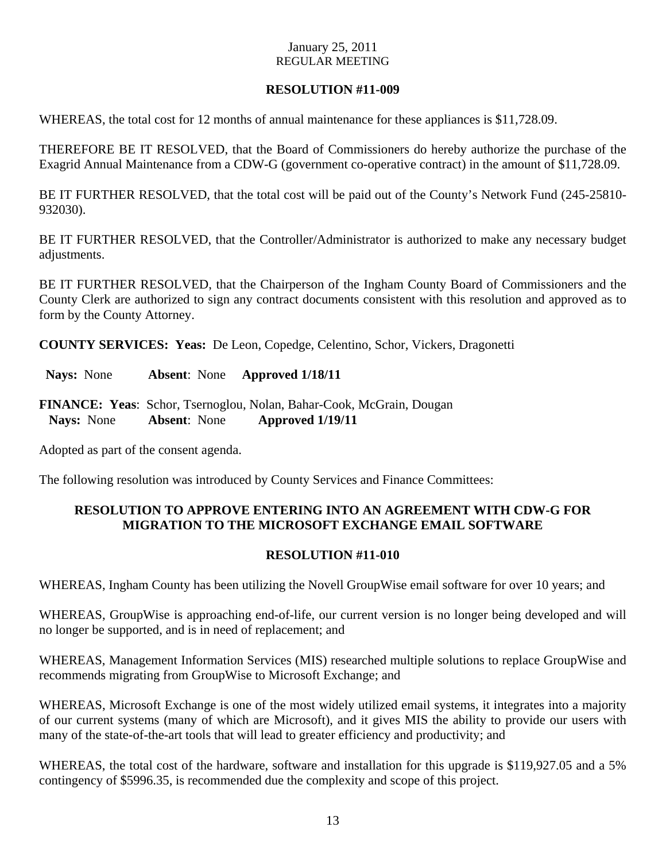## **RESOLUTION #11-009**

WHEREAS, the total cost for 12 months of annual maintenance for these appliances is \$11,728.09.

THEREFORE BE IT RESOLVED, that the Board of Commissioners do hereby authorize the purchase of the Exagrid Annual Maintenance from a CDW-G (government co-operative contract) in the amount of \$11,728.09.

BE IT FURTHER RESOLVED, that the total cost will be paid out of the County's Network Fund (245-25810- 932030).

BE IT FURTHER RESOLVED, that the Controller/Administrator is authorized to make any necessary budget adjustments.

BE IT FURTHER RESOLVED, that the Chairperson of the Ingham County Board of Commissioners and the County Clerk are authorized to sign any contract documents consistent with this resolution and approved as to form by the County Attorney.

**COUNTY SERVICES: Yeas:** De Leon, Copedge, Celentino, Schor, Vickers, Dragonetti

 **Nays:** None **Absent**: None **Approved 1/18/11** 

**FINANCE: Yeas**: Schor, Tsernoglou, Nolan, Bahar-Cook, McGrain, Dougan  **Nays:** None **Absent**: None **Approved 1/19/11** 

Adopted as part of the consent agenda.

The following resolution was introduced by County Services and Finance Committees:

## **RESOLUTION TO APPROVE ENTERING INTO AN AGREEMENT WITH CDW-G FOR MIGRATION TO THE MICROSOFT EXCHANGE EMAIL SOFTWARE**

## **RESOLUTION #11-010**

WHEREAS, Ingham County has been utilizing the Novell GroupWise email software for over 10 years; and

WHEREAS, GroupWise is approaching end-of-life, our current version is no longer being developed and will no longer be supported, and is in need of replacement; and

WHEREAS, Management Information Services (MIS) researched multiple solutions to replace GroupWise and recommends migrating from GroupWise to Microsoft Exchange; and

WHEREAS, Microsoft Exchange is one of the most widely utilized email systems, it integrates into a majority of our current systems (many of which are Microsoft), and it gives MIS the ability to provide our users with many of the state-of-the-art tools that will lead to greater efficiency and productivity; and

WHEREAS, the total cost of the hardware, software and installation for this upgrade is \$119,927.05 and a 5% contingency of \$5996.35, is recommended due the complexity and scope of this project.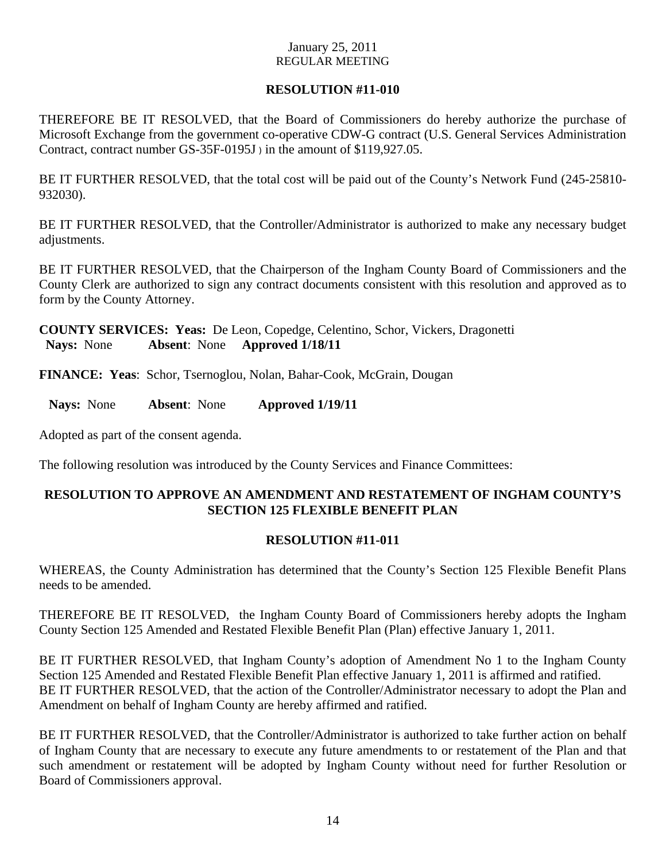## **RESOLUTION #11-010**

THEREFORE BE IT RESOLVED, that the Board of Commissioners do hereby authorize the purchase of Microsoft Exchange from the government co-operative CDW-G contract (U.S. General Services Administration Contract, contract number GS-35F-0195J ) in the amount of \$119,927.05.

BE IT FURTHER RESOLVED, that the total cost will be paid out of the County's Network Fund (245-25810- 932030).

BE IT FURTHER RESOLVED, that the Controller/Administrator is authorized to make any necessary budget adjustments.

BE IT FURTHER RESOLVED, that the Chairperson of the Ingham County Board of Commissioners and the County Clerk are authorized to sign any contract documents consistent with this resolution and approved as to form by the County Attorney.

**COUNTY SERVICES: Yeas:** De Leon, Copedge, Celentino, Schor, Vickers, Dragonetti  **Nays:** None **Absent**: None **Approved 1/18/11** 

**FINANCE: Yeas**: Schor, Tsernoglou, Nolan, Bahar-Cook, McGrain, Dougan

 **Nays:** None **Absent**: None **Approved 1/19/11** 

Adopted as part of the consent agenda.

The following resolution was introduced by the County Services and Finance Committees:

## **RESOLUTION TO APPROVE AN AMENDMENT AND RESTATEMENT OF INGHAM COUNTY'S SECTION 125 FLEXIBLE BENEFIT PLAN**

## **RESOLUTION #11-011**

WHEREAS, the County Administration has determined that the County's Section 125 Flexible Benefit Plans needs to be amended.

THEREFORE BE IT RESOLVED, the Ingham County Board of Commissioners hereby adopts the Ingham County Section 125 Amended and Restated Flexible Benefit Plan (Plan) effective January 1, 2011.

BE IT FURTHER RESOLVED, that Ingham County's adoption of Amendment No 1 to the Ingham County Section 125 Amended and Restated Flexible Benefit Plan effective January 1, 2011 is affirmed and ratified. BE IT FURTHER RESOLVED, that the action of the Controller/Administrator necessary to adopt the Plan and Amendment on behalf of Ingham County are hereby affirmed and ratified.

BE IT FURTHER RESOLVED, that the Controller/Administrator is authorized to take further action on behalf of Ingham County that are necessary to execute any future amendments to or restatement of the Plan and that such amendment or restatement will be adopted by Ingham County without need for further Resolution or Board of Commissioners approval.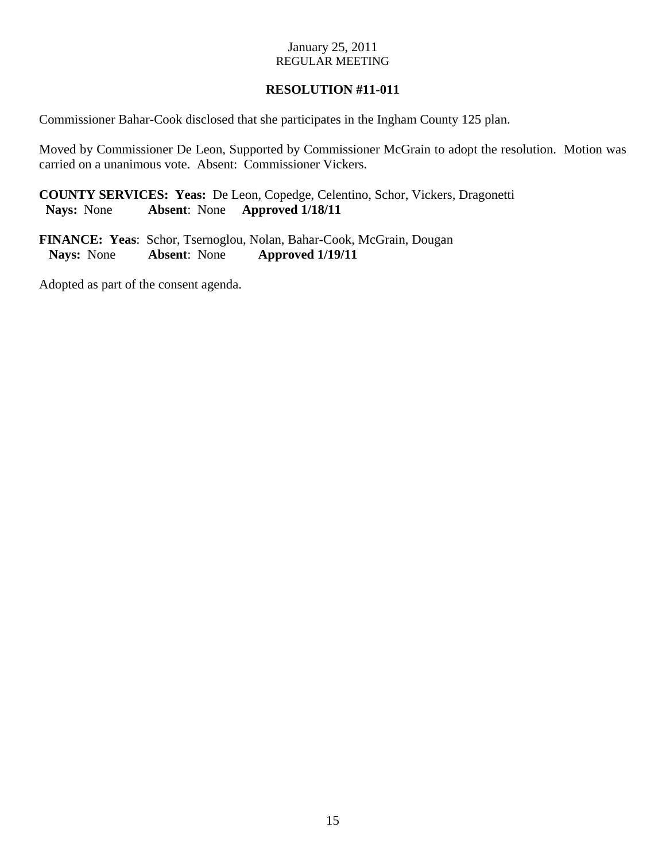## **RESOLUTION #11-011**

Commissioner Bahar-Cook disclosed that she participates in the Ingham County 125 plan.

Moved by Commissioner De Leon, Supported by Commissioner McGrain to adopt the resolution. Motion was carried on a unanimous vote. Absent: Commissioner Vickers.

**COUNTY SERVICES: Yeas:** De Leon, Copedge, Celentino, Schor, Vickers, Dragonetti  **Nays:** None **Absent**: None **Approved 1/18/11** 

**FINANCE: Yeas**: Schor, Tsernoglou, Nolan, Bahar-Cook, McGrain, Dougan  **Nays:** None **Absent**: None **Approved 1/19/11** 

Adopted as part of the consent agenda.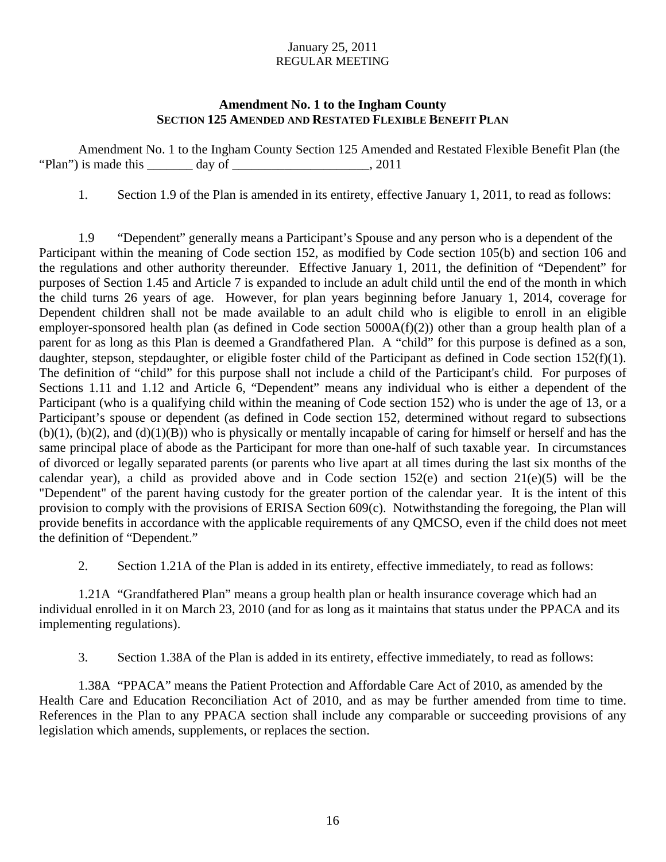## **Amendment No. 1 to the Ingham County SECTION 125 AMENDED AND RESTATED FLEXIBLE BENEFIT PLAN**

 Amendment No. 1 to the Ingham County Section 125 Amended and Restated Flexible Benefit Plan (the "Plan") is made this  $\frac{1}{2}$  day of  $\frac{1}{2}$  and  $\frac{1}{2}$  and  $\frac{1}{2}$  and  $\frac{1}{2}$  and  $\frac{1}{2}$  and  $\frac{1}{2}$  and  $\frac{1}{2}$  and  $\frac{1}{2}$  and  $\frac{1}{2}$  and  $\frac{1}{2}$  and  $\frac{1}{2}$  and  $\frac{1}{2}$  and  $\frac{1}{2}$  and

1. Section 1.9 of the Plan is amended in its entirety, effective January 1, 2011, to read as follows:

1.9 "Dependent" generally means a Participant's Spouse and any person who is a dependent of the Participant within the meaning of Code section 152, as modified by Code section 105(b) and section 106 and the regulations and other authority thereunder. Effective January 1, 2011, the definition of "Dependent" for purposes of Section 1.45 and Article 7 is expanded to include an adult child until the end of the month in which the child turns 26 years of age. However, for plan years beginning before January 1, 2014, coverage for Dependent children shall not be made available to an adult child who is eligible to enroll in an eligible employer-sponsored health plan (as defined in Code section 5000A(f)(2)) other than a group health plan of a parent for as long as this Plan is deemed a Grandfathered Plan. A "child" for this purpose is defined as a son, daughter, stepson, stepdaughter, or eligible foster child of the Participant as defined in Code section 152(f)(1). The definition of "child" for this purpose shall not include a child of the Participant's child. For purposes of Sections 1.11 and 1.12 and Article 6, "Dependent" means any individual who is either a dependent of the Participant (who is a qualifying child within the meaning of Code section 152) who is under the age of 13, or a Participant's spouse or dependent (as defined in Code section 152, determined without regard to subsections  $(b)(1)$ ,  $(b)(2)$ , and  $(d)(1)(B)$ ) who is physically or mentally incapable of caring for himself or herself and has the same principal place of abode as the Participant for more than one-half of such taxable year. In circumstances of divorced or legally separated parents (or parents who live apart at all times during the last six months of the calendar year), a child as provided above and in Code section  $152(e)$  and section  $21(e)(5)$  will be the "Dependent" of the parent having custody for the greater portion of the calendar year. It is the intent of this provision to comply with the provisions of ERISA Section 609(c). Notwithstanding the foregoing, the Plan will provide benefits in accordance with the applicable requirements of any QMCSO, even if the child does not meet the definition of "Dependent."

2. Section 1.21A of the Plan is added in its entirety, effective immediately, to read as follows:

1.21A "Grandfathered Plan" means a group health plan or health insurance coverage which had an individual enrolled in it on March 23, 2010 (and for as long as it maintains that status under the PPACA and its implementing regulations).

3. Section 1.38A of the Plan is added in its entirety, effective immediately, to read as follows:

1.38A "PPACA" means the Patient Protection and Affordable Care Act of 2010, as amended by the Health Care and Education Reconciliation Act of 2010, and as may be further amended from time to time. References in the Plan to any PPACA section shall include any comparable or succeeding provisions of any legislation which amends, supplements, or replaces the section.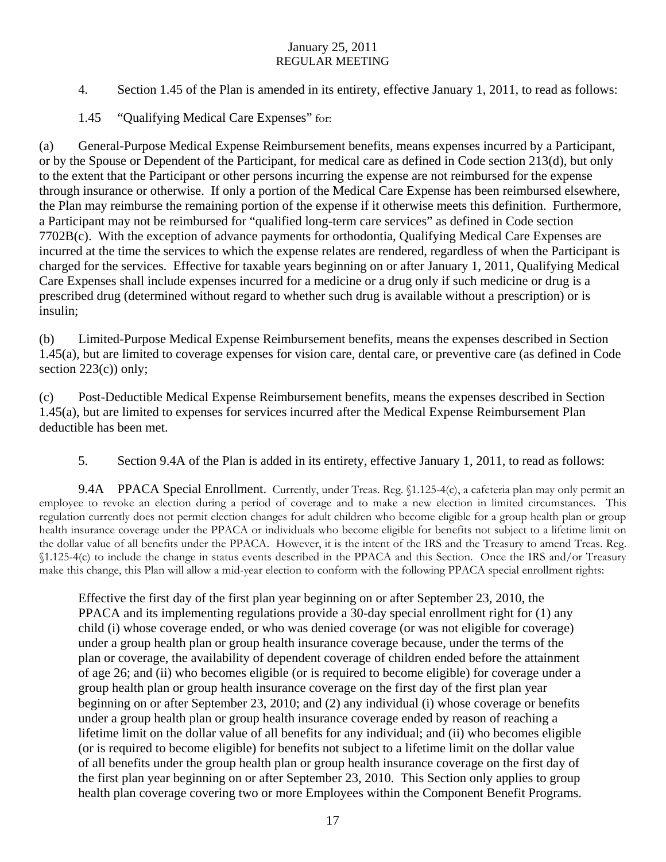- 4. Section 1.45 of the Plan is amended in its entirety, effective January 1, 2011, to read as follows:
- 1.45 "Qualifying Medical Care Expenses" for:

(a) General-Purpose Medical Expense Reimbursement benefits, means expenses incurred by a Participant, or by the Spouse or Dependent of the Participant, for medical care as defined in Code section 213(d), but only to the extent that the Participant or other persons incurring the expense are not reimbursed for the expense through insurance or otherwise. If only a portion of the Medical Care Expense has been reimbursed elsewhere, the Plan may reimburse the remaining portion of the expense if it otherwise meets this definition. Furthermore, a Participant may not be reimbursed for "qualified long-term care services" as defined in Code section 7702B(c). With the exception of advance payments for orthodontia, Qualifying Medical Care Expenses are incurred at the time the services to which the expense relates are rendered, regardless of when the Participant is charged for the services. Effective for taxable years beginning on or after January 1, 2011, Qualifying Medical Care Expenses shall include expenses incurred for a medicine or a drug only if such medicine or drug is a prescribed drug (determined without regard to whether such drug is available without a prescription) or is insulin;

(b) Limited-Purpose Medical Expense Reimbursement benefits, means the expenses described in Section 1.45(a), but are limited to coverage expenses for vision care, dental care, or preventive care (as defined in Code section  $223(c)$ ) only;

(c) Post-Deductible Medical Expense Reimbursement benefits, means the expenses described in Section 1.45(a), but are limited to expenses for services incurred after the Medical Expense Reimbursement Plan deductible has been met.

5. Section 9.4A of the Plan is added in its entirety, effective January 1, 2011, to read as follows:

9.4A PPACA Special Enrollment. Currently, under Treas. Reg. §1.125-4(c), a cafeteria plan may only permit an employee to revoke an election during a period of coverage and to make a new election in limited circumstances. This regulation currently does not permit election changes for adult children who become eligible for a group health plan or group health insurance coverage under the PPACA or individuals who become eligible for benefits not subject to a lifetime limit on the dollar value of all benefits under the PPACA. However, it is the intent of the IRS and the Treasury to amend Treas. Reg. §1.125-4(c) to include the change in status events described in the PPACA and this Section. Once the IRS and/or Treasury make this change, this Plan will allow a mid-year election to conform with the following PPACA special enrollment rights:

Effective the first day of the first plan year beginning on or after September 23, 2010, the PPACA and its implementing regulations provide a 30-day special enrollment right for (1) any child (i) whose coverage ended, or who was denied coverage (or was not eligible for coverage) under a group health plan or group health insurance coverage because, under the terms of the plan or coverage, the availability of dependent coverage of children ended before the attainment of age 26; and (ii) who becomes eligible (or is required to become eligible) for coverage under a group health plan or group health insurance coverage on the first day of the first plan year beginning on or after September 23, 2010; and (2) any individual (i) whose coverage or benefits under a group health plan or group health insurance coverage ended by reason of reaching a lifetime limit on the dollar value of all benefits for any individual; and (ii) who becomes eligible (or is required to become eligible) for benefits not subject to a lifetime limit on the dollar value of all benefits under the group health plan or group health insurance coverage on the first day of the first plan year beginning on or after September 23, 2010. This Section only applies to group health plan coverage covering two or more Employees within the Component Benefit Programs.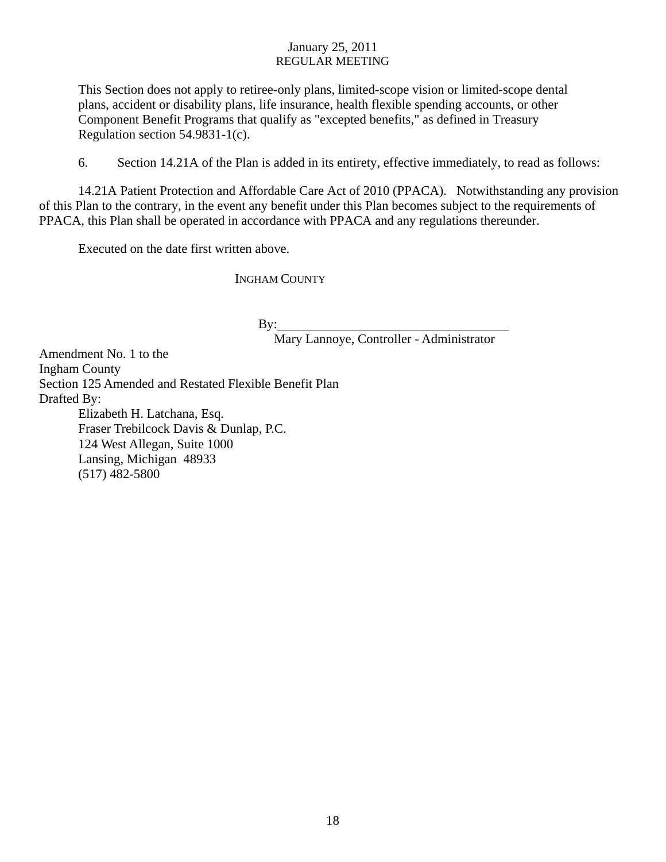This Section does not apply to retiree-only plans, limited-scope vision or limited-scope dental plans, accident or disability plans, life insurance, health flexible spending accounts, or other Component Benefit Programs that qualify as "excepted benefits," as defined in Treasury Regulation section 54.9831-1(c).

6. Section 14.21A of the Plan is added in its entirety, effective immediately, to read as follows:

14.21A Patient Protection and Affordable Care Act of 2010 (PPACA).Notwithstanding any provision of this Plan to the contrary, in the event any benefit under this Plan becomes subject to the requirements of PPACA, this Plan shall be operated in accordance with PPACA and any regulations thereunder.

Executed on the date first written above.

INGHAM COUNTY

 $By:$ 

Mary Lannoye, Controller - Administrator

Amendment No. 1 to the Ingham County Section 125 Amended and Restated Flexible Benefit Plan Drafted By: Elizabeth H. Latchana, Esq. Fraser Trebilcock Davis & Dunlap, P.C. 124 West Allegan, Suite 1000 Lansing, Michigan 48933 (517) 482-5800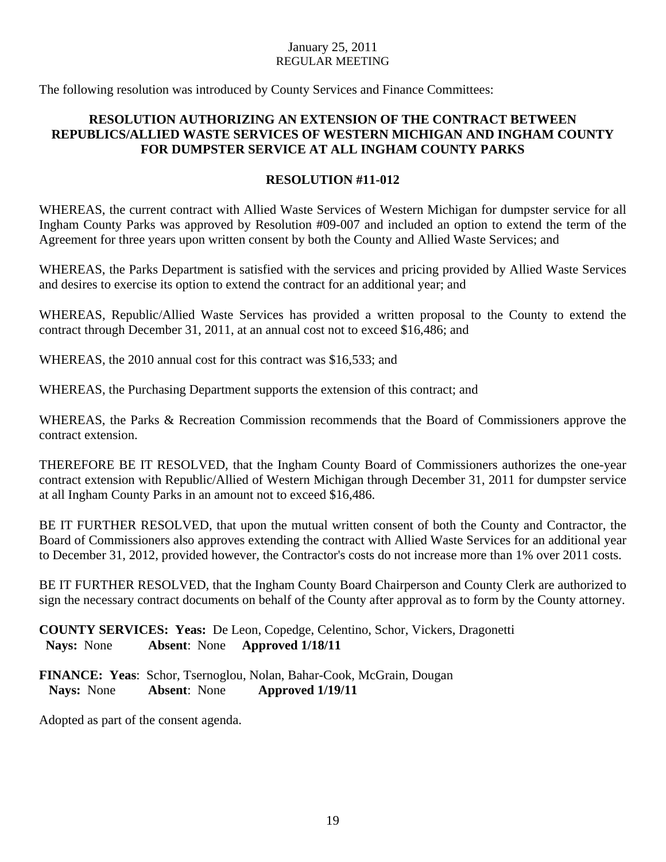The following resolution was introduced by County Services and Finance Committees:

## **RESOLUTION AUTHORIZING AN EXTENSION OF THE CONTRACT BETWEEN REPUBLICS/ALLIED WASTE SERVICES OF WESTERN MICHIGAN AND INGHAM COUNTY FOR DUMPSTER SERVICE AT ALL INGHAM COUNTY PARKS**

## **RESOLUTION #11-012**

WHEREAS, the current contract with Allied Waste Services of Western Michigan for dumpster service for all Ingham County Parks was approved by Resolution #09-007 and included an option to extend the term of the Agreement for three years upon written consent by both the County and Allied Waste Services; and

WHEREAS, the Parks Department is satisfied with the services and pricing provided by Allied Waste Services and desires to exercise its option to extend the contract for an additional year; and

WHEREAS, Republic/Allied Waste Services has provided a written proposal to the County to extend the contract through December 31, 2011, at an annual cost not to exceed \$16,486; and

WHEREAS, the 2010 annual cost for this contract was \$16,533; and

WHEREAS, the Purchasing Department supports the extension of this contract; and

WHEREAS, the Parks & Recreation Commission recommends that the Board of Commissioners approve the contract extension.

THEREFORE BE IT RESOLVED, that the Ingham County Board of Commissioners authorizes the one-year contract extension with Republic/Allied of Western Michigan through December 31, 2011 for dumpster service at all Ingham County Parks in an amount not to exceed \$16,486.

BE IT FURTHER RESOLVED, that upon the mutual written consent of both the County and Contractor, the Board of Commissioners also approves extending the contract with Allied Waste Services for an additional year to December 31, 2012, provided however, the Contractor's costs do not increase more than 1% over 2011 costs.

BE IT FURTHER RESOLVED, that the Ingham County Board Chairperson and County Clerk are authorized to sign the necessary contract documents on behalf of the County after approval as to form by the County attorney.

**COUNTY SERVICES: Yeas:** De Leon, Copedge, Celentino, Schor, Vickers, Dragonetti  **Nays:** None **Absent**: None **Approved 1/18/11** 

**FINANCE: Yeas**: Schor, Tsernoglou, Nolan, Bahar-Cook, McGrain, Dougan  **Nays:** None **Absent**: None **Approved 1/19/11** 

Adopted as part of the consent agenda.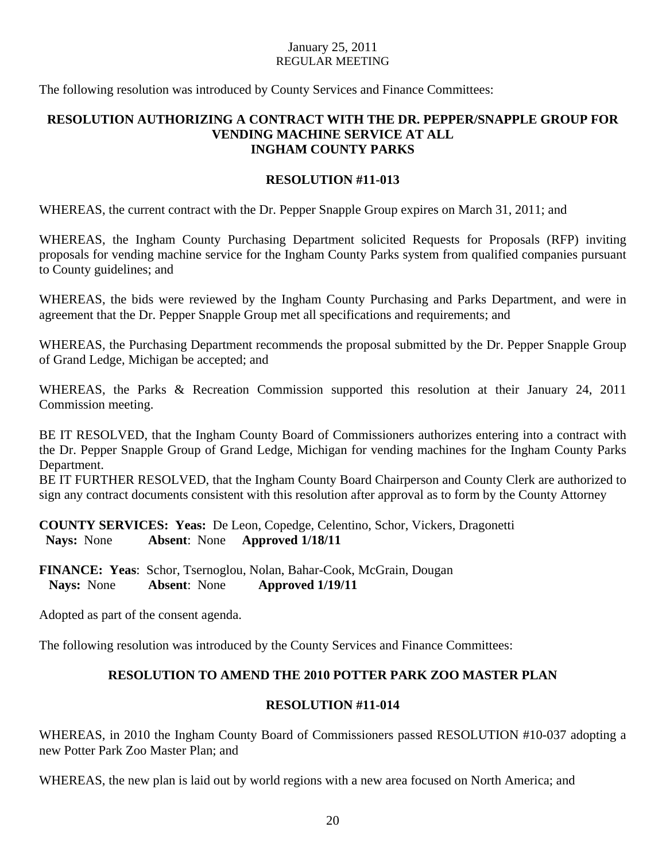The following resolution was introduced by County Services and Finance Committees:

## **RESOLUTION AUTHORIZING A CONTRACT WITH THE DR. PEPPER/SNAPPLE GROUP FOR VENDING MACHINE SERVICE AT ALL INGHAM COUNTY PARKS**

## **RESOLUTION #11-013**

WHEREAS, the current contract with the Dr. Pepper Snapple Group expires on March 31, 2011; and

WHEREAS, the Ingham County Purchasing Department solicited Requests for Proposals (RFP) inviting proposals for vending machine service for the Ingham County Parks system from qualified companies pursuant to County guidelines; and

WHEREAS, the bids were reviewed by the Ingham County Purchasing and Parks Department, and were in agreement that the Dr. Pepper Snapple Group met all specifications and requirements; and

WHEREAS, the Purchasing Department recommends the proposal submitted by the Dr. Pepper Snapple Group of Grand Ledge, Michigan be accepted; and

WHEREAS, the Parks & Recreation Commission supported this resolution at their January 24, 2011 Commission meeting.

BE IT RESOLVED, that the Ingham County Board of Commissioners authorizes entering into a contract with the Dr. Pepper Snapple Group of Grand Ledge, Michigan for vending machines for the Ingham County Parks Department.

BE IT FURTHER RESOLVED, that the Ingham County Board Chairperson and County Clerk are authorized to sign any contract documents consistent with this resolution after approval as to form by the County Attorney

**COUNTY SERVICES: Yeas:** De Leon, Copedge, Celentino, Schor, Vickers, Dragonetti  **Nays:** None **Absent**: None **Approved 1/18/11** 

**FINANCE: Yeas**: Schor, Tsernoglou, Nolan, Bahar-Cook, McGrain, Dougan  **Nays:** None **Absent**: None **Approved 1/19/11** 

Adopted as part of the consent agenda.

The following resolution was introduced by the County Services and Finance Committees:

## **RESOLUTION TO AMEND THE 2010 POTTER PARK ZOO MASTER PLAN**

#### **RESOLUTION #11-014**

WHEREAS, in 2010 the Ingham County Board of Commissioners passed RESOLUTION #10-037 adopting a new Potter Park Zoo Master Plan; and

WHEREAS, the new plan is laid out by world regions with a new area focused on North America; and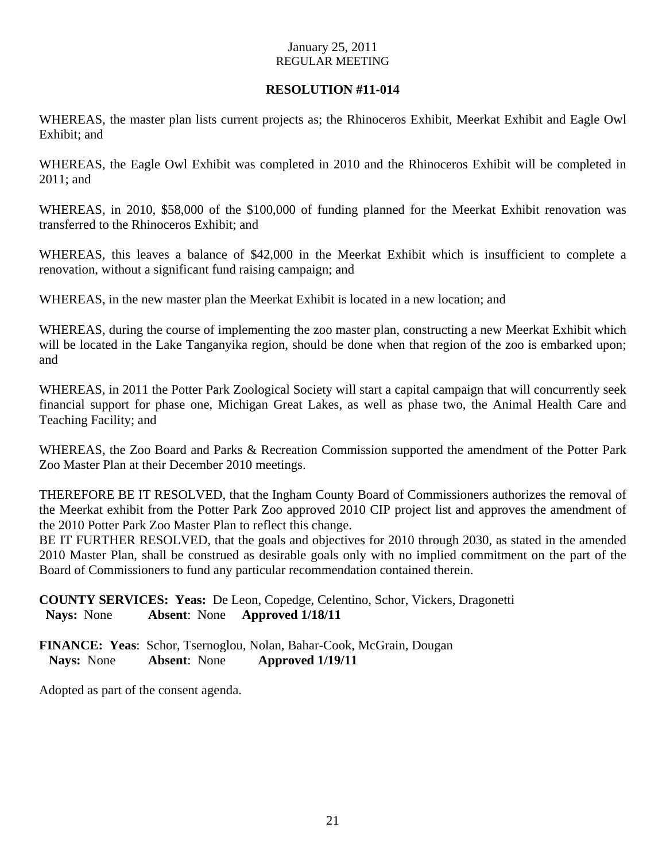## **RESOLUTION #11-014**

WHEREAS, the master plan lists current projects as; the Rhinoceros Exhibit, Meerkat Exhibit and Eagle Owl Exhibit; and

WHEREAS, the Eagle Owl Exhibit was completed in 2010 and the Rhinoceros Exhibit will be completed in 2011; and

WHEREAS, in 2010, \$58,000 of the \$100,000 of funding planned for the Meerkat Exhibit renovation was transferred to the Rhinoceros Exhibit; and

WHEREAS, this leaves a balance of \$42,000 in the Meerkat Exhibit which is insufficient to complete a renovation, without a significant fund raising campaign; and

WHEREAS, in the new master plan the Meerkat Exhibit is located in a new location; and

WHEREAS, during the course of implementing the zoo master plan, constructing a new Meerkat Exhibit which will be located in the Lake Tanganyika region, should be done when that region of the zoo is embarked upon; and

WHEREAS, in 2011 the Potter Park Zoological Society will start a capital campaign that will concurrently seek financial support for phase one, Michigan Great Lakes, as well as phase two, the Animal Health Care and Teaching Facility; and

WHEREAS, the Zoo Board and Parks & Recreation Commission supported the amendment of the Potter Park Zoo Master Plan at their December 2010 meetings.

THEREFORE BE IT RESOLVED, that the Ingham County Board of Commissioners authorizes the removal of the Meerkat exhibit from the Potter Park Zoo approved 2010 CIP project list and approves the amendment of the 2010 Potter Park Zoo Master Plan to reflect this change.

BE IT FURTHER RESOLVED, that the goals and objectives for 2010 through 2030, as stated in the amended 2010 Master Plan, shall be construed as desirable goals only with no implied commitment on the part of the Board of Commissioners to fund any particular recommendation contained therein.

**COUNTY SERVICES: Yeas:** De Leon, Copedge, Celentino, Schor, Vickers, Dragonetti  **Nays:** None **Absent**: None **Approved 1/18/11** 

**FINANCE: Yeas**: Schor, Tsernoglou, Nolan, Bahar-Cook, McGrain, Dougan  **Nays:** None **Absent**: None **Approved 1/19/11** 

Adopted as part of the consent agenda.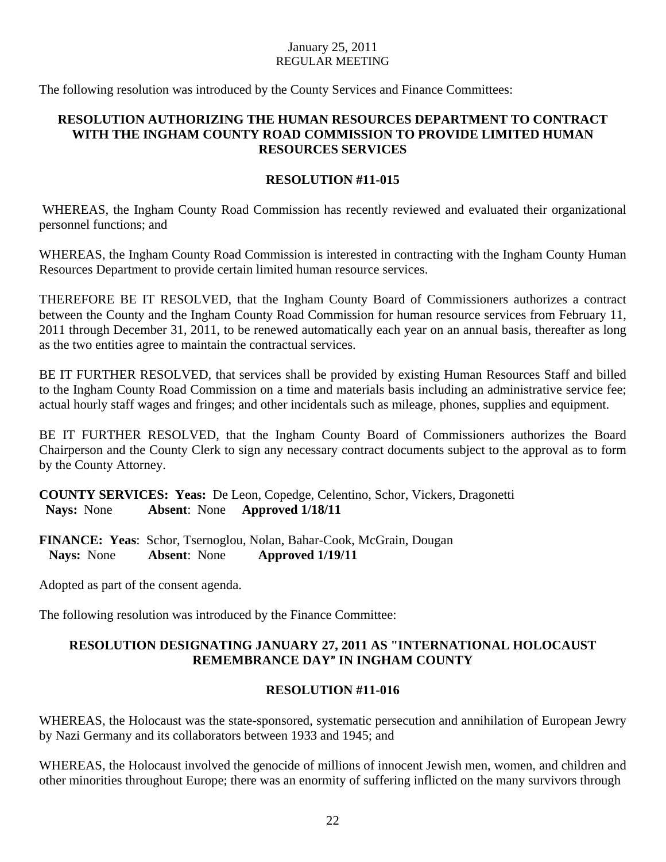The following resolution was introduced by the County Services and Finance Committees:

## **RESOLUTION AUTHORIZING THE HUMAN RESOURCES DEPARTMENT TO CONTRACT WITH THE INGHAM COUNTY ROAD COMMISSION TO PROVIDE LIMITED HUMAN RESOURCES SERVICES**

## **RESOLUTION #11-015**

WHEREAS, the Ingham County Road Commission has recently reviewed and evaluated their organizational personnel functions; and

WHEREAS, the Ingham County Road Commission is interested in contracting with the Ingham County Human Resources Department to provide certain limited human resource services.

THEREFORE BE IT RESOLVED, that the Ingham County Board of Commissioners authorizes a contract between the County and the Ingham County Road Commission for human resource services from February 11, 2011 through December 31, 2011, to be renewed automatically each year on an annual basis, thereafter as long as the two entities agree to maintain the contractual services.

BE IT FURTHER RESOLVED, that services shall be provided by existing Human Resources Staff and billed to the Ingham County Road Commission on a time and materials basis including an administrative service fee; actual hourly staff wages and fringes; and other incidentals such as mileage, phones, supplies and equipment.

BE IT FURTHER RESOLVED, that the Ingham County Board of Commissioners authorizes the Board Chairperson and the County Clerk to sign any necessary contract documents subject to the approval as to form by the County Attorney.

**COUNTY SERVICES: Yeas:** De Leon, Copedge, Celentino, Schor, Vickers, Dragonetti  **Nays:** None **Absent**: None **Approved 1/18/11** 

**FINANCE: Yeas**: Schor, Tsernoglou, Nolan, Bahar-Cook, McGrain, Dougan  **Nays:** None **Absent**: None **Approved 1/19/11** 

Adopted as part of the consent agenda.

The following resolution was introduced by the Finance Committee:

## **RESOLUTION DESIGNATING JANUARY 27, 2011 AS "INTERNATIONAL HOLOCAUST REMEMBRANCE DAY" IN INGHAM COUNTY**

## **RESOLUTION #11-016**

WHEREAS, the Holocaust was the state-sponsored, systematic persecution and annihilation of European Jewry by Nazi Germany and its collaborators between 1933 and 1945; and

WHEREAS, the Holocaust involved the genocide of millions of innocent Jewish men, women, and children and other minorities throughout Europe; there was an enormity of suffering inflicted on the many survivors through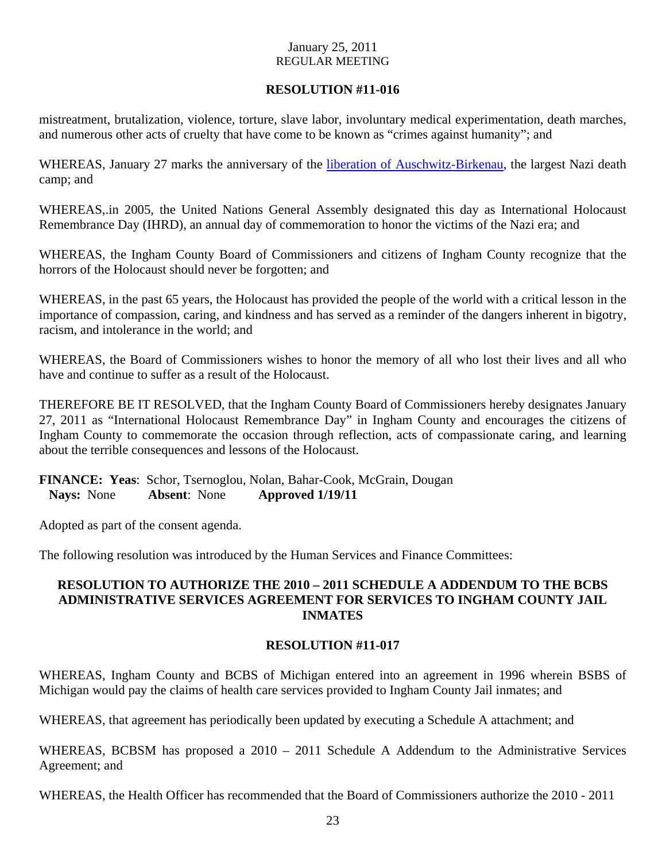## **RESOLUTION #11-016**

mistreatment, brutalization, violence, torture, slave labor, involuntary medical experimentation, death marches, and numerous other acts of cruelty that have come to be known as "crimes against humanity"; and

WHEREAS, January 27 marks the anniversary of the liberation of Auschwitz-Birkenau, the largest Nazi death camp; and

WHEREAS,.in 2005, the United Nations General Assembly designated this day as International Holocaust Remembrance Day (IHRD), an annual day of commemoration to honor the victims of the Nazi era; and

WHEREAS, the Ingham County Board of Commissioners and citizens of Ingham County recognize that the horrors of the Holocaust should never be forgotten; and

WHEREAS, in the past 65 years, the Holocaust has provided the people of the world with a critical lesson in the importance of compassion, caring, and kindness and has served as a reminder of the dangers inherent in bigotry, racism, and intolerance in the world; and

WHEREAS, the Board of Commissioners wishes to honor the memory of all who lost their lives and all who have and continue to suffer as a result of the Holocaust.

THEREFORE BE IT RESOLVED, that the Ingham County Board of Commissioners hereby designates January 27, 2011 as "International Holocaust Remembrance Day" in Ingham County and encourages the citizens of Ingham County to commemorate the occasion through reflection, acts of compassionate caring, and learning about the terrible consequences and lessons of the Holocaust.

## **FINANCE: Yeas**: Schor, Tsernoglou, Nolan, Bahar-Cook, McGrain, Dougan  **Nays:** None **Absent**: None **Approved 1/19/11**

Adopted as part of the consent agenda.

The following resolution was introduced by the Human Services and Finance Committees:

## **RESOLUTION TO AUTHORIZE THE 2010 – 2011 SCHEDULE A ADDENDUM TO THE BCBS ADMINISTRATIVE SERVICES AGREEMENT FOR SERVICES TO INGHAM COUNTY JAIL INMATES**

## **RESOLUTION #11-017**

WHEREAS, Ingham County and BCBS of Michigan entered into an agreement in 1996 wherein BSBS of Michigan would pay the claims of health care services provided to Ingham County Jail inmates; and

WHEREAS, that agreement has periodically been updated by executing a Schedule A attachment; and

WHEREAS, BCBSM has proposed a 2010 – 2011 Schedule A Addendum to the Administrative Services Agreement; and

WHEREAS, the Health Officer has recommended that the Board of Commissioners authorize the 2010 - 2011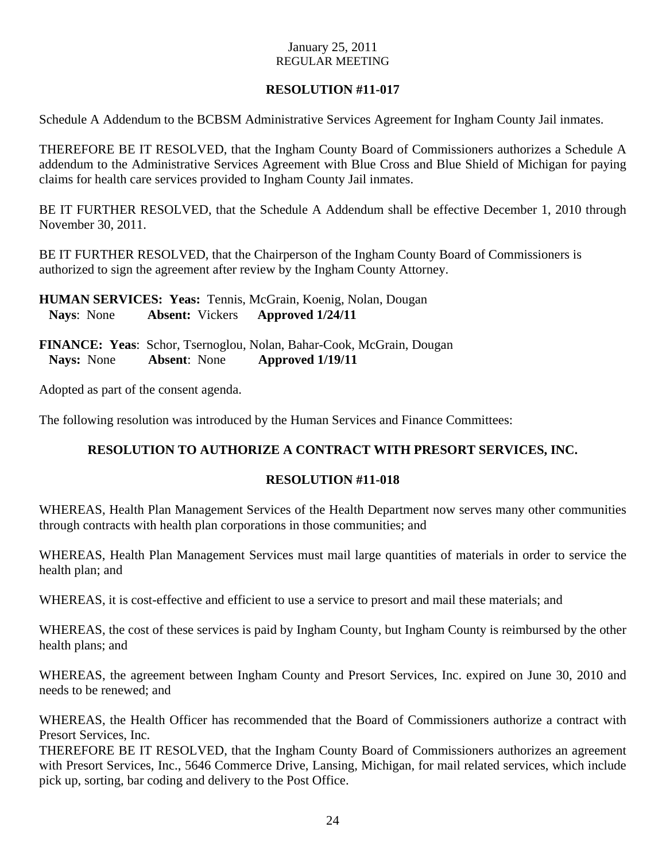## **RESOLUTION #11-017**

Schedule A Addendum to the BCBSM Administrative Services Agreement for Ingham County Jail inmates.

THEREFORE BE IT RESOLVED, that the Ingham County Board of Commissioners authorizes a Schedule A addendum to the Administrative Services Agreement with Blue Cross and Blue Shield of Michigan for paying claims for health care services provided to Ingham County Jail inmates.

BE IT FURTHER RESOLVED, that the Schedule A Addendum shall be effective December 1, 2010 through November 30, 2011.

BE IT FURTHER RESOLVED, that the Chairperson of the Ingham County Board of Commissioners is authorized to sign the agreement after review by the Ingham County Attorney.

**HUMAN SERVICES: Yeas:** Tennis, McGrain, Koenig, Nolan, Dougan **Nays**: None **Absent:** Vickers **Approved 1/24/11**

**FINANCE: Yeas**: Schor, Tsernoglou, Nolan, Bahar-Cook, McGrain, Dougan  **Nays:** None **Absent**: None **Approved 1/19/11** 

Adopted as part of the consent agenda.

The following resolution was introduced by the Human Services and Finance Committees:

## **RESOLUTION TO AUTHORIZE A CONTRACT WITH PRESORT SERVICES, INC.**

## **RESOLUTION #11-018**

WHEREAS, Health Plan Management Services of the Health Department now serves many other communities through contracts with health plan corporations in those communities; and

WHEREAS, Health Plan Management Services must mail large quantities of materials in order to service the health plan; and

WHEREAS, it is cost-effective and efficient to use a service to presort and mail these materials; and

WHEREAS, the cost of these services is paid by Ingham County, but Ingham County is reimbursed by the other health plans; and

WHEREAS, the agreement between Ingham County and Presort Services, Inc. expired on June 30, 2010 and needs to be renewed; and

WHEREAS, the Health Officer has recommended that the Board of Commissioners authorize a contract with Presort Services, Inc.

THEREFORE BE IT RESOLVED, that the Ingham County Board of Commissioners authorizes an agreement with Presort Services, Inc., 5646 Commerce Drive, Lansing, Michigan, for mail related services, which include pick up, sorting, bar coding and delivery to the Post Office.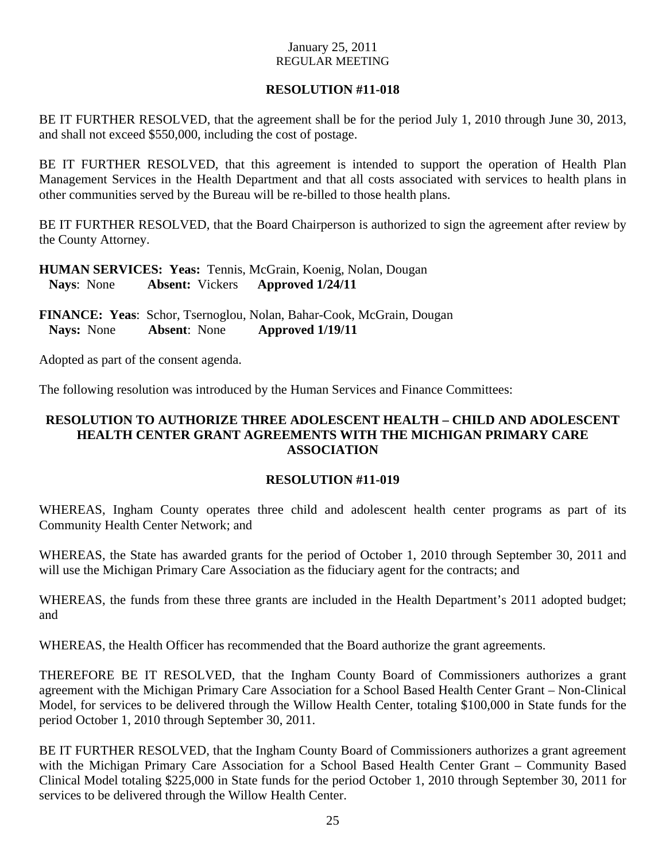## **RESOLUTION #11-018**

BE IT FURTHER RESOLVED, that the agreement shall be for the period July 1, 2010 through June 30, 2013, and shall not exceed \$550,000, including the cost of postage.

BE IT FURTHER RESOLVED, that this agreement is intended to support the operation of Health Plan Management Services in the Health Department and that all costs associated with services to health plans in other communities served by the Bureau will be re-billed to those health plans.

BE IT FURTHER RESOLVED, that the Board Chairperson is authorized to sign the agreement after review by the County Attorney.

**HUMAN SERVICES: Yeas:** Tennis, McGrain, Koenig, Nolan, Dougan **Nays**: None **Absent:** Vickers **Approved 1/24/11**

**FINANCE: Yeas**: Schor, Tsernoglou, Nolan, Bahar-Cook, McGrain, Dougan  **Nays:** None **Absent**: None **Approved 1/19/11** 

Adopted as part of the consent agenda.

The following resolution was introduced by the Human Services and Finance Committees:

## **RESOLUTION TO AUTHORIZE THREE ADOLESCENT HEALTH – CHILD AND ADOLESCENT HEALTH CENTER GRANT AGREEMENTS WITH THE MICHIGAN PRIMARY CARE ASSOCIATION**

## **RESOLUTION #11-019**

WHEREAS, Ingham County operates three child and adolescent health center programs as part of its Community Health Center Network; and

WHEREAS, the State has awarded grants for the period of October 1, 2010 through September 30, 2011 and will use the Michigan Primary Care Association as the fiduciary agent for the contracts; and

WHEREAS, the funds from these three grants are included in the Health Department's 2011 adopted budget; and

WHEREAS, the Health Officer has recommended that the Board authorize the grant agreements.

THEREFORE BE IT RESOLVED, that the Ingham County Board of Commissioners authorizes a grant agreement with the Michigan Primary Care Association for a School Based Health Center Grant – Non-Clinical Model, for services to be delivered through the Willow Health Center, totaling \$100,000 in State funds for the period October 1, 2010 through September 30, 2011.

BE IT FURTHER RESOLVED, that the Ingham County Board of Commissioners authorizes a grant agreement with the Michigan Primary Care Association for a School Based Health Center Grant – Community Based Clinical Model totaling \$225,000 in State funds for the period October 1, 2010 through September 30, 2011 for services to be delivered through the Willow Health Center.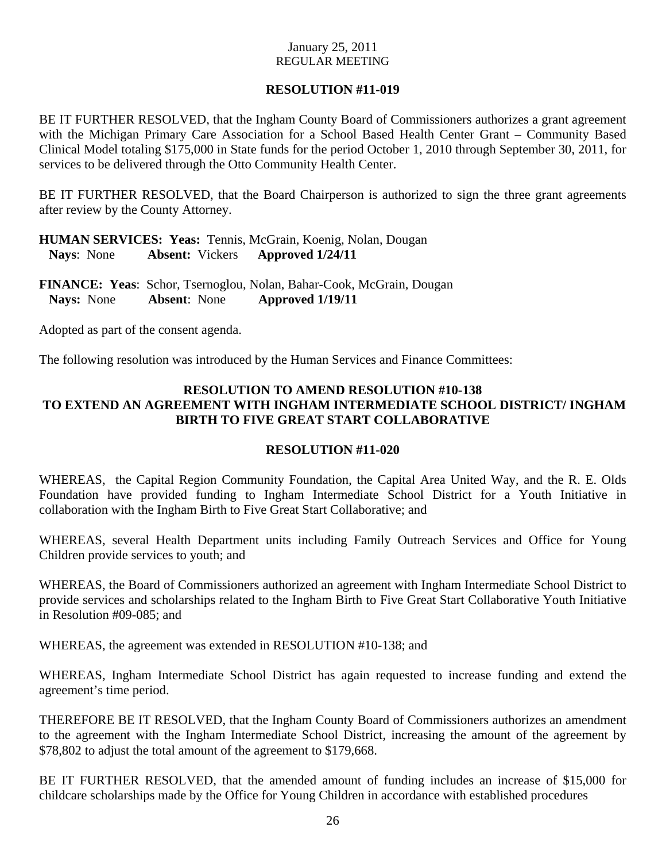## **RESOLUTION #11-019**

BE IT FURTHER RESOLVED, that the Ingham County Board of Commissioners authorizes a grant agreement with the Michigan Primary Care Association for a School Based Health Center Grant – Community Based Clinical Model totaling \$175,000 in State funds for the period October 1, 2010 through September 30, 2011, for services to be delivered through the Otto Community Health Center.

BE IT FURTHER RESOLVED, that the Board Chairperson is authorized to sign the three grant agreements after review by the County Attorney.

**HUMAN SERVICES: Yeas:** Tennis, McGrain, Koenig, Nolan, Dougan **Nays**: None **Absent:** Vickers **Approved 1/24/11**

**FINANCE: Yeas**: Schor, Tsernoglou, Nolan, Bahar-Cook, McGrain, Dougan  **Nays:** None **Absent**: None **Approved 1/19/11** 

Adopted as part of the consent agenda.

The following resolution was introduced by the Human Services and Finance Committees:

## **RESOLUTION TO AMEND RESOLUTION #10-138 TO EXTEND AN AGREEMENT WITH INGHAM INTERMEDIATE SCHOOL DISTRICT/ INGHAM BIRTH TO FIVE GREAT START COLLABORATIVE**

## **RESOLUTION #11-020**

WHEREAS, the Capital Region Community Foundation, the Capital Area United Way, and the R. E. Olds Foundation have provided funding to Ingham Intermediate School District for a Youth Initiative in collaboration with the Ingham Birth to Five Great Start Collaborative; and

WHEREAS, several Health Department units including Family Outreach Services and Office for Young Children provide services to youth; and

WHEREAS, the Board of Commissioners authorized an agreement with Ingham Intermediate School District to provide services and scholarships related to the Ingham Birth to Five Great Start Collaborative Youth Initiative in Resolution #09-085; and

WHEREAS, the agreement was extended in RESOLUTION #10-138; and

WHEREAS, Ingham Intermediate School District has again requested to increase funding and extend the agreement's time period.

THEREFORE BE IT RESOLVED, that the Ingham County Board of Commissioners authorizes an amendment to the agreement with the Ingham Intermediate School District, increasing the amount of the agreement by \$78,802 to adjust the total amount of the agreement to \$179,668.

BE IT FURTHER RESOLVED, that the amended amount of funding includes an increase of \$15,000 for childcare scholarships made by the Office for Young Children in accordance with established procedures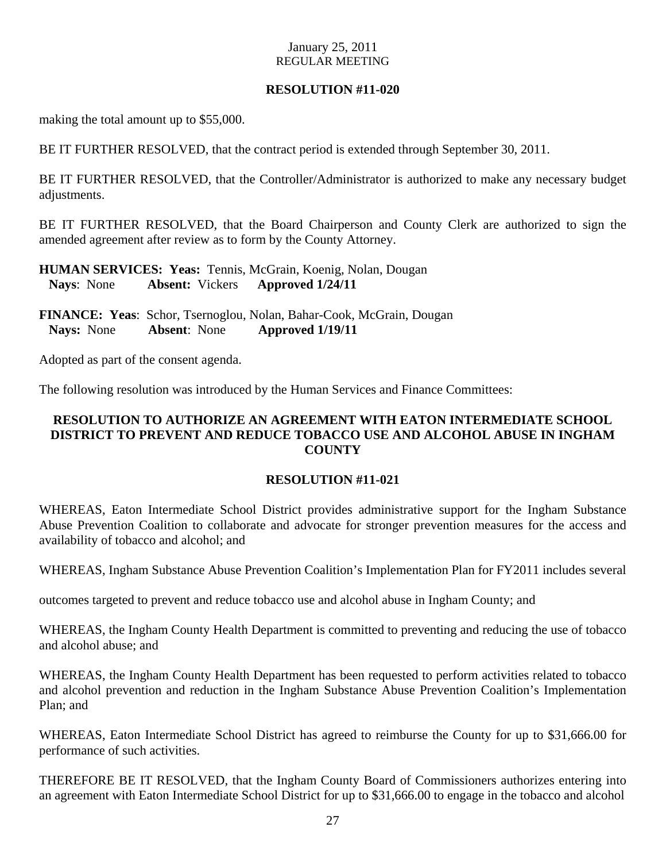## **RESOLUTION #11-020**

making the total amount up to \$55,000.

BE IT FURTHER RESOLVED, that the contract period is extended through September 30, 2011.

BE IT FURTHER RESOLVED, that the Controller/Administrator is authorized to make any necessary budget adjustments.

BE IT FURTHER RESOLVED, that the Board Chairperson and County Clerk are authorized to sign the amended agreement after review as to form by the County Attorney.

**HUMAN SERVICES: Yeas:** Tennis, McGrain, Koenig, Nolan, Dougan **Nays**: None **Absent:** Vickers **Approved 1/24/11**

**FINANCE: Yeas**: Schor, Tsernoglou, Nolan, Bahar-Cook, McGrain, Dougan  **Nays:** None **Absent**: None **Approved 1/19/11** 

Adopted as part of the consent agenda.

The following resolution was introduced by the Human Services and Finance Committees:

## **RESOLUTION TO AUTHORIZE AN AGREEMENT WITH EATON INTERMEDIATE SCHOOL DISTRICT TO PREVENT AND REDUCE TOBACCO USE AND ALCOHOL ABUSE IN INGHAM COUNTY**

## **RESOLUTION #11-021**

WHEREAS, Eaton Intermediate School District provides administrative support for the Ingham Substance Abuse Prevention Coalition to collaborate and advocate for stronger prevention measures for the access and availability of tobacco and alcohol; and

WHEREAS, Ingham Substance Abuse Prevention Coalition's Implementation Plan for FY2011 includes several

outcomes targeted to prevent and reduce tobacco use and alcohol abuse in Ingham County; and

WHEREAS, the Ingham County Health Department is committed to preventing and reducing the use of tobacco and alcohol abuse; and

WHEREAS, the Ingham County Health Department has been requested to perform activities related to tobacco and alcohol prevention and reduction in the Ingham Substance Abuse Prevention Coalition's Implementation Plan; and

WHEREAS, Eaton Intermediate School District has agreed to reimburse the County for up to \$31,666.00 for performance of such activities.

THEREFORE BE IT RESOLVED, that the Ingham County Board of Commissioners authorizes entering into an agreement with Eaton Intermediate School District for up to \$31,666.00 to engage in the tobacco and alcohol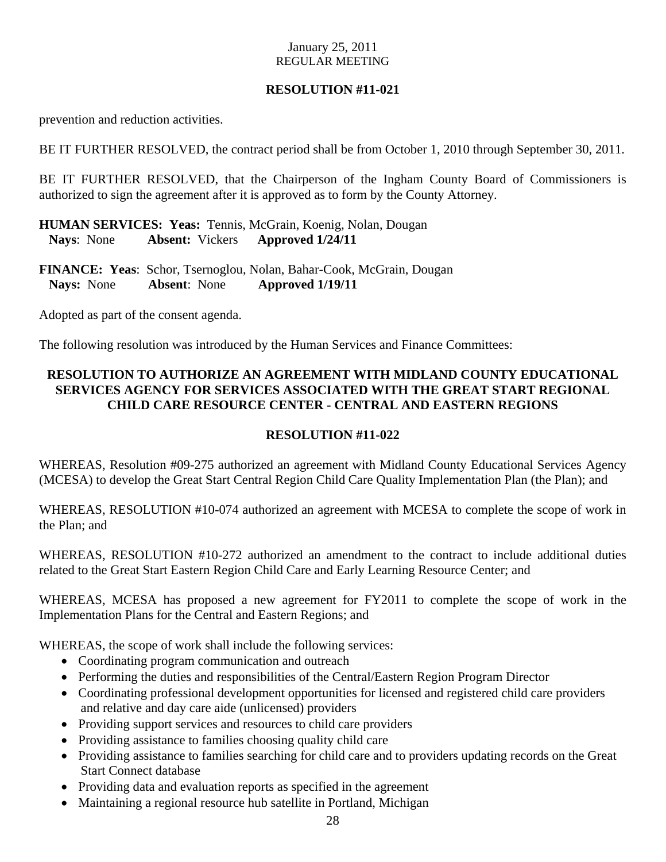## **RESOLUTION #11-021**

prevention and reduction activities.

BE IT FURTHER RESOLVED, the contract period shall be from October 1, 2010 through September 30, 2011.

BE IT FURTHER RESOLVED, that the Chairperson of the Ingham County Board of Commissioners is authorized to sign the agreement after it is approved as to form by the County Attorney.

**HUMAN SERVICES: Yeas:** Tennis, McGrain, Koenig, Nolan, Dougan **Nays**: None **Absent:** Vickers **Approved 1/24/11**

**FINANCE: Yeas**: Schor, Tsernoglou, Nolan, Bahar-Cook, McGrain, Dougan  **Nays:** None **Absent**: None **Approved 1/19/11** 

Adopted as part of the consent agenda.

The following resolution was introduced by the Human Services and Finance Committees:

## **RESOLUTION TO AUTHORIZE AN AGREEMENT WITH MIDLAND COUNTY EDUCATIONAL SERVICES AGENCY FOR SERVICES ASSOCIATED WITH THE GREAT START REGIONAL CHILD CARE RESOURCE CENTER - CENTRAL AND EASTERN REGIONS**

## **RESOLUTION #11-022**

WHEREAS, Resolution #09-275 authorized an agreement with Midland County Educational Services Agency (MCESA) to develop the Great Start Central Region Child Care Quality Implementation Plan (the Plan); and

WHEREAS, RESOLUTION #10-074 authorized an agreement with MCESA to complete the scope of work in the Plan; and

WHEREAS, RESOLUTION #10-272 authorized an amendment to the contract to include additional duties related to the Great Start Eastern Region Child Care and Early Learning Resource Center; and

WHEREAS, MCESA has proposed a new agreement for FY2011 to complete the scope of work in the Implementation Plans for the Central and Eastern Regions; and

WHEREAS, the scope of work shall include the following services:

- Coordinating program communication and outreach
- Performing the duties and responsibilities of the Central/Eastern Region Program Director
- Coordinating professional development opportunities for licensed and registered child care providers and relative and day care aide (unlicensed) providers
- Providing support services and resources to child care providers
- Providing assistance to families choosing quality child care
- Providing assistance to families searching for child care and to providers updating records on the Great Start Connect database
- Providing data and evaluation reports as specified in the agreement
- Maintaining a regional resource hub satellite in Portland, Michigan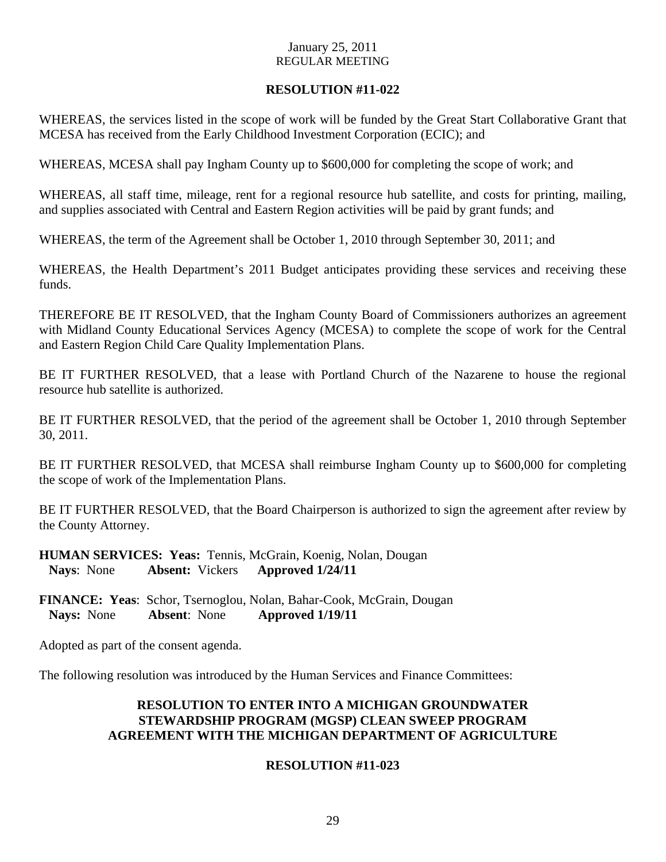## **RESOLUTION #11-022**

WHEREAS, the services listed in the scope of work will be funded by the Great Start Collaborative Grant that MCESA has received from the Early Childhood Investment Corporation (ECIC); and

WHEREAS, MCESA shall pay Ingham County up to \$600,000 for completing the scope of work; and

WHEREAS, all staff time, mileage, rent for a regional resource hub satellite, and costs for printing, mailing, and supplies associated with Central and Eastern Region activities will be paid by grant funds; and

WHEREAS, the term of the Agreement shall be October 1, 2010 through September 30, 2011; and

WHEREAS, the Health Department's 2011 Budget anticipates providing these services and receiving these funds.

THEREFORE BE IT RESOLVED, that the Ingham County Board of Commissioners authorizes an agreement with Midland County Educational Services Agency (MCESA) to complete the scope of work for the Central and Eastern Region Child Care Quality Implementation Plans.

BE IT FURTHER RESOLVED, that a lease with Portland Church of the Nazarene to house the regional resource hub satellite is authorized.

BE IT FURTHER RESOLVED, that the period of the agreement shall be October 1, 2010 through September 30, 2011.

BE IT FURTHER RESOLVED, that MCESA shall reimburse Ingham County up to \$600,000 for completing the scope of work of the Implementation Plans.

BE IT FURTHER RESOLVED, that the Board Chairperson is authorized to sign the agreement after review by the County Attorney.

**HUMAN SERVICES: Yeas:** Tennis, McGrain, Koenig, Nolan, Dougan **Nays**: None **Absent:** Vickers **Approved 1/24/11**

**FINANCE: Yeas**: Schor, Tsernoglou, Nolan, Bahar-Cook, McGrain, Dougan  **Nays:** None **Absent**: None **Approved 1/19/11** 

Adopted as part of the consent agenda.

The following resolution was introduced by the Human Services and Finance Committees:

## **RESOLUTION TO ENTER INTO A MICHIGAN GROUNDWATER STEWARDSHIP PROGRAM (MGSP) CLEAN SWEEP PROGRAM AGREEMENT WITH THE MICHIGAN DEPARTMENT OF AGRICULTURE**

## **RESOLUTION #11-023**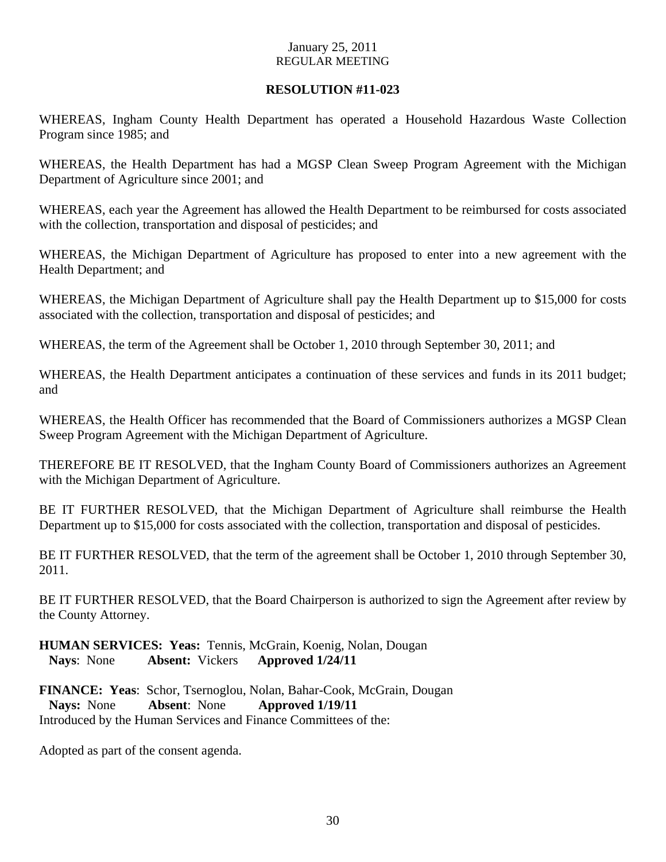## **RESOLUTION #11-023**

WHEREAS, Ingham County Health Department has operated a Household Hazardous Waste Collection Program since 1985; and

WHEREAS, the Health Department has had a MGSP Clean Sweep Program Agreement with the Michigan Department of Agriculture since 2001; and

WHEREAS, each year the Agreement has allowed the Health Department to be reimbursed for costs associated with the collection, transportation and disposal of pesticides; and

WHEREAS, the Michigan Department of Agriculture has proposed to enter into a new agreement with the Health Department; and

WHEREAS, the Michigan Department of Agriculture shall pay the Health Department up to \$15,000 for costs associated with the collection, transportation and disposal of pesticides; and

WHEREAS, the term of the Agreement shall be October 1, 2010 through September 30, 2011; and

WHEREAS, the Health Department anticipates a continuation of these services and funds in its 2011 budget; and

WHEREAS, the Health Officer has recommended that the Board of Commissioners authorizes a MGSP Clean Sweep Program Agreement with the Michigan Department of Agriculture.

THEREFORE BE IT RESOLVED, that the Ingham County Board of Commissioners authorizes an Agreement with the Michigan Department of Agriculture.

BE IT FURTHER RESOLVED, that the Michigan Department of Agriculture shall reimburse the Health Department up to \$15,000 for costs associated with the collection, transportation and disposal of pesticides.

BE IT FURTHER RESOLVED, that the term of the agreement shall be October 1, 2010 through September 30, 2011.

BE IT FURTHER RESOLVED, that the Board Chairperson is authorized to sign the Agreement after review by the County Attorney.

**HUMAN SERVICES: Yeas:** Tennis, McGrain, Koenig, Nolan, Dougan **Nays**: None **Absent:** Vickers **Approved 1/24/11**

**FINANCE: Yeas**: Schor, Tsernoglou, Nolan, Bahar-Cook, McGrain, Dougan  **Nays:** None **Absent**: None **Approved 1/19/11**  Introduced by the Human Services and Finance Committees of the:

Adopted as part of the consent agenda.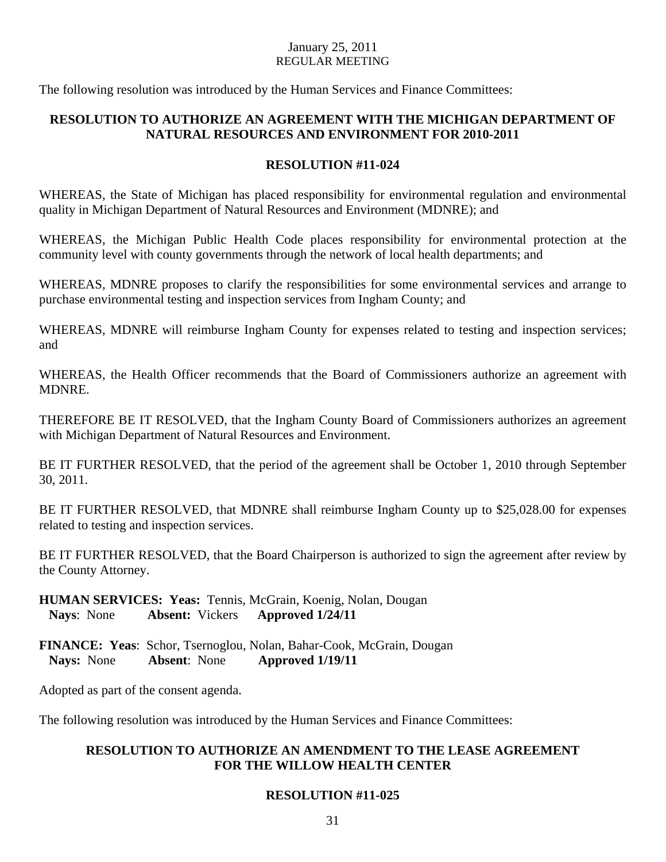The following resolution was introduced by the Human Services and Finance Committees:

## **RESOLUTION TO AUTHORIZE AN AGREEMENT WITH THE MICHIGAN DEPARTMENT OF NATURAL RESOURCES AND ENVIRONMENT FOR 2010-2011**

## **RESOLUTION #11-024**

WHEREAS, the State of Michigan has placed responsibility for environmental regulation and environmental quality in Michigan Department of Natural Resources and Environment (MDNRE); and

WHEREAS, the Michigan Public Health Code places responsibility for environmental protection at the community level with county governments through the network of local health departments; and

WHEREAS, MDNRE proposes to clarify the responsibilities for some environmental services and arrange to purchase environmental testing and inspection services from Ingham County; and

WHEREAS, MDNRE will reimburse Ingham County for expenses related to testing and inspection services; and

WHEREAS, the Health Officer recommends that the Board of Commissioners authorize an agreement with MDNRE.

THEREFORE BE IT RESOLVED, that the Ingham County Board of Commissioners authorizes an agreement with Michigan Department of Natural Resources and Environment.

BE IT FURTHER RESOLVED, that the period of the agreement shall be October 1, 2010 through September 30, 2011.

BE IT FURTHER RESOLVED, that MDNRE shall reimburse Ingham County up to \$25,028.00 for expenses related to testing and inspection services.

BE IT FURTHER RESOLVED, that the Board Chairperson is authorized to sign the agreement after review by the County Attorney.

**HUMAN SERVICES: Yeas:** Tennis, McGrain, Koenig, Nolan, Dougan **Nays**: None **Absent:** Vickers **Approved 1/24/11**

**FINANCE: Yeas**: Schor, Tsernoglou, Nolan, Bahar-Cook, McGrain, Dougan  **Nays:** None **Absent**: None **Approved 1/19/11** 

Adopted as part of the consent agenda.

The following resolution was introduced by the Human Services and Finance Committees:

## **RESOLUTION TO AUTHORIZE AN AMENDMENT TO THE LEASE AGREEMENT FOR THE WILLOW HEALTH CENTER**

## **RESOLUTION #11-025**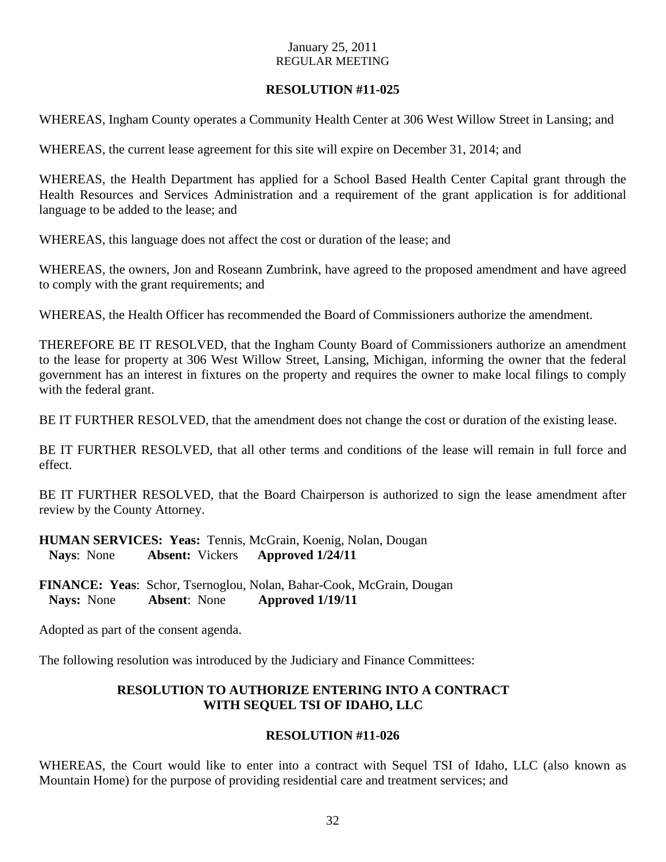## **RESOLUTION #11-025**

WHEREAS, Ingham County operates a Community Health Center at 306 West Willow Street in Lansing; and

WHEREAS, the current lease agreement for this site will expire on December 31, 2014; and

WHEREAS, the Health Department has applied for a School Based Health Center Capital grant through the Health Resources and Services Administration and a requirement of the grant application is for additional language to be added to the lease; and

WHEREAS, this language does not affect the cost or duration of the lease; and

WHEREAS, the owners, Jon and Roseann Zumbrink, have agreed to the proposed amendment and have agreed to comply with the grant requirements; and

WHEREAS, the Health Officer has recommended the Board of Commissioners authorize the amendment.

THEREFORE BE IT RESOLVED, that the Ingham County Board of Commissioners authorize an amendment to the lease for property at 306 West Willow Street, Lansing, Michigan, informing the owner that the federal government has an interest in fixtures on the property and requires the owner to make local filings to comply with the federal grant.

BE IT FURTHER RESOLVED, that the amendment does not change the cost or duration of the existing lease.

BE IT FURTHER RESOLVED, that all other terms and conditions of the lease will remain in full force and effect.

BE IT FURTHER RESOLVED, that the Board Chairperson is authorized to sign the lease amendment after review by the County Attorney.

**HUMAN SERVICES: Yeas:** Tennis, McGrain, Koenig, Nolan, Dougan **Nays**: None **Absent:** Vickers **Approved 1/24/11**

**FINANCE: Yeas**: Schor, Tsernoglou, Nolan, Bahar-Cook, McGrain, Dougan  **Nays:** None **Absent**: None **Approved 1/19/11** 

Adopted as part of the consent agenda.

The following resolution was introduced by the Judiciary and Finance Committees:

## **RESOLUTION TO AUTHORIZE ENTERING INTO A CONTRACT WITH SEQUEL TSI OF IDAHO, LLC**

## **RESOLUTION #11-026**

WHEREAS, the Court would like to enter into a contract with Sequel TSI of Idaho, LLC (also known as Mountain Home) for the purpose of providing residential care and treatment services; and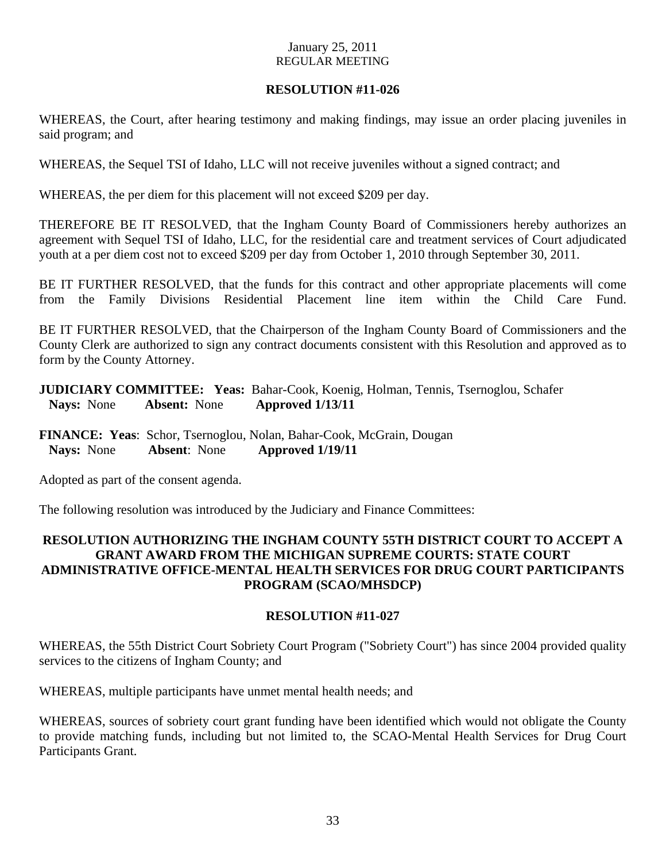## **RESOLUTION #11-026**

WHEREAS, the Court, after hearing testimony and making findings, may issue an order placing juveniles in said program; and

WHEREAS, the Sequel TSI of Idaho, LLC will not receive juveniles without a signed contract; and

WHEREAS, the per diem for this placement will not exceed \$209 per day.

THEREFORE BE IT RESOLVED, that the Ingham County Board of Commissioners hereby authorizes an agreement with Sequel TSI of Idaho, LLC, for the residential care and treatment services of Court adjudicated youth at a per diem cost not to exceed \$209 per day from October 1, 2010 through September 30, 2011.

BE IT FURTHER RESOLVED, that the funds for this contract and other appropriate placements will come from the Family Divisions Residential Placement line item within the Child Care Fund.

BE IT FURTHER RESOLVED, that the Chairperson of the Ingham County Board of Commissioners and the County Clerk are authorized to sign any contract documents consistent with this Resolution and approved as to form by the County Attorney.

**JUDICIARY COMMITTEE: Yeas:** Bahar-Cook, Koenig, Holman, Tennis, Tsernoglou, Schafer  **Nays:** None **Absent:** None **Approved 1/13/11** 

**FINANCE: Yeas**: Schor, Tsernoglou, Nolan, Bahar-Cook, McGrain, Dougan  **Nays:** None **Absent**: None **Approved 1/19/11** 

Adopted as part of the consent agenda.

The following resolution was introduced by the Judiciary and Finance Committees:

## **RESOLUTION AUTHORIZING THE INGHAM COUNTY 55TH DISTRICT COURT TO ACCEPT A GRANT AWARD FROM THE MICHIGAN SUPREME COURTS: STATE COURT ADMINISTRATIVE OFFICE-MENTAL HEALTH SERVICES FOR DRUG COURT PARTICIPANTS PROGRAM (SCAO/MHSDCP)**

## **RESOLUTION #11-027**

WHEREAS, the 55th District Court Sobriety Court Program ("Sobriety Court") has since 2004 provided quality services to the citizens of Ingham County; and

WHEREAS, multiple participants have unmet mental health needs; and

WHEREAS, sources of sobriety court grant funding have been identified which would not obligate the County to provide matching funds, including but not limited to, the SCAO-Mental Health Services for Drug Court Participants Grant.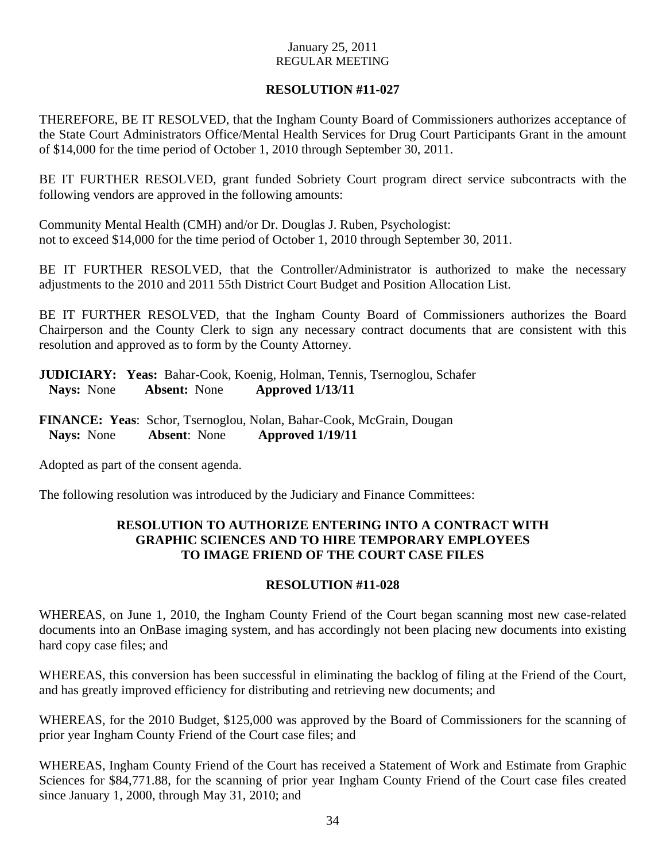## **RESOLUTION #11-027**

THEREFORE, BE IT RESOLVED, that the Ingham County Board of Commissioners authorizes acceptance of the State Court Administrators Office/Mental Health Services for Drug Court Participants Grant in the amount of \$14,000 for the time period of October 1, 2010 through September 30, 2011.

BE IT FURTHER RESOLVED, grant funded Sobriety Court program direct service subcontracts with the following vendors are approved in the following amounts:

Community Mental Health (CMH) and/or Dr. Douglas J. Ruben, Psychologist: not to exceed \$14,000 for the time period of October 1, 2010 through September 30, 2011.

BE IT FURTHER RESOLVED, that the Controller/Administrator is authorized to make the necessary adjustments to the 2010 and 2011 55th District Court Budget and Position Allocation List.

BE IT FURTHER RESOLVED, that the Ingham County Board of Commissioners authorizes the Board Chairperson and the County Clerk to sign any necessary contract documents that are consistent with this resolution and approved as to form by the County Attorney.

**JUDICIARY: Yeas:** Bahar-Cook, Koenig, Holman, Tennis, Tsernoglou, Schafer  **Nays:** None **Absent:** None **Approved 1/13/11** 

**FINANCE: Yeas**: Schor, Tsernoglou, Nolan, Bahar-Cook, McGrain, Dougan  **Nays:** None **Absent**: None **Approved 1/19/11** 

Adopted as part of the consent agenda.

The following resolution was introduced by the Judiciary and Finance Committees:

## **RESOLUTION TO AUTHORIZE ENTERING INTO A CONTRACT WITH GRAPHIC SCIENCES AND TO HIRE TEMPORARY EMPLOYEES TO IMAGE FRIEND OF THE COURT CASE FILES**

## **RESOLUTION #11-028**

WHEREAS, on June 1, 2010, the Ingham County Friend of the Court began scanning most new case-related documents into an OnBase imaging system, and has accordingly not been placing new documents into existing hard copy case files; and

WHEREAS, this conversion has been successful in eliminating the backlog of filing at the Friend of the Court, and has greatly improved efficiency for distributing and retrieving new documents; and

WHEREAS, for the 2010 Budget, \$125,000 was approved by the Board of Commissioners for the scanning of prior year Ingham County Friend of the Court case files; and

WHEREAS, Ingham County Friend of the Court has received a Statement of Work and Estimate from Graphic Sciences for \$84,771.88, for the scanning of prior year Ingham County Friend of the Court case files created since January 1, 2000, through May 31, 2010; and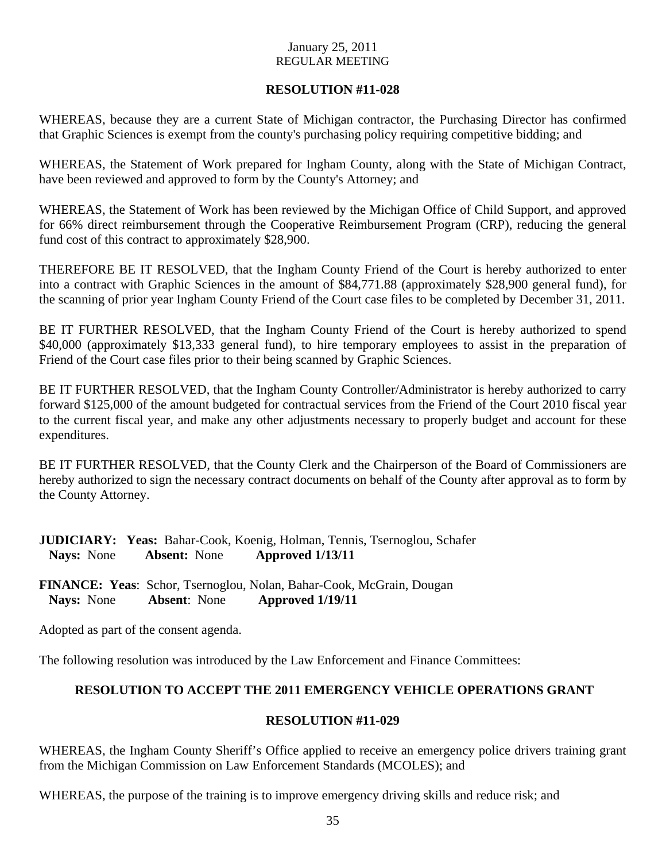## **RESOLUTION #11-028**

WHEREAS, because they are a current State of Michigan contractor, the Purchasing Director has confirmed that Graphic Sciences is exempt from the county's purchasing policy requiring competitive bidding; and

WHEREAS, the Statement of Work prepared for Ingham County, along with the State of Michigan Contract, have been reviewed and approved to form by the County's Attorney; and

WHEREAS, the Statement of Work has been reviewed by the Michigan Office of Child Support, and approved for 66% direct reimbursement through the Cooperative Reimbursement Program (CRP), reducing the general fund cost of this contract to approximately \$28,900.

THEREFORE BE IT RESOLVED, that the Ingham County Friend of the Court is hereby authorized to enter into a contract with Graphic Sciences in the amount of \$84,771.88 (approximately \$28,900 general fund), for the scanning of prior year Ingham County Friend of the Court case files to be completed by December 31, 2011.

BE IT FURTHER RESOLVED, that the Ingham County Friend of the Court is hereby authorized to spend \$40,000 (approximately \$13,333 general fund), to hire temporary employees to assist in the preparation of Friend of the Court case files prior to their being scanned by Graphic Sciences.

BE IT FURTHER RESOLVED, that the Ingham County Controller/Administrator is hereby authorized to carry forward \$125,000 of the amount budgeted for contractual services from the Friend of the Court 2010 fiscal year to the current fiscal year, and make any other adjustments necessary to properly budget and account for these expenditures.

BE IT FURTHER RESOLVED, that the County Clerk and the Chairperson of the Board of Commissioners are hereby authorized to sign the necessary contract documents on behalf of the County after approval as to form by the County Attorney.

|                   |                     | <b>JUDICIARY:</b> Yeas: Bahar-Cook, Koenig, Holman, Tennis, Tsernoglou, Schafer |
|-------------------|---------------------|---------------------------------------------------------------------------------|
| <b>Nays:</b> None | <b>Absent:</b> None | Approved 1/13/11                                                                |

**FINANCE: Yeas**: Schor, Tsernoglou, Nolan, Bahar-Cook, McGrain, Dougan  **Nays:** None **Absent**: None **Approved 1/19/11** 

Adopted as part of the consent agenda.

The following resolution was introduced by the Law Enforcement and Finance Committees:

## **RESOLUTION TO ACCEPT THE 2011 EMERGENCY VEHICLE OPERATIONS GRANT**

## **RESOLUTION #11-029**

WHEREAS, the Ingham County Sheriff's Office applied to receive an emergency police drivers training grant from the Michigan Commission on Law Enforcement Standards (MCOLES); and

WHEREAS, the purpose of the training is to improve emergency driving skills and reduce risk; and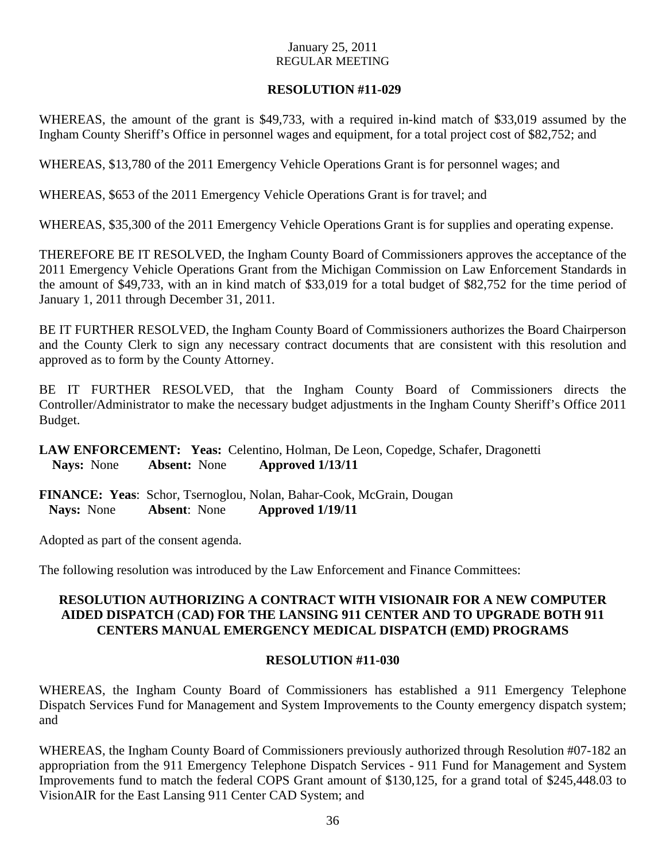## **RESOLUTION #11-029**

WHEREAS, the amount of the grant is \$49,733, with a required in-kind match of \$33,019 assumed by the Ingham County Sheriff's Office in personnel wages and equipment, for a total project cost of \$82,752; and

WHEREAS, \$13,780 of the 2011 Emergency Vehicle Operations Grant is for personnel wages; and

WHEREAS, \$653 of the 2011 Emergency Vehicle Operations Grant is for travel; and

WHEREAS, \$35,300 of the 2011 Emergency Vehicle Operations Grant is for supplies and operating expense.

THEREFORE BE IT RESOLVED, the Ingham County Board of Commissioners approves the acceptance of the 2011 Emergency Vehicle Operations Grant from the Michigan Commission on Law Enforcement Standards in the amount of \$49,733, with an in kind match of \$33,019 for a total budget of \$82,752 for the time period of January 1, 2011 through December 31, 2011.

BE IT FURTHER RESOLVED, the Ingham County Board of Commissioners authorizes the Board Chairperson and the County Clerk to sign any necessary contract documents that are consistent with this resolution and approved as to form by the County Attorney.

BE IT FURTHER RESOLVED, that the Ingham County Board of Commissioners directs the Controller/Administrator to make the necessary budget adjustments in the Ingham County Sheriff's Office 2011 Budget.

**LAW ENFORCEMENT: Yeas:** Celentino, Holman, De Leon, Copedge, Schafer, Dragonetti **Nays:** None **Absent:** None **Approved 1/13/11** 

**FINANCE: Yeas**: Schor, Tsernoglou, Nolan, Bahar-Cook, McGrain, Dougan  **Nays:** None **Absent**: None **Approved 1/19/11** 

Adopted as part of the consent agenda.

The following resolution was introduced by the Law Enforcement and Finance Committees:

## **RESOLUTION AUTHORIZING A CONTRACT WITH VISIONAIR FOR A NEW COMPUTER AIDED DISPATCH** (**CAD) FOR THE LANSING 911 CENTER AND TO UPGRADE BOTH 911 CENTERS MANUAL EMERGENCY MEDICAL DISPATCH (EMD) PROGRAMS**

## **RESOLUTION #11-030**

WHEREAS, the Ingham County Board of Commissioners has established a 911 Emergency Telephone Dispatch Services Fund for Management and System Improvements to the County emergency dispatch system; and

WHEREAS, the Ingham County Board of Commissioners previously authorized through Resolution #07-182 an appropriation from the 911 Emergency Telephone Dispatch Services - 911 Fund for Management and System Improvements fund to match the federal COPS Grant amount of \$130,125, for a grand total of \$245,448.03 to VisionAIR for the East Lansing 911 Center CAD System; and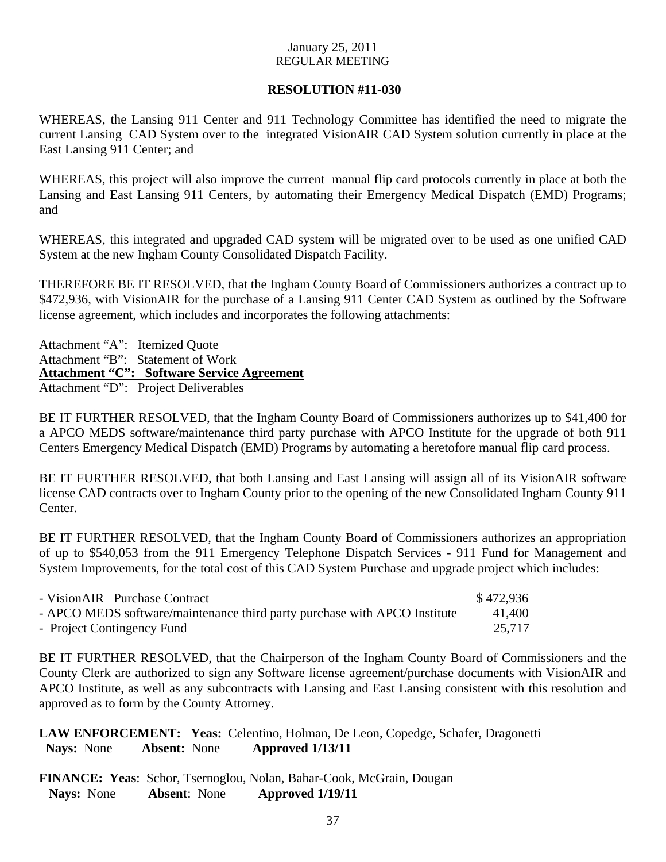## **RESOLUTION #11-030**

WHEREAS, the Lansing 911 Center and 911 Technology Committee has identified the need to migrate the current Lansing CAD System over to the integrated VisionAIR CAD System solution currently in place at the East Lansing 911 Center; and

WHEREAS, this project will also improve the current manual flip card protocols currently in place at both the Lansing and East Lansing 911 Centers, by automating their Emergency Medical Dispatch (EMD) Programs; and

WHEREAS, this integrated and upgraded CAD system will be migrated over to be used as one unified CAD System at the new Ingham County Consolidated Dispatch Facility.

THEREFORE BE IT RESOLVED, that the Ingham County Board of Commissioners authorizes a contract up to \$472,936, with VisionAIR for the purchase of a Lansing 911 Center CAD System as outlined by the Software license agreement, which includes and incorporates the following attachments:

Attachment "A": Itemized Quote Attachment "B": Statement of Work **Attachment "C": Software Service Agreement** Attachment "D": Project Deliverables

BE IT FURTHER RESOLVED, that the Ingham County Board of Commissioners authorizes up to \$41,400 for a APCO MEDS software/maintenance third party purchase with APCO Institute for the upgrade of both 911 Centers Emergency Medical Dispatch (EMD) Programs by automating a heretofore manual flip card process.

BE IT FURTHER RESOLVED, that both Lansing and East Lansing will assign all of its VisionAIR software license CAD contracts over to Ingham County prior to the opening of the new Consolidated Ingham County 911 Center.

BE IT FURTHER RESOLVED, that the Ingham County Board of Commissioners authorizes an appropriation of up to \$540,053 from the 911 Emergency Telephone Dispatch Services - 911 Fund for Management and System Improvements, for the total cost of this CAD System Purchase and upgrade project which includes:

| - VisionAIR Purchase Contract                                             | \$472.936 |
|---------------------------------------------------------------------------|-----------|
| - APCO MEDS software/maintenance third party purchase with APCO Institute | 41.400    |
| - Project Contingency Fund                                                | 25.717    |

BE IT FURTHER RESOLVED, that the Chairperson of the Ingham County Board of Commissioners and the County Clerk are authorized to sign any Software license agreement/purchase documents with VisionAIR and APCO Institute, as well as any subcontracts with Lansing and East Lansing consistent with this resolution and approved as to form by the County Attorney.

**LAW ENFORCEMENT: Yeas:** Celentino, Holman, De Leon, Copedge, Schafer, Dragonetti  **Nays:** None **Absent:** None **Approved 1/13/11** 

**FINANCE: Yeas**: Schor, Tsernoglou, Nolan, Bahar-Cook, McGrain, Dougan  **Nays:** None **Absent**: None **Approved 1/19/11**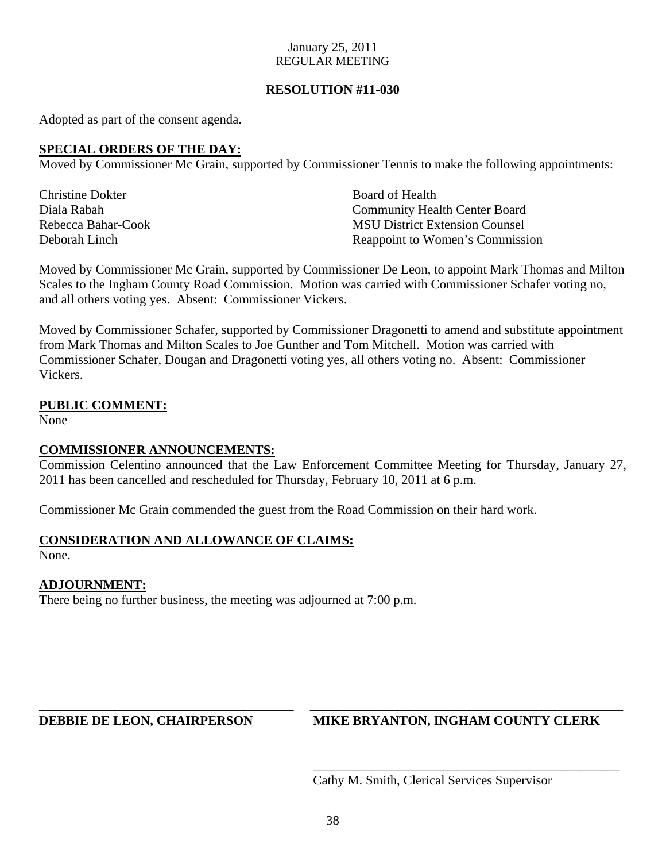## **RESOLUTION #11-030**

Adopted as part of the consent agenda.

## **SPECIAL ORDERS OF THE DAY:**

Moved by Commissioner Mc Grain, supported by Commissioner Tennis to make the following appointments:

**Christine Dokter Southern Christian Contract Christian Christian Christian Christian Christian Christian Christian Christian Christian Christian Christian Christian Christian Christian Christian Christian Christian Christ** 

Diala Rabah Community Health Center Board Rebecca Bahar-Cook MSU District Extension Counsel Deborah Linch Reappoint to Women's Commission

Moved by Commissioner Mc Grain, supported by Commissioner De Leon, to appoint Mark Thomas and Milton Scales to the Ingham County Road Commission. Motion was carried with Commissioner Schafer voting no, and all others voting yes. Absent: Commissioner Vickers.

Moved by Commissioner Schafer, supported by Commissioner Dragonetti to amend and substitute appointment from Mark Thomas and Milton Scales to Joe Gunther and Tom Mitchell. Motion was carried with Commissioner Schafer, Dougan and Dragonetti voting yes, all others voting no. Absent: Commissioner Vickers.

## **PUBLIC COMMENT:**

None

## **COMMISSIONER ANNOUNCEMENTS:**

Commission Celentino announced that the Law Enforcement Committee Meeting for Thursday, January 27, 2011 has been cancelled and rescheduled for Thursday, February 10, 2011 at 6 p.m.

Commissioner Mc Grain commended the guest from the Road Commission on their hard work.

## **CONSIDERATION AND ALLOWANCE OF CLAIMS:**

None.

## **ADJOURNMENT:**

There being no further business, the meeting was adjourned at 7:00 p.m.

## **DEBBIE DE LEON, CHAIRPERSON MIKE BRYANTON, INGHAM COUNTY CLERK**

Cathy M. Smith, Clerical Services Supervisor

\_\_\_\_\_\_\_\_\_\_\_\_\_\_\_\_\_\_\_\_\_\_\_\_\_\_\_\_\_\_\_\_\_\_\_\_\_\_\_\_\_\_\_\_\_\_\_

\_\_\_\_\_\_\_\_\_\_\_\_\_\_\_\_\_\_\_\_\_\_\_\_\_\_\_\_\_\_\_\_\_\_\_\_\_\_\_ \_\_\_\_\_\_\_\_\_\_\_\_\_\_\_\_\_\_\_\_\_\_\_\_\_\_\_\_\_\_\_\_\_\_\_\_\_\_\_\_\_\_\_\_\_\_\_\_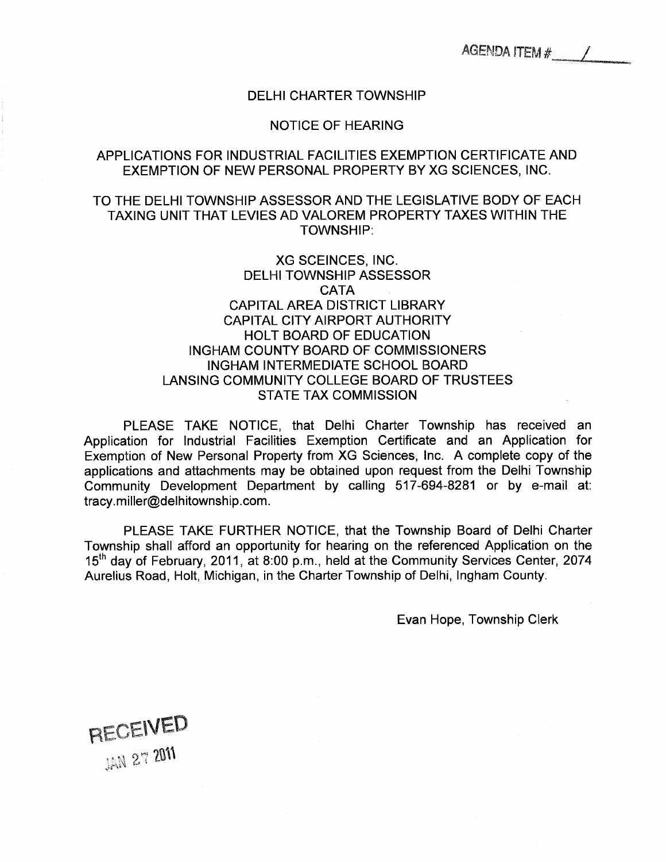#### DELHI CHARTER TOWNSHIP

#### NOTICE OF HEARING

## <span id="page-38-0"></span>APPLICATIONS FOR INDUSTRIAL FACILITIES EXEMPTION CERTIFICATE AND EXEMPTION OF NEW PERSONAL PROPERTY BY XG SCIENCES, INC.

## TO THE DELHI TOWNSHIP ASSESSOR AND THE LEGISLATIVE BODY OF EACH TAXING UNIT THAT LEVIES AD VALOREM PROPERTY TAXES WITHIN THE TOWNSHIP:

## XG SCEINCES, INC. DELHI TOWNSHIP ASSESSOR **CATA** CAPITAL AREA DISTRICT LIBRARY CAPITAL CITY AIRPORT AUTHORITY HOLT BOARD OF EDUCATION INGHAM COUNTY BOARD OF COMMISSIONERS INGHAM INTERMEDIATE SCHOOL BOARD LANSING COMMUNITY COLLEGE BOARD OF TRUSTEES STATE TAX COMMISSION

PLEASE TAKE NOTICE, that Delhi Charter Township has received an Application for Industrial Facilities Exemption Certificate and an Application for Exemption of New Personal Property from XG Sciences, Inc. A complete copy of the applications and attachments may be obtained upon request from the Delhi Township Community Development Department by calling 517-694-8281 or by e-mail at: tracy.miller@delhitownship.com.

PLEASE TAKE FURTHER NOTICE, that the Township Board of Delhi Charter Township shall afford an opportunity for hearing on the referenced Application on the 15th day of February, 2011, at 8:00 p.m., held at the Community Services Center, 2074 Aurelius Road, Holt, Michigan, in the Charter Township of Delhi, Ingham County.

Evan Hope, Township Clerk

RECEIVED **TAN 27 2011**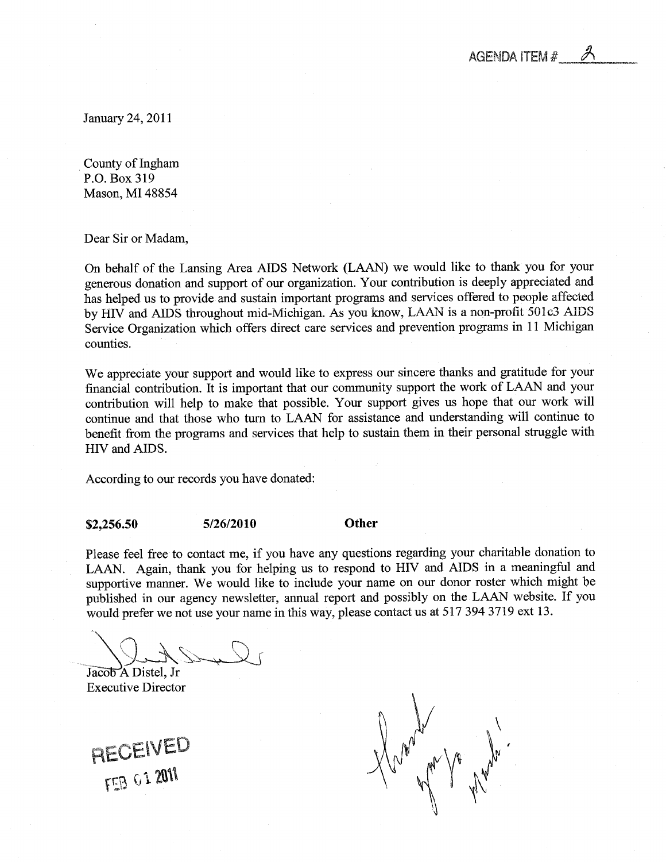

<span id="page-39-0"></span>January 24, 2011

County of Ingham P.O. Box 319 Mason, MI 48854

Dear Sir or Madam,

On behalf of the Lansing Area AIDS Network (LAAN) we would like to thank you for your generous donation and support of our organization. Your contribution is deeply appreciated and has helped us to provide and sustain important programs and services offered to people affected by HIV and AIDS throughout mid-Michigan. As you know, LAAN is a non-profit 501c3 AIDS Service Organization which offers direct care services and prevention programs in 11 Michigan counties.

We appreciate your support and would like to express our sincere thanks and gratitude for your financial contribution. It is important that our community support the work of LAAN and your contribution will help to make that possible. Your support gives us hope that our work will continue and that those who turn to LAAN for assistance and understanding will continue to benefit from the programs and services that help to sustain them in their personal struggle with HIV and AIDS.

According to our records you have donated:

\$2,256.50 5/26/2010 Other

Please feel free to contact me, if you have any questions regarding your charitable donation to LAAN. Again, thank you for helping us to respond to HIV and AIDS in a meaningful and supportive manner. We would like to include your name on our donor roster which might be published in our agency newsletter, annual report and possibly on the LAAN website. If you would prefer we not use your name in this way, please contact us at 517 394 3719 ext 13.

Jacob A Distel, Jr Executive Director

RECEIVED FEB G1 2011

Young le la mayo.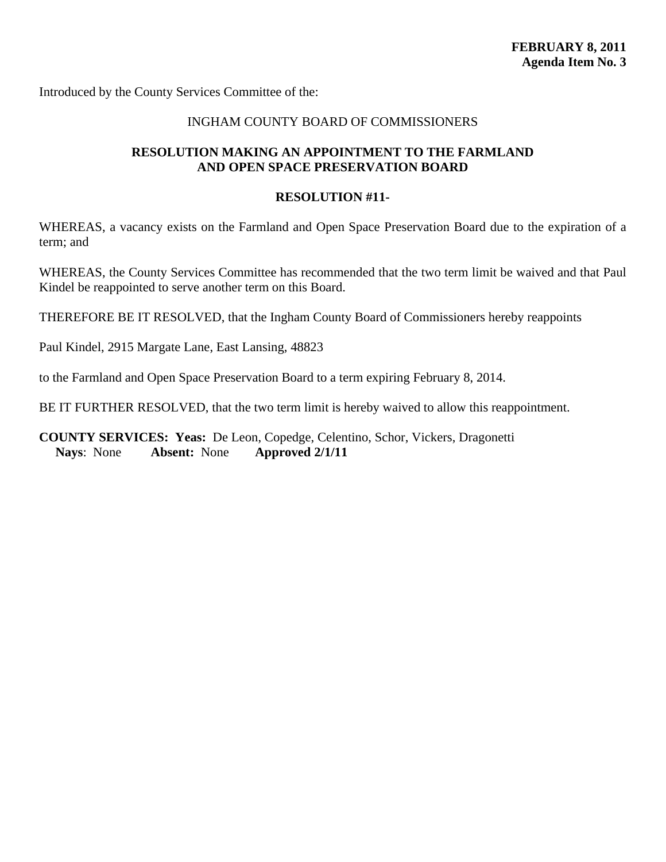<span id="page-40-0"></span>Introduced by the County Services Committee of the:

#### INGHAM COUNTY BOARD OF COMMISSIONERS

## **RESOLUTION MAKING AN APPOINTMENT TO THE FARMLAND AND OPEN SPACE PRESERVATION BOARD**

#### **RESOLUTION #11-**

WHEREAS, a vacancy exists on the Farmland and Open Space Preservation Board due to the expiration of a term; and

WHEREAS, the County Services Committee has recommended that the two term limit be waived and that Paul Kindel be reappointed to serve another term on this Board.

THEREFORE BE IT RESOLVED, that the Ingham County Board of Commissioners hereby reappoints

Paul Kindel, 2915 Margate Lane, East Lansing, 48823

to the Farmland and Open Space Preservation Board to a term expiring February 8, 2014.

BE IT FURTHER RESOLVED, that the two term limit is hereby waived to allow this reappointment.

**COUNTY SERVICES: Yeas:** De Leon, Copedge, Celentino, Schor, Vickers, Dragonetti **Nays**: None **Absent:** None **Approved 2/1/11**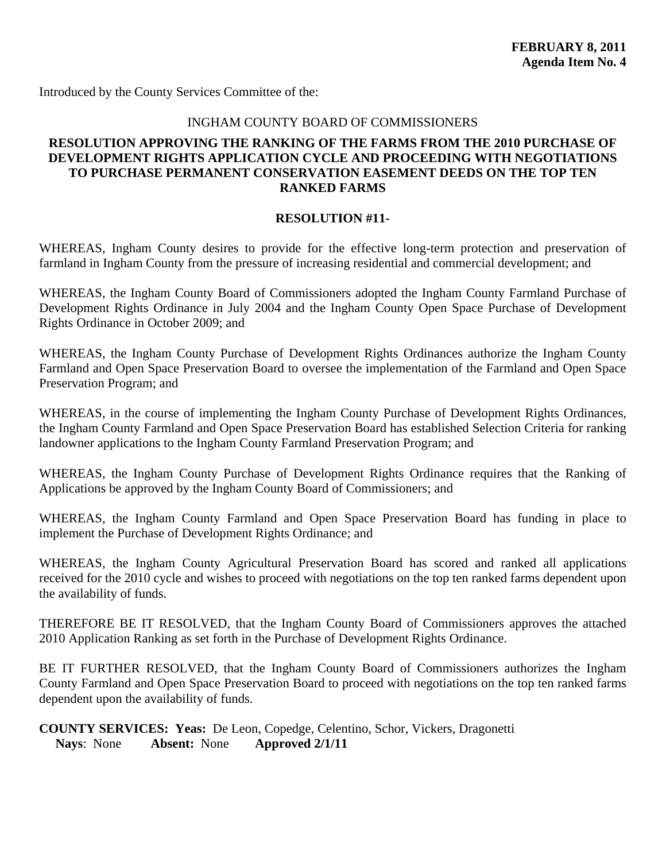<span id="page-41-0"></span>Introduced by the County Services Committee of the:

## INGHAM COUNTY BOARD OF COMMISSIONERS

## **RESOLUTION APPROVING THE RANKING OF THE FARMS FROM THE 2010 PURCHASE OF DEVELOPMENT RIGHTS APPLICATION CYCLE AND PROCEEDING WITH NEGOTIATIONS TO PURCHASE PERMANENT CONSERVATION EASEMENT DEEDS ON THE TOP TEN RANKED FARMS**

#### **RESOLUTION #11-**

WHEREAS, Ingham County desires to provide for the effective long-term protection and preservation of farmland in Ingham County from the pressure of increasing residential and commercial development; and

WHEREAS, the Ingham County Board of Commissioners adopted the Ingham County Farmland Purchase of Development Rights Ordinance in July 2004 and the Ingham County Open Space Purchase of Development Rights Ordinance in October 2009; and

WHEREAS, the Ingham County Purchase of Development Rights Ordinances authorize the Ingham County Farmland and Open Space Preservation Board to oversee the implementation of the Farmland and Open Space Preservation Program; and

WHEREAS, in the course of implementing the Ingham County Purchase of Development Rights Ordinances, the Ingham County Farmland and Open Space Preservation Board has established Selection Criteria for ranking landowner applications to the Ingham County Farmland Preservation Program; and

WHEREAS, the Ingham County Purchase of Development Rights Ordinance requires that the Ranking of Applications be approved by the Ingham County Board of Commissioners; and

WHEREAS, the Ingham County Farmland and Open Space Preservation Board has funding in place to implement the Purchase of Development Rights Ordinance; and

WHEREAS, the Ingham County Agricultural Preservation Board has scored and ranked all applications received for the 2010 cycle and wishes to proceed with negotiations on the top ten ranked farms dependent upon the availability of funds.

THEREFORE BE IT RESOLVED, that the Ingham County Board of Commissioners approves the attached 2010 Application Ranking as set forth in the Purchase of Development Rights Ordinance.

BE IT FURTHER RESOLVED, that the Ingham County Board of Commissioners authorizes the Ingham County Farmland and Open Space Preservation Board to proceed with negotiations on the top ten ranked farms dependent upon the availability of funds.

**COUNTY SERVICES: Yeas:** De Leon, Copedge, Celentino, Schor, Vickers, Dragonetti **Nays**: None **Absent:** None **Approved 2/1/11**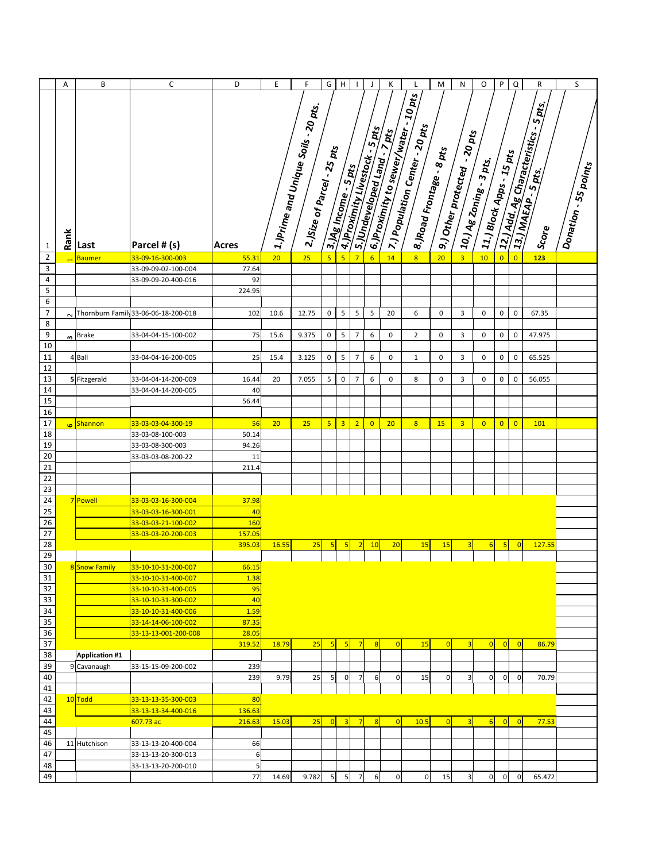|                           | A              | B                     | $\mathsf C$                                | D        | E     | F                                                                                                             | G               | Н                       | $\mathbf{I}$   | J                                | Κ                             | L                                                                                                                    | M              | ${\sf N}$                                           | O                                                                                           | P              | $\mathsf Q$    | R                                       | S                    |
|---------------------------|----------------|-----------------------|--------------------------------------------|----------|-------|---------------------------------------------------------------------------------------------------------------|-----------------|-------------------------|----------------|----------------------------------|-------------------------------|----------------------------------------------------------------------------------------------------------------------|----------------|-----------------------------------------------------|---------------------------------------------------------------------------------------------|----------------|----------------|-----------------------------------------|----------------------|
|                           |                |                       |                                            |          |       | <mark>å</mark> 1.)Prime and Unique Soils - 20 pts.<br>.<br>$\overline{\textbf{1}}$ 2.)Size of Parcel - 25 pts |                 | 3. Mg Income - 5 pts    |                | A A. Proximity Livestock - 5 pts | Lis, Undeveloped Land . 7 pts | a 6. Provincity to sewer/water - 10 pts<br>- 7.) Population Center - 20 pts<br><sup>1</sup> 8.)Road Frontage - 8 pts |                | <mark>.</mark> 9.) Other protected - 20 pts<br>Apts | $\frac{1}{2}$ $11$ .) Block Apps - $15$ pts<br>$\int 10/\lambda_{\rm g} z_{0ning}$ . 3 pts. |                |                | a 12.) Add. Ag Characteristics - 5 pts. | Donation - 55 points |
|                           | Rank           |                       |                                            |          |       |                                                                                                               |                 |                         |                |                                  |                               |                                                                                                                      |                |                                                     |                                                                                             |                |                | Score                                   |                      |
| $\mathbf{1}$              |                | Last                  | Parcel # (s)                               | Acres    |       |                                                                                                               |                 |                         |                |                                  |                               |                                                                                                                      |                |                                                     |                                                                                             |                |                |                                         |                      |
| $\mathbf 2$               | $\blacksquare$ | <b>Baumer</b>         | 33-09-16-300-003                           | 55.31    | 20    | 25                                                                                                            | $5\overline{5}$ | $\overline{5}$          | $\overline{7}$ | 6                                | 14                            | 8                                                                                                                    | 20             | $\overline{3}$                                      | 10                                                                                          | $\overline{0}$ | $\overline{0}$ | 123                                     |                      |
| $\ensuremath{\mathsf{3}}$ |                |                       | 33-09-09-02-100-004                        | 77.64    |       |                                                                                                               |                 |                         |                |                                  |                               |                                                                                                                      |                |                                                     |                                                                                             |                |                |                                         |                      |
| $\overline{4}$            |                |                       | 33-09-09-20-400-016                        | 92       |       |                                                                                                               |                 |                         |                |                                  |                               |                                                                                                                      |                |                                                     |                                                                                             |                |                |                                         |                      |
| 5                         |                |                       |                                            | 224.95   |       |                                                                                                               |                 |                         |                |                                  |                               |                                                                                                                      |                |                                                     |                                                                                             |                |                |                                         |                      |
| $\,6\,$                   |                |                       |                                            |          |       |                                                                                                               |                 |                         |                |                                  |                               |                                                                                                                      |                |                                                     |                                                                                             |                |                |                                         |                      |
| $\overline{7}$            |                |                       | Thornburn Family 33-06-06-18-200-018       | 102      | 10.6  | 12.75                                                                                                         | 0               | 5                       | 5              | 5                                | 20                            | 6                                                                                                                    | 0              | 3                                                   | 0                                                                                           | 0              | $\mathbf 0$    | 67.35                                   |                      |
| 8<br>9                    |                |                       |                                            |          |       |                                                                                                               |                 |                         |                |                                  |                               |                                                                                                                      |                |                                                     |                                                                                             |                |                |                                         |                      |
| 10                        |                | $\frac{1}{2}$ Brake   | 33-04-04-15-100-002                        | 75       | 15.6  | 9.375                                                                                                         | 0               | 5                       | $\overline{7}$ | 6                                | 0                             | $\overline{2}$                                                                                                       | 0              | 3                                                   | 0                                                                                           | 0              | $\pmb{0}$      | 47.975                                  |                      |
| 11                        |                | 4 Ball                | 33-04-04-16-200-005                        | 25       | 15.4  | 3.125                                                                                                         | $\pmb{0}$       | 5                       | $\overline{7}$ | 6                                | 0                             | $\mathbf{1}$                                                                                                         | 0              | 3                                                   | 0                                                                                           | $\pmb{0}$      | $\pmb{0}$      | 65.525                                  |                      |
| 12                        |                |                       |                                            |          |       |                                                                                                               |                 |                         |                |                                  |                               |                                                                                                                      |                |                                                     |                                                                                             |                |                |                                         |                      |
| 13                        |                | 5 Fitzgerald          | 33-04-04-14-200-009                        | 16.44    | 20    | 7.055                                                                                                         | 5               | $\pmb{0}$               | $\overline{7}$ | 6                                | 0                             | 8                                                                                                                    | $\pmb{0}$      | 3                                                   | $\pmb{0}$                                                                                   | $\mathbf 0$    | $\mathbf 0$    | 56.055                                  |                      |
| 14                        |                |                       | 33-04-04-14-200-005                        | 40       |       |                                                                                                               |                 |                         |                |                                  |                               |                                                                                                                      |                |                                                     |                                                                                             |                |                |                                         |                      |
| 15                        |                |                       |                                            | 56.44    |       |                                                                                                               |                 |                         |                |                                  |                               |                                                                                                                      |                |                                                     |                                                                                             |                |                |                                         |                      |
| 16                        |                |                       |                                            |          |       |                                                                                                               |                 |                         |                |                                  |                               |                                                                                                                      |                |                                                     |                                                                                             |                |                |                                         |                      |
| $\overline{17}$           | <b>G</b>       | Shannon               | 33-03-03-04-300-19                         | 56       | 20    | 25                                                                                                            | $5\overline{5}$ | $\overline{\mathbf{3}}$ | 2              | $\overline{0}$                   | 20                            | 8 <sup>2</sup>                                                                                                       | 15             | 3                                                   | $\overline{0}$                                                                              | $\overline{0}$ | $\overline{0}$ | 101                                     |                      |
| 18                        |                |                       | 33-03-08-100-003                           | 50.14    |       |                                                                                                               |                 |                         |                |                                  |                               |                                                                                                                      |                |                                                     |                                                                                             |                |                |                                         |                      |
| 19                        |                |                       | 33-03-08-300-003                           | 94.26    |       |                                                                                                               |                 |                         |                |                                  |                               |                                                                                                                      |                |                                                     |                                                                                             |                |                |                                         |                      |
| 20                        |                |                       | 33-03-03-08-200-22                         | 11       |       |                                                                                                               |                 |                         |                |                                  |                               |                                                                                                                      |                |                                                     |                                                                                             |                |                |                                         |                      |
| $\overline{21}$           |                |                       |                                            | 211.4    |       |                                                                                                               |                 |                         |                |                                  |                               |                                                                                                                      |                |                                                     |                                                                                             |                |                |                                         |                      |
| $\overline{22}$           |                |                       |                                            |          |       |                                                                                                               |                 |                         |                |                                  |                               |                                                                                                                      |                |                                                     |                                                                                             |                |                |                                         |                      |
| $\overline{23}$           |                |                       |                                            |          |       |                                                                                                               |                 |                         |                |                                  |                               |                                                                                                                      |                |                                                     |                                                                                             |                |                |                                         |                      |
| $\overline{24}$           |                | 7 Powell              | 33-03-03-16-300-004                        | 37.98    |       |                                                                                                               |                 |                         |                |                                  |                               |                                                                                                                      |                |                                                     |                                                                                             |                |                |                                         |                      |
| $\overline{25}$           |                |                       | 33-03-03-16-300-001                        | 40       |       |                                                                                                               |                 |                         |                |                                  |                               |                                                                                                                      |                |                                                     |                                                                                             |                |                |                                         |                      |
| 26                        |                |                       | 33-03-03-21-100-002                        | 160      |       |                                                                                                               |                 |                         |                |                                  |                               |                                                                                                                      |                |                                                     |                                                                                             |                |                |                                         |                      |
| $\frac{27}{28}$           |                |                       | 33-03-03-20-200-003                        | 157.05   |       |                                                                                                               |                 |                         |                |                                  |                               |                                                                                                                      |                |                                                     |                                                                                             |                |                |                                         |                      |
|                           |                |                       |                                            | 395.03   | 16.55 | 25                                                                                                            | $5\overline{)}$ | 5                       | $\sqrt{2}$     | 10                               | 20                            | 15                                                                                                                   | 15             | $\overline{3}$                                      | 6                                                                                           | 5              | $\overline{0}$ | 127.55                                  |                      |
| 29                        |                |                       |                                            |          |       |                                                                                                               |                 |                         |                |                                  |                               |                                                                                                                      |                |                                                     |                                                                                             |                |                |                                         |                      |
| 30                        |                | 8 Snow Family         | 33-10-10-31-200-007                        | 66.15    |       |                                                                                                               |                 |                         |                |                                  |                               |                                                                                                                      |                |                                                     |                                                                                             |                |                |                                         |                      |
| 31                        |                |                       | 33-10-10-31-400-007                        | 1.38     |       |                                                                                                               |                 |                         |                |                                  |                               |                                                                                                                      |                |                                                     |                                                                                             |                |                |                                         |                      |
| 32<br>33                  |                |                       | 33-10-10-31-400-005<br>33-10-10-31-300-002 | 95<br>40 |       |                                                                                                               |                 |                         |                |                                  |                               |                                                                                                                      |                |                                                     |                                                                                             |                |                |                                         |                      |
| 34                        |                |                       | 33-10-10-31-400-006                        | 1.59     |       |                                                                                                               |                 |                         |                |                                  |                               |                                                                                                                      |                |                                                     |                                                                                             |                |                |                                         |                      |
| 35                        |                |                       | 33-14-14-06-100-002                        | 87.35    |       |                                                                                                               |                 |                         |                |                                  |                               |                                                                                                                      |                |                                                     |                                                                                             |                |                |                                         |                      |
| 36                        |                |                       | 33-13-13-001-200-008                       | 28.05    |       |                                                                                                               |                 |                         |                |                                  |                               |                                                                                                                      |                |                                                     |                                                                                             |                |                |                                         |                      |
| $\overline{37}$           |                |                       |                                            | 319.52   | 18.79 | 25                                                                                                            | 5               | 5                       | $\overline{7}$ | $\overline{8}$                   | 0                             | 15                                                                                                                   | $\overline{0}$ | $\overline{3}$                                      | $\overline{0}$                                                                              | $\overline{0}$ | $\overline{0}$ | 86.79                                   |                      |
| 38                        |                | <b>Application #1</b> |                                            |          |       |                                                                                                               |                 |                         |                |                                  |                               |                                                                                                                      |                |                                                     |                                                                                             |                |                |                                         |                      |
| 39                        |                | 9 Cavanaugh           | 33-15-15-09-200-002                        | 239      |       |                                                                                                               |                 |                         |                |                                  |                               |                                                                                                                      |                |                                                     |                                                                                             |                |                |                                         |                      |
| 40                        |                |                       |                                            | 239      | 9.79  | 25                                                                                                            | 5               | $\vert 0 \vert$         | 7              | 6                                | 0                             | 15                                                                                                                   | 0              | 3                                                   | $\mathbf 0$                                                                                 | $\overline{0}$ | $\pmb{0}$      | 70.79                                   |                      |
| 41                        |                |                       |                                            |          |       |                                                                                                               |                 |                         |                |                                  |                               |                                                                                                                      |                |                                                     |                                                                                             |                |                |                                         |                      |
| 42                        |                | 10 Todd               | 33-13-13-35-300-003                        | 80       |       |                                                                                                               |                 |                         |                |                                  |                               |                                                                                                                      |                |                                                     |                                                                                             |                |                |                                         |                      |
| 43                        |                |                       | 33-13-13-34-400-016                        | 136.63   |       |                                                                                                               |                 |                         |                |                                  |                               |                                                                                                                      |                |                                                     |                                                                                             |                |                |                                         |                      |
| 44                        |                |                       | 607.73 ac                                  | 216.63   | 15.03 | 25                                                                                                            | $\overline{0}$  | 3                       | $\overline{7}$ | $\overline{8}$                   | 0                             | 10.5                                                                                                                 | $\overline{0}$ | $\overline{3}$                                      | 6                                                                                           | 0              | $\overline{0}$ | 77.53                                   |                      |
| 45                        |                |                       |                                            |          |       |                                                                                                               |                 |                         |                |                                  |                               |                                                                                                                      |                |                                                     |                                                                                             |                |                |                                         |                      |
| 46                        |                | 11 Hutchison          | 33-13-13-20-400-004                        | 66       |       |                                                                                                               |                 |                         |                |                                  |                               |                                                                                                                      |                |                                                     |                                                                                             |                |                |                                         |                      |
| 47                        |                |                       | 33-13-13-20-300-013                        | 6        |       |                                                                                                               |                 |                         |                |                                  |                               |                                                                                                                      |                |                                                     |                                                                                             |                |                |                                         |                      |
| 48                        |                |                       | 33-13-13-20-200-010                        | 5        |       |                                                                                                               |                 |                         |                |                                  |                               |                                                                                                                      |                |                                                     |                                                                                             |                |                |                                         |                      |
| 49                        |                |                       |                                            | 77       | 14.69 | 9.782                                                                                                         | 5 <sub>l</sub>  | 5                       | $\overline{7}$ | $6\,$                            | $\mathbf 0$                   | $\overline{0}$                                                                                                       | 15             | 3                                                   | $\mathbf 0$                                                                                 | $\overline{0}$ | $\mathbf 0$    | 65.472                                  |                      |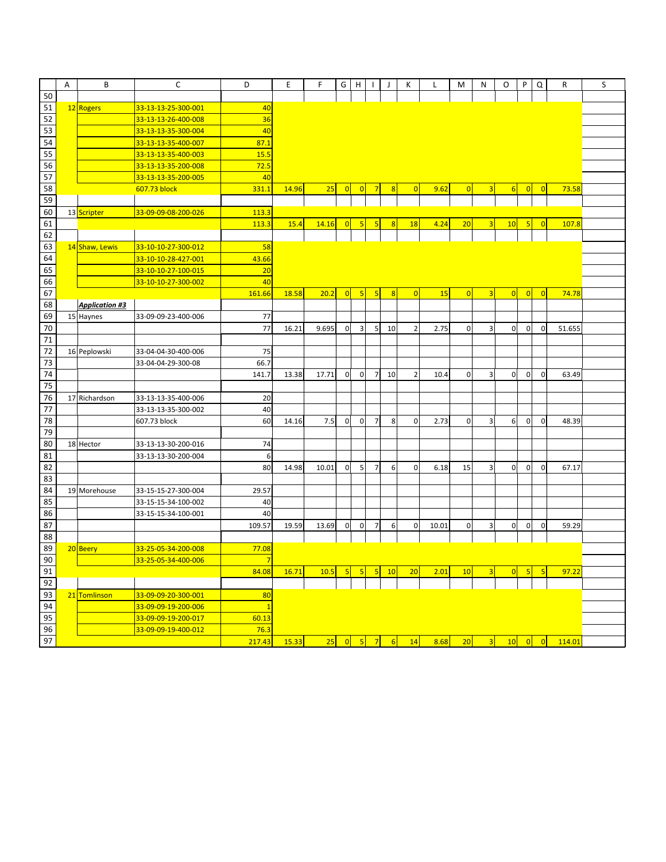|                 | Α | B                     | С                   | D              | Ε     | F     | G               | H              |                |                | Κ              |       | M              | N                       | О              | P              | Q              | R      | S |
|-----------------|---|-----------------------|---------------------|----------------|-------|-------|-----------------|----------------|----------------|----------------|----------------|-------|----------------|-------------------------|----------------|----------------|----------------|--------|---|
| 50              |   |                       |                     |                |       |       |                 |                |                |                |                |       |                |                         |                |                |                |        |   |
| 51              |   | 12 Rogers             | 33-13-13-25-300-001 | 40             |       |       |                 |                |                |                |                |       |                |                         |                |                |                |        |   |
| 52              |   |                       | 33-13-13-26-400-008 | 36             |       |       |                 |                |                |                |                |       |                |                         |                |                |                |        |   |
| 53              |   |                       | 33-13-13-35-300-004 | 40             |       |       |                 |                |                |                |                |       |                |                         |                |                |                |        |   |
| 54              |   |                       | 33-13-13-35-400-007 | 87.1           |       |       |                 |                |                |                |                |       |                |                         |                |                |                |        |   |
| 55              |   |                       | 33-13-13-35-400-003 | 15.5           |       |       |                 |                |                |                |                |       |                |                         |                |                |                |        |   |
| 56              |   |                       | 33-13-13-35-200-008 | 72.5           |       |       |                 |                |                |                |                |       |                |                         |                |                |                |        |   |
| 57              |   |                       | 33-13-13-35-200-005 | 40             |       |       |                 |                |                |                |                |       |                |                         |                |                |                |        |   |
| 58              |   |                       | 607.73 block        | 331.1          | 14.96 | 25    | $\overline{0}$  |                |                |                | $\overline{0}$ | 9.62  | 0              | 3                       | 6              | 0              | $\overline{0}$ | 73.58  |   |
| 59              |   |                       |                     |                |       |       |                 |                |                |                |                |       |                |                         |                |                |                |        |   |
| 60              |   | 13 Scripter           | 33-09-09-08-200-026 | 113.3          |       |       |                 |                |                |                |                |       |                |                         |                |                |                |        |   |
| 61              |   |                       |                     | 113.3          | 15.4  | 14.16 |                 |                |                |                | 18             | 4.24  | 20             | З                       | 10             | 5              |                | 107.8  |   |
| 62              |   |                       |                     |                |       |       |                 |                |                |                |                |       |                |                         |                |                |                |        |   |
| 63              |   | 14 Shaw, Lewis        | 33-10-10-27-300-012 | 58             |       |       |                 |                |                |                |                |       |                |                         |                |                |                |        |   |
| 64              |   |                       | 33-10-10-28-427-001 | 43.66          |       |       |                 |                |                |                |                |       |                |                         |                |                |                |        |   |
| 65              |   |                       | 33-10-10-27-100-015 | 20             |       |       |                 |                |                |                |                |       |                |                         |                |                |                |        |   |
| 66              |   |                       | 33-10-10-27-300-002 | 40             |       |       |                 |                |                |                |                |       |                |                         |                |                |                |        |   |
| 67              |   |                       |                     | 161.66         | 18.58 | 20.2  | $\vert 0 \vert$ | 5              | 5              | $\overline{8}$ | $\overline{0}$ | 15    | $\overline{0}$ | $\overline{\mathbf{3}}$ | $\overline{0}$ | 0              | $\Omega$       | 74.78  |   |
| 68              |   | <b>Application #3</b> |                     |                |       |       |                 |                |                |                |                |       |                |                         |                |                |                |        |   |
| 69              |   | 15 Haynes             | 33-09-09-23-400-006 | 77             |       |       |                 |                |                |                |                |       |                |                         |                |                |                |        |   |
| 70              |   |                       |                     | 77             | 16.21 | 9.695 | $\overline{0}$  | 3              | 5              | 10             | $\overline{2}$ | 2.75  | $\overline{0}$ | 3                       | 0              | $\overline{0}$ | $\overline{0}$ | 51.655 |   |
| 71              |   |                       |                     |                |       |       |                 |                |                |                |                |       |                |                         |                |                |                |        |   |
| $\overline{72}$ |   | 16 Peplowski          | 33-04-04-30-400-006 | 75             |       |       |                 |                |                |                |                |       |                |                         |                |                |                |        |   |
| $\overline{73}$ |   |                       | 33-04-04-29-300-08  | 66.7           |       |       |                 |                |                |                |                |       |                |                         |                |                |                |        |   |
| 74              |   |                       |                     | 141.7          | 13.38 | 17.71 | $\overline{0}$  | $\overline{0}$ | $\overline{7}$ | 10             | $\overline{2}$ | 10.4  | $\overline{0}$ | 3                       | $\overline{0}$ | $\mathbf 0$    | $\overline{0}$ | 63.49  |   |
| 75              |   |                       |                     |                |       |       |                 |                |                |                |                |       |                |                         |                |                |                |        |   |
| 76              |   | 17 Richardson         | 33-13-13-35-400-006 | 20             |       |       |                 |                |                |                |                |       |                |                         |                |                |                |        |   |
| 77              |   |                       | 33-13-13-35-300-002 | 40             |       |       |                 |                |                |                |                |       |                |                         |                |                |                |        |   |
| 78              |   |                       | 607.73 block        | 60             | 14.16 | 7.5   | $\overline{0}$  | $\overline{0}$ | $\overline{7}$ | 8              | $\overline{0}$ | 2.73  | $\overline{0}$ | $\overline{3}$          | 6              | $\mathbf 0$    | $\mathbf{0}$   | 48.39  |   |
| 79              |   |                       |                     |                |       |       |                 |                |                |                |                |       |                |                         |                |                |                |        |   |
| 80              |   | 18 Hector             | 33-13-13-30-200-016 | 74             |       |       |                 |                |                |                |                |       |                |                         |                |                |                |        |   |
| 81              |   |                       | 33-13-13-30-200-004 | $\sqrt{6}$     |       |       |                 |                |                |                |                |       |                |                         |                |                |                |        |   |
| 82              |   |                       |                     | 80             | 14.98 | 10.01 | $\overline{0}$  | 5              | $\overline{7}$ | $\sqrt{6}$     | $\mathbf 0$    | 6.18  | 15             | 3                       | $\pmb{0}$      | $\mathbf 0$    | $\mathbf{0}$   | 67.17  |   |
| 83              |   |                       |                     |                |       |       |                 |                |                |                |                |       |                |                         |                |                |                |        |   |
| 84              |   | 19 Morehouse          | 33-15-15-27-300-004 | 29.57          |       |       |                 |                |                |                |                |       |                |                         |                |                |                |        |   |
| 85              |   |                       | 33-15-15-34-100-002 | 40             |       |       |                 |                |                |                |                |       |                |                         |                |                |                |        |   |
| 86              |   |                       | 33-15-15-34-100-001 | 40             |       |       |                 |                |                |                |                |       |                |                         |                |                |                |        |   |
| 87              |   |                       |                     | 109.57         | 19.59 | 13.69 | $\overline{0}$  | $\overline{0}$ | 7              | 6              | $\mathbf 0$    | 10.01 | $\overline{0}$ | 3                       | 0              | $\mathbf 0$    | $\overline{0}$ | 59.29  |   |
| 88              |   |                       |                     |                |       |       |                 |                |                |                |                |       |                |                         |                |                |                |        |   |
| 89              |   | 20 Beery              | 33-25-05-34-200-008 | 77.08          |       |       |                 |                |                |                |                |       |                |                         |                |                |                |        |   |
| 90              |   |                       | 33-25-05-34-400-006 | $\overline{7}$ |       |       |                 |                |                |                |                |       |                |                         |                |                |                |        |   |
| 91              |   |                       |                     | 84.08          | 16.71 | 10.5  |                 |                |                | 10             | 20             | 2.01  | 10             | $\overline{\mathbf{3}}$ | $\overline{0}$ | 5              |                | 97.22  |   |
| 92              |   |                       |                     |                |       |       |                 |                |                |                |                |       |                |                         |                |                |                |        |   |
| 93              |   | 21 Tomlinson          | 33-09-09-20-300-001 | 80             |       |       |                 |                |                |                |                |       |                |                         |                |                |                |        |   |
| 94              |   |                       | 33-09-09-19-200-006 | $\overline{1}$ |       |       |                 |                |                |                |                |       |                |                         |                |                |                |        |   |
| 95              |   |                       | 33-09-09-19-200-017 | 60.13          |       |       |                 |                |                |                |                |       |                |                         |                |                |                |        |   |
| 96              |   |                       | 33-09-09-19-400-012 | 76.3           |       |       |                 |                |                |                |                |       |                |                         |                |                |                |        |   |
| 97              |   |                       |                     | 217.43         | 15.33 | 25    |                 |                |                | $-6$           | 14             | 8.68  | 20             | 3                       | 10             |                | $ 0 $ $ 0 $    | 114.01 |   |
|                 |   |                       |                     |                |       |       |                 |                |                |                |                |       |                |                         |                |                |                |        |   |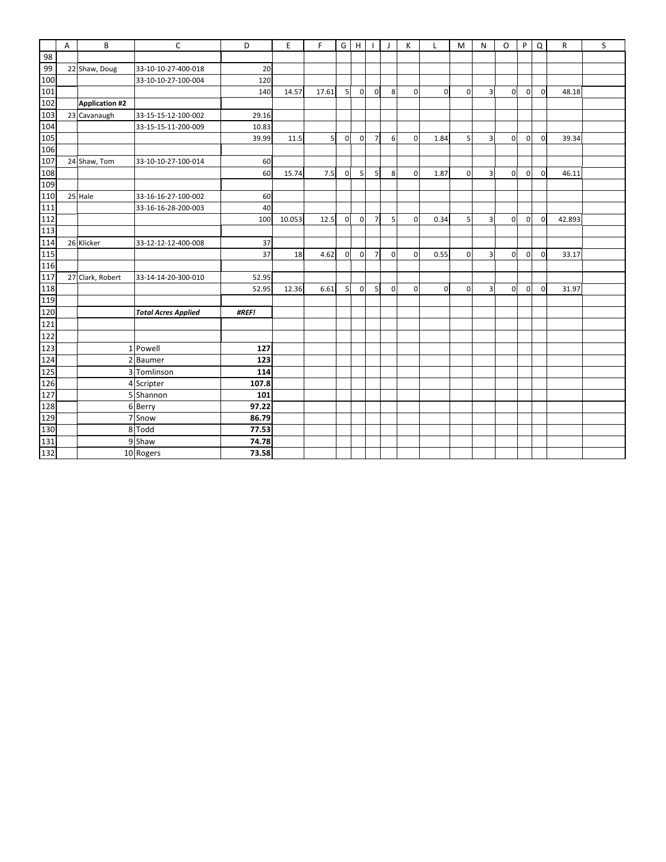|                  | Α | B                     | $\mathsf{C}$               | D     | E      | F              | G              | H              |                | J            | К           | L              | M              | N              | $\Omega$       | P              | Q              | R      | $\sf S$ |
|------------------|---|-----------------------|----------------------------|-------|--------|----------------|----------------|----------------|----------------|--------------|-------------|----------------|----------------|----------------|----------------|----------------|----------------|--------|---------|
| 98               |   |                       |                            |       |        |                |                |                |                |              |             |                |                |                |                |                |                |        |         |
| 99               |   | 22 Shaw, Doug         | 33-10-10-27-400-018        | 20    |        |                |                |                |                |              |             |                |                |                |                |                |                |        |         |
| 100              |   |                       | 33-10-10-27-100-004        | 120   |        |                |                |                |                |              |             |                |                |                |                |                |                |        |         |
| 101              |   |                       |                            | 140   | 14.57  | 17.61          | 5 <sub>l</sub> | $\overline{0}$ | $\overline{0}$ | 8            | $\mathbf 0$ | $\overline{0}$ | $\Omega$       | $\overline{3}$ | $\overline{0}$ | $\overline{0}$ | $\mathbf{0}$   | 48.18  |         |
| 102              |   | <b>Application #2</b> |                            |       |        |                |                |                |                |              |             |                |                |                |                |                |                |        |         |
| 103              |   | 23 Cavanaugh          | 33-15-15-12-100-002        | 29.16 |        |                |                |                |                |              |             |                |                |                |                |                |                |        |         |
| 104              |   |                       | 33-15-15-11-200-009        | 10.83 |        |                |                |                |                |              |             |                |                |                |                |                |                |        |         |
| 105              |   |                       |                            | 39.99 | 11.5   | 5 <sup>1</sup> | $\overline{0}$ | $\mathbf 0$    | $\overline{7}$ | 6            | $\mathbf 0$ | 1.84           | 5 <sup>1</sup> | $\overline{3}$ | $\mathbf 0$    | $\overline{0}$ | $\overline{0}$ | 39.34  |         |
| 106              |   |                       |                            |       |        |                |                |                |                |              |             |                |                |                |                |                |                |        |         |
| 107              |   | 24 Shaw, Tom          | 33-10-10-27-100-014        | 60    |        |                |                |                |                |              |             |                |                |                |                |                |                |        |         |
| 108              |   |                       |                            | 60    | 15.74  | 7.5            | $\mathbf{0}$   | 5 <sup>1</sup> | 5              | 8            | $\mathbf 0$ | 1.87           | $\overline{0}$ | $\overline{3}$ | $\overline{0}$ | $\overline{0}$ | $\mathbf{0}$   | 46.11  |         |
| 109              |   |                       |                            |       |        |                |                |                |                |              |             |                |                |                |                |                |                |        |         |
| 110              |   | 25 Hale               | 33-16-16-27-100-002        | 60    |        |                |                |                |                |              |             |                |                |                |                |                |                |        |         |
| $\overline{111}$ |   |                       | 33-16-16-28-200-003        | 40    |        |                |                |                |                |              |             |                |                |                |                |                |                |        |         |
| 112              |   |                       |                            | 100   | 10.053 | 12.5           | $\mathbf{0}$   | $\overline{0}$ | $\overline{7}$ | 5            | $\mathbf 0$ | 0.34           | 5              | $\overline{3}$ | $\overline{0}$ | $\overline{0}$ | $\overline{0}$ | 42.893 |         |
| 113              |   |                       |                            |       |        |                |                |                |                |              |             |                |                |                |                |                |                |        |         |
| 114              |   | 26 Klicker            | 33-12-12-12-400-008        | 37    |        |                |                |                |                |              |             |                |                |                |                |                |                |        |         |
| 115              |   |                       |                            | 37    | 18     | 4.62           | $\overline{0}$ | $\overline{0}$ | $\overline{7}$ | $\mathbf{0}$ | $\mathbf 0$ | 0.55           | $\Omega$       | $\overline{3}$ | $\overline{0}$ | $\Omega$       | $\overline{0}$ | 33.17  |         |
| 116              |   |                       |                            |       |        |                |                |                |                |              |             |                |                |                |                |                |                |        |         |
| 117              |   | 27 Clark, Robert      | 33-14-14-20-300-010        | 52.95 |        |                |                |                |                |              |             |                |                |                |                |                |                |        |         |
| 118              |   |                       |                            | 52.95 | 12.36  | 6.61           | 5 <sub>l</sub> | $\overline{0}$ | 5              | $\mathbf{0}$ | $\mathbf 0$ | $\overline{0}$ | $\Omega$       | $\overline{3}$ | $\overline{0}$ | $\overline{0}$ | $\overline{0}$ | 31.97  |         |
| 119              |   |                       |                            |       |        |                |                |                |                |              |             |                |                |                |                |                |                |        |         |
| 120              |   |                       | <b>Total Acres Applied</b> | #REF! |        |                |                |                |                |              |             |                |                |                |                |                |                |        |         |
| 121              |   |                       |                            |       |        |                |                |                |                |              |             |                |                |                |                |                |                |        |         |
| $122$            |   |                       |                            |       |        |                |                |                |                |              |             |                |                |                |                |                |                |        |         |
| 123              |   |                       | 1 Powell                   | 127   |        |                |                |                |                |              |             |                |                |                |                |                |                |        |         |
| 124              |   | $\overline{a}$        | <b>Baumer</b>              | 123   |        |                |                |                |                |              |             |                |                |                |                |                |                |        |         |
| 125              |   | 3                     | Tomlinson                  | 114   |        |                |                |                |                |              |             |                |                |                |                |                |                |        |         |
| 126              |   |                       | 4 Scripter                 | 107.8 |        |                |                |                |                |              |             |                |                |                |                |                |                |        |         |
| 127              |   |                       | 5 Shannon                  | 101   |        |                |                |                |                |              |             |                |                |                |                |                |                |        |         |
| 128              |   |                       | 6 Berry                    | 97.22 |        |                |                |                |                |              |             |                |                |                |                |                |                |        |         |
| 129              |   | 7                     | Snow                       | 86.79 |        |                |                |                |                |              |             |                |                |                |                |                |                |        |         |
| 130              |   |                       | 8 Todd                     | 77.53 |        |                |                |                |                |              |             |                |                |                |                |                |                |        |         |
| 131              |   |                       | 9 Shaw                     | 74.78 |        |                |                |                |                |              |             |                |                |                |                |                |                |        |         |
| 132              |   |                       | 10 Rogers                  | 73.58 |        |                |                |                |                |              |             |                |                |                |                |                |                |        |         |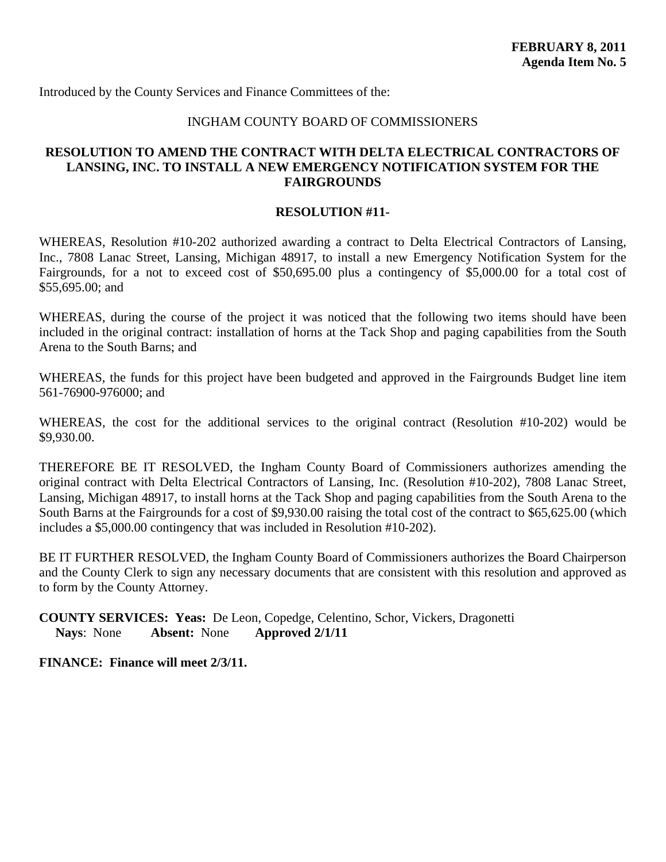<span id="page-45-0"></span>Introduced by the County Services and Finance Committees of the:

#### INGHAM COUNTY BOARD OF COMMISSIONERS

## **RESOLUTION TO AMEND THE CONTRACT WITH DELTA ELECTRICAL CONTRACTORS OF LANSING, INC. TO INSTALL A NEW EMERGENCY NOTIFICATION SYSTEM FOR THE FAIRGROUNDS**

#### **RESOLUTION #11-**

WHEREAS, Resolution #10-202 authorized awarding a contract to Delta Electrical Contractors of Lansing, Inc., 7808 Lanac Street, Lansing, Michigan 48917, to install a new Emergency Notification System for the Fairgrounds, for a not to exceed cost of \$50,695.00 plus a contingency of \$5,000.00 for a total cost of \$55,695.00; and

WHEREAS, during the course of the project it was noticed that the following two items should have been included in the original contract: installation of horns at the Tack Shop and paging capabilities from the South Arena to the South Barns; and

WHEREAS, the funds for this project have been budgeted and approved in the Fairgrounds Budget line item 561-76900-976000; and

WHEREAS, the cost for the additional services to the original contract (Resolution #10-202) would be \$9,930.00.

THEREFORE BE IT RESOLVED, the Ingham County Board of Commissioners authorizes amending the original contract with Delta Electrical Contractors of Lansing, Inc. (Resolution #10-202), 7808 Lanac Street, Lansing, Michigan 48917, to install horns at the Tack Shop and paging capabilities from the South Arena to the South Barns at the Fairgrounds for a cost of \$9,930.00 raising the total cost of the contract to \$65,625.00 (which includes a \$5,000.00 contingency that was included in Resolution #10-202).

BE IT FURTHER RESOLVED, the Ingham County Board of Commissioners authorizes the Board Chairperson and the County Clerk to sign any necessary documents that are consistent with this resolution and approved as to form by the County Attorney.

**COUNTY SERVICES: Yeas:** De Leon, Copedge, Celentino, Schor, Vickers, Dragonetti **Nays**: None **Absent:** None **Approved 2/1/11**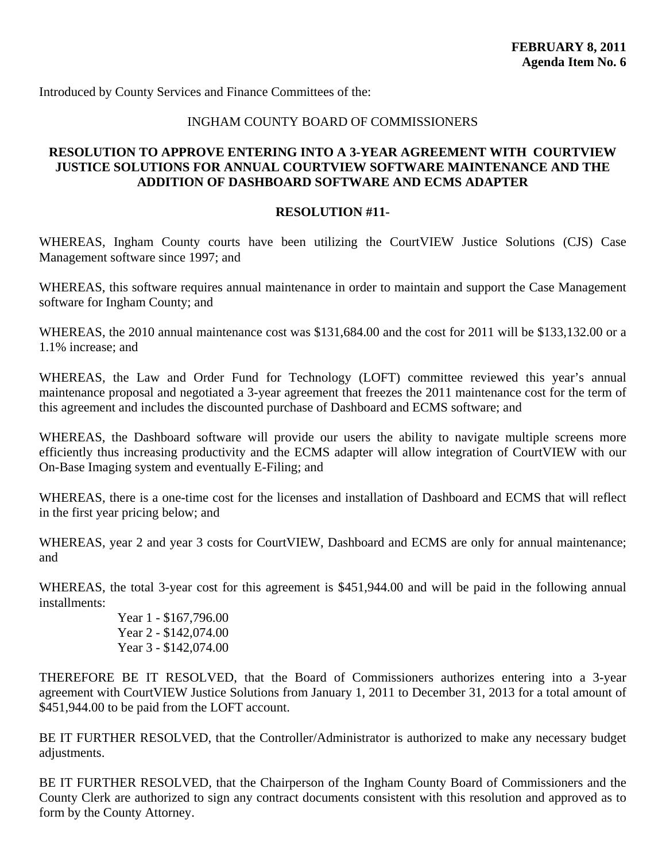<span id="page-46-0"></span>Introduced by County Services and Finance Committees of the:

## INGHAM COUNTY BOARD OF COMMISSIONERS

## **RESOLUTION TO APPROVE ENTERING INTO A 3-YEAR AGREEMENT WITH COURTVIEW JUSTICE SOLUTIONS FOR ANNUAL COURTVIEW SOFTWARE MAINTENANCE AND THE ADDITION OF DASHBOARD SOFTWARE AND ECMS ADAPTER**

#### **RESOLUTION #11-**

WHEREAS, Ingham County courts have been utilizing the CourtVIEW Justice Solutions (CJS) Case Management software since 1997; and

WHEREAS, this software requires annual maintenance in order to maintain and support the Case Management software for Ingham County; and

WHEREAS, the 2010 annual maintenance cost was \$131,684.00 and the cost for 2011 will be \$133,132.00 or a 1.1% increase; and

WHEREAS, the Law and Order Fund for Technology (LOFT) committee reviewed this year's annual maintenance proposal and negotiated a 3-year agreement that freezes the 2011 maintenance cost for the term of this agreement and includes the discounted purchase of Dashboard and ECMS software; and

WHEREAS, the Dashboard software will provide our users the ability to navigate multiple screens more efficiently thus increasing productivity and the ECMS adapter will allow integration of CourtVIEW with our On-Base Imaging system and eventually E-Filing; and

WHEREAS, there is a one-time cost for the licenses and installation of Dashboard and ECMS that will reflect in the first year pricing below; and

WHEREAS, year 2 and year 3 costs for CourtVIEW, Dashboard and ECMS are only for annual maintenance; and

WHEREAS, the total 3-year cost for this agreement is \$451,944.00 and will be paid in the following annual installments:

> Year 1 - \$167,796.00 Year 2 - \$142,074.00 Year 3 - \$142,074.00

THEREFORE BE IT RESOLVED, that the Board of Commissioners authorizes entering into a 3-year agreement with CourtVIEW Justice Solutions from January 1, 2011 to December 31, 2013 for a total amount of \$451,944.00 to be paid from the LOFT account.

BE IT FURTHER RESOLVED, that the Controller/Administrator is authorized to make any necessary budget adjustments.

BE IT FURTHER RESOLVED, that the Chairperson of the Ingham County Board of Commissioners and the County Clerk are authorized to sign any contract documents consistent with this resolution and approved as to form by the County Attorney.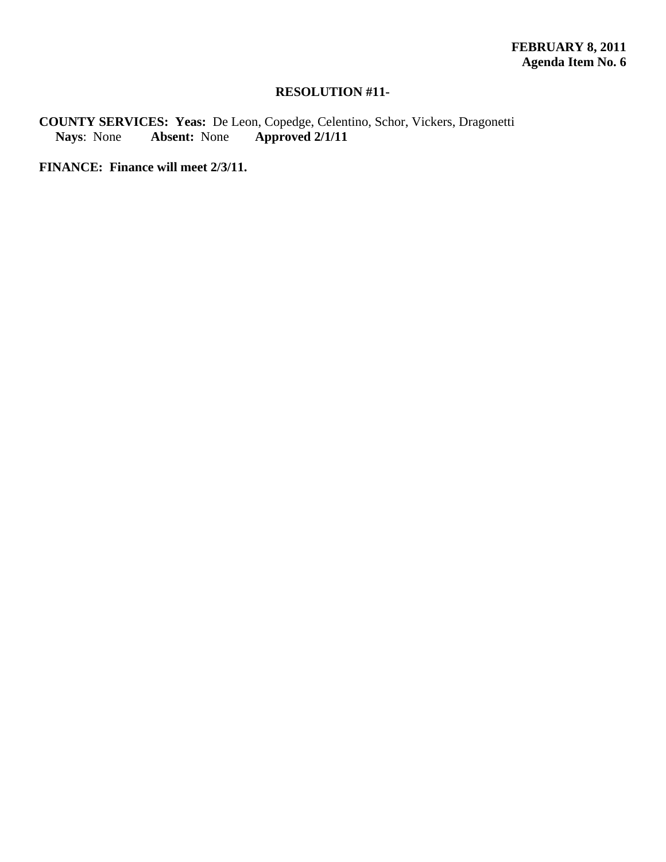## **RESOLUTION #11-**

**COUNTY SERVICES: Yeas:** De Leon, Copedge, Celentino, Schor, Vickers, Dragonetti **Nays**: None **Absent:** None **Approved 2/1/11**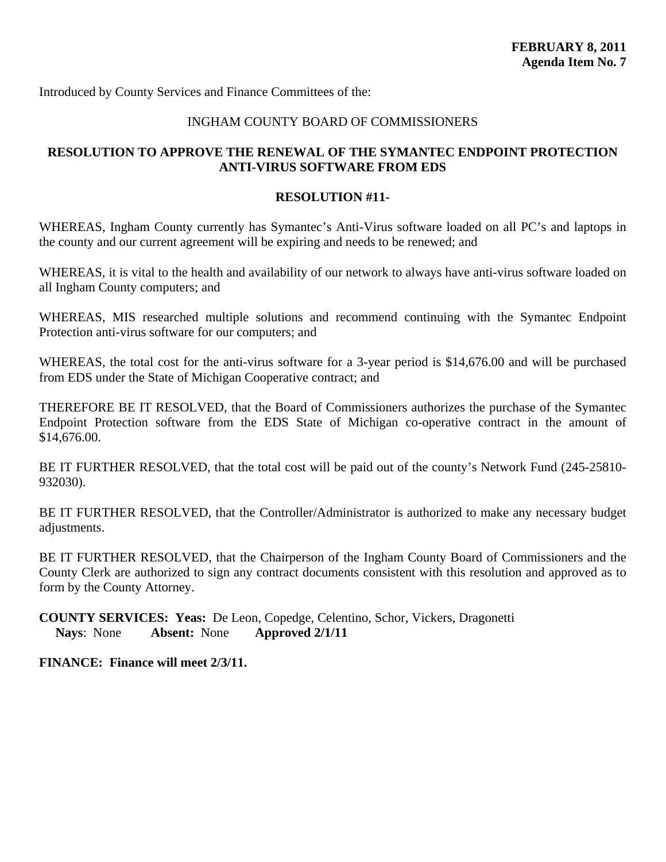<span id="page-48-0"></span>Introduced by County Services and Finance Committees of the:

## INGHAM COUNTY BOARD OF COMMISSIONERS

## **RESOLUTION TO APPROVE THE RENEWAL OF THE SYMANTEC ENDPOINT PROTECTION ANTI-VIRUS SOFTWARE FROM EDS**

#### **RESOLUTION #11-**

WHEREAS, Ingham County currently has Symantec's Anti-Virus software loaded on all PC's and laptops in the county and our current agreement will be expiring and needs to be renewed; and

WHEREAS, it is vital to the health and availability of our network to always have anti-virus software loaded on all Ingham County computers; and

WHEREAS, MIS researched multiple solutions and recommend continuing with the Symantec Endpoint Protection anti-virus software for our computers; and

WHEREAS, the total cost for the anti-virus software for a 3-year period is \$14,676.00 and will be purchased from EDS under the State of Michigan Cooperative contract; and

THEREFORE BE IT RESOLVED, that the Board of Commissioners authorizes the purchase of the Symantec Endpoint Protection software from the EDS State of Michigan co-operative contract in the amount of \$14,676.00.

BE IT FURTHER RESOLVED, that the total cost will be paid out of the county's Network Fund (245-25810-932030).

BE IT FURTHER RESOLVED, that the Controller/Administrator is authorized to make any necessary budget adjustments.

BE IT FURTHER RESOLVED, that the Chairperson of the Ingham County Board of Commissioners and the County Clerk are authorized to sign any contract documents consistent with this resolution and approved as to form by the County Attorney.

**COUNTY SERVICES: Yeas:** De Leon, Copedge, Celentino, Schor, Vickers, Dragonetti **Nays**: None **Absent:** None **Approved 2/1/11**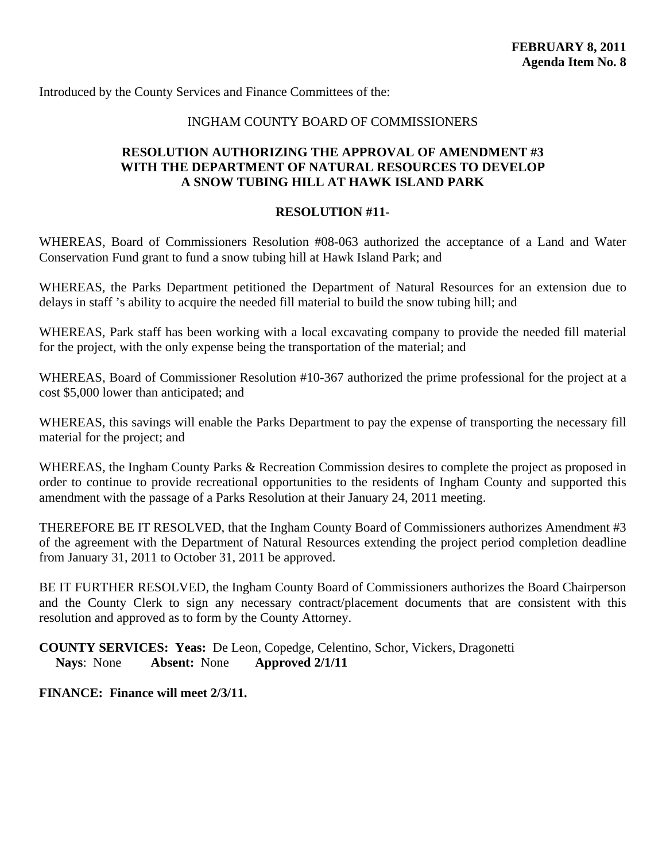<span id="page-49-0"></span>Introduced by the County Services and Finance Committees of the:

#### INGHAM COUNTY BOARD OF COMMISSIONERS

## **RESOLUTION AUTHORIZING THE APPROVAL OF AMENDMENT #3 WITH THE DEPARTMENT OF NATURAL RESOURCES TO DEVELOP A SNOW TUBING HILL AT HAWK ISLAND PARK**

#### **RESOLUTION #11-**

WHEREAS, Board of Commissioners Resolution #08-063 authorized the acceptance of a Land and Water Conservation Fund grant to fund a snow tubing hill at Hawk Island Park; and

WHEREAS, the Parks Department petitioned the Department of Natural Resources for an extension due to delays in staff 's ability to acquire the needed fill material to build the snow tubing hill; and

WHEREAS, Park staff has been working with a local excavating company to provide the needed fill material for the project, with the only expense being the transportation of the material; and

WHEREAS, Board of Commissioner Resolution #10-367 authorized the prime professional for the project at a cost \$5,000 lower than anticipated; and

WHEREAS, this savings will enable the Parks Department to pay the expense of transporting the necessary fill material for the project; and

WHEREAS, the Ingham County Parks & Recreation Commission desires to complete the project as proposed in order to continue to provide recreational opportunities to the residents of Ingham County and supported this amendment with the passage of a Parks Resolution at their January 24, 2011 meeting.

THEREFORE BE IT RESOLVED, that the Ingham County Board of Commissioners authorizes Amendment #3 of the agreement with the Department of Natural Resources extending the project period completion deadline from January 31, 2011 to October 31, 2011 be approved.

BE IT FURTHER RESOLVED, the Ingham County Board of Commissioners authorizes the Board Chairperson and the County Clerk to sign any necessary contract/placement documents that are consistent with this resolution and approved as to form by the County Attorney.

**COUNTY SERVICES: Yeas:** De Leon, Copedge, Celentino, Schor, Vickers, Dragonetti **Nays**: None **Absent:** None **Approved 2/1/11**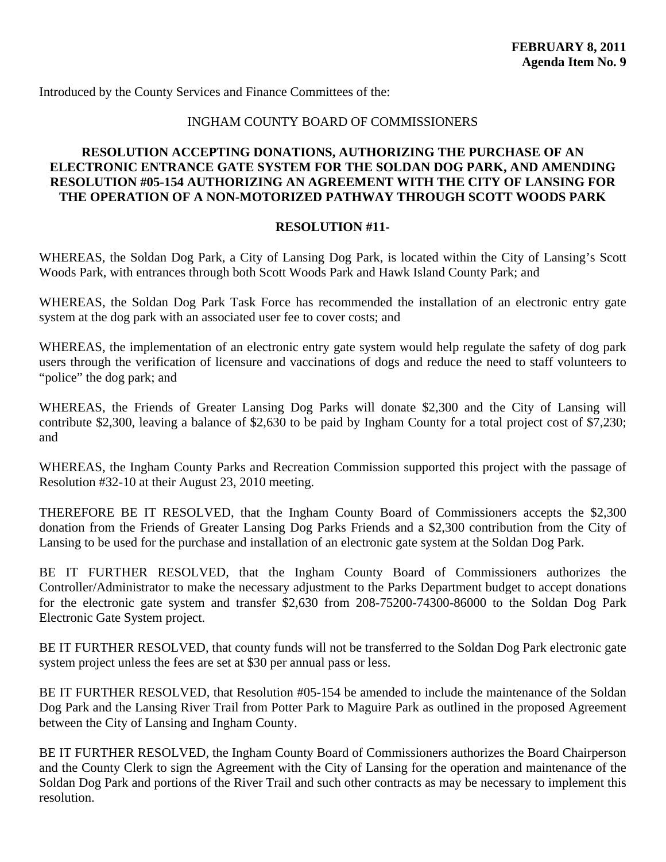<span id="page-50-0"></span>Introduced by the County Services and Finance Committees of the:

## INGHAM COUNTY BOARD OF COMMISSIONERS

## **RESOLUTION ACCEPTING DONATIONS, AUTHORIZING THE PURCHASE OF AN ELECTRONIC ENTRANCE GATE SYSTEM FOR THE SOLDAN DOG PARK, AND AMENDING RESOLUTION #05-154 AUTHORIZING AN AGREEMENT WITH THE CITY OF LANSING FOR THE OPERATION OF A NON-MOTORIZED PATHWAY THROUGH SCOTT WOODS PARK**

#### **RESOLUTION #11-**

WHEREAS, the Soldan Dog Park, a City of Lansing Dog Park, is located within the City of Lansing's Scott Woods Park, with entrances through both Scott Woods Park and Hawk Island County Park; and

WHEREAS, the Soldan Dog Park Task Force has recommended the installation of an electronic entry gate system at the dog park with an associated user fee to cover costs; and

WHEREAS, the implementation of an electronic entry gate system would help regulate the safety of dog park users through the verification of licensure and vaccinations of dogs and reduce the need to staff volunteers to "police" the dog park; and

WHEREAS, the Friends of Greater Lansing Dog Parks will donate \$2,300 and the City of Lansing will contribute \$2,300, leaving a balance of \$2,630 to be paid by Ingham County for a total project cost of \$7,230; and

WHEREAS, the Ingham County Parks and Recreation Commission supported this project with the passage of Resolution #32-10 at their August 23, 2010 meeting.

THEREFORE BE IT RESOLVED, that the Ingham County Board of Commissioners accepts the \$2,300 donation from the Friends of Greater Lansing Dog Parks Friends and a \$2,300 contribution from the City of Lansing to be used for the purchase and installation of an electronic gate system at the Soldan Dog Park.

BE IT FURTHER RESOLVED, that the Ingham County Board of Commissioners authorizes the Controller/Administrator to make the necessary adjustment to the Parks Department budget to accept donations for the electronic gate system and transfer \$2,630 from 208-75200-74300-86000 to the Soldan Dog Park Electronic Gate System project.

BE IT FURTHER RESOLVED, that county funds will not be transferred to the Soldan Dog Park electronic gate system project unless the fees are set at \$30 per annual pass or less.

BE IT FURTHER RESOLVED, that Resolution #05-154 be amended to include the maintenance of the Soldan Dog Park and the Lansing River Trail from Potter Park to Maguire Park as outlined in the proposed Agreement between the City of Lansing and Ingham County.

BE IT FURTHER RESOLVED, the Ingham County Board of Commissioners authorizes the Board Chairperson and the County Clerk to sign the Agreement with the City of Lansing for the operation and maintenance of the Soldan Dog Park and portions of the River Trail and such other contracts as may be necessary to implement this resolution.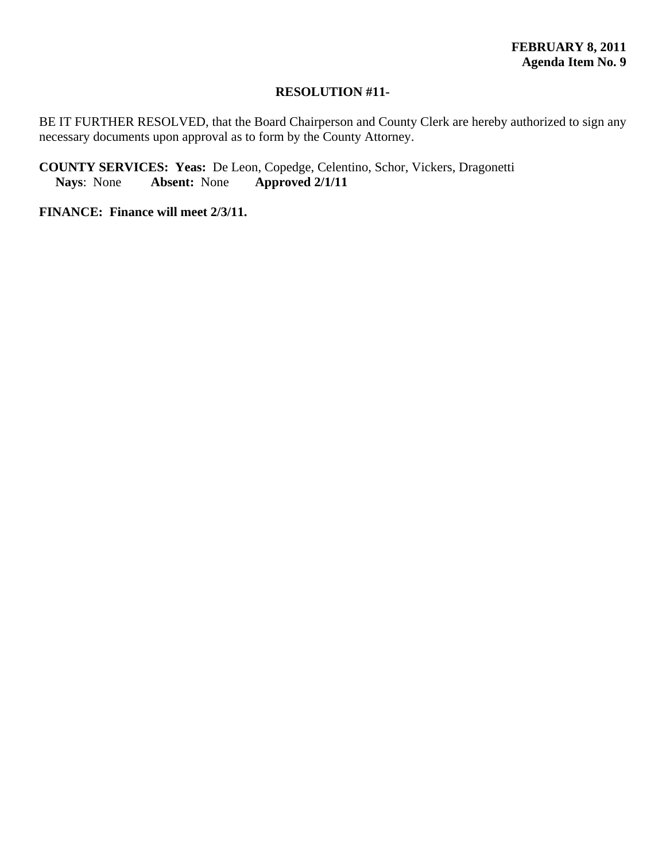#### **RESOLUTION #11-**

BE IT FURTHER RESOLVED, that the Board Chairperson and County Clerk are hereby authorized to sign any necessary documents upon approval as to form by the County Attorney.

**COUNTY SERVICES: Yeas:** De Leon, Copedge, Celentino, Schor, Vickers, Dragonetti<br>Nays: None **Absent:** None **Approved 2/1/11 Nays**: None **Absent:** None **Approved 2/1/11**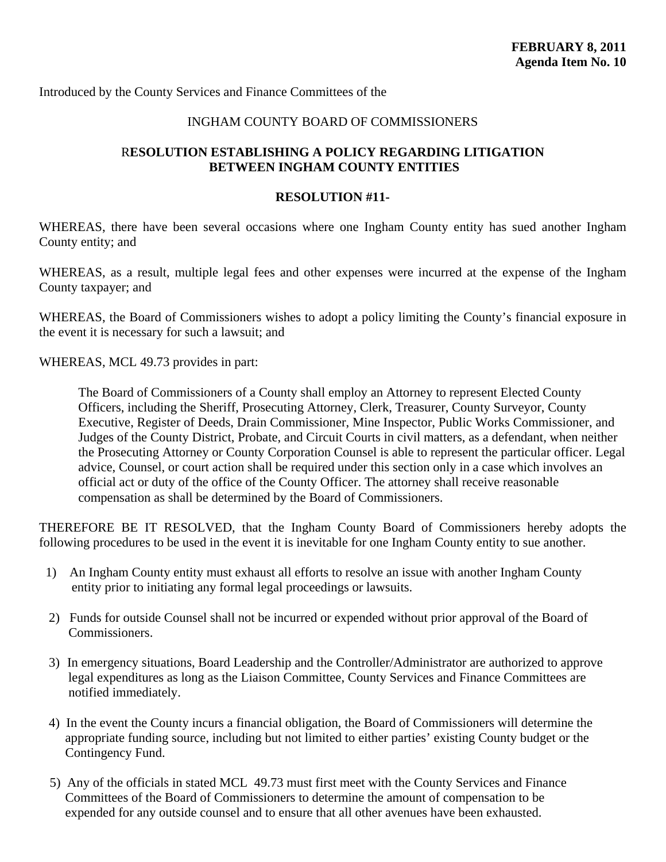<span id="page-52-0"></span>Introduced by the County Services and Finance Committees of the

## INGHAM COUNTY BOARD OF COMMISSIONERS

## R**ESOLUTION ESTABLISHING A POLICY REGARDING LITIGATION BETWEEN INGHAM COUNTY ENTITIES**

#### **RESOLUTION #11-**

WHEREAS, there have been several occasions where one Ingham County entity has sued another Ingham County entity; and

WHEREAS, as a result, multiple legal fees and other expenses were incurred at the expense of the Ingham County taxpayer; and

WHEREAS, the Board of Commissioners wishes to adopt a policy limiting the County's financial exposure in the event it is necessary for such a lawsuit; and

WHEREAS, MCL 49.73 provides in part:

The Board of Commissioners of a County shall employ an Attorney to represent Elected County Officers, including the Sheriff, Prosecuting Attorney, Clerk, Treasurer, County Surveyor, County Executive, Register of Deeds, Drain Commissioner, Mine Inspector, Public Works Commissioner, and Judges of the County District, Probate, and Circuit Courts in civil matters, as a defendant, when neither the Prosecuting Attorney or County Corporation Counsel is able to represent the particular officer. Legal advice, Counsel, or court action shall be required under this section only in a case which involves an official act or duty of the office of the County Officer. The attorney shall receive reasonable compensation as shall be determined by the Board of Commissioners.

THEREFORE BE IT RESOLVED, that the Ingham County Board of Commissioners hereby adopts the following procedures to be used in the event it is inevitable for one Ingham County entity to sue another.

- 1) An Ingham County entity must exhaust all efforts to resolve an issue with another Ingham County entity prior to initiating any formal legal proceedings or lawsuits.
- 2) Funds for outside Counsel shall not be incurred or expended without prior approval of the Board of Commissioners.
- 3) In emergency situations, Board Leadership and the Controller/Administrator are authorized to approve legal expenditures as long as the Liaison Committee, County Services and Finance Committees are notified immediately.
- 4) In the event the County incurs a financial obligation, the Board of Commissioners will determine the appropriate funding source, including but not limited to either parties' existing County budget or the Contingency Fund.
- 5) Any of the officials in stated MCL 49.73 must first meet with the County Services and Finance Committees of the Board of Commissioners to determine the amount of compensation to be expended for any outside counsel and to ensure that all other avenues have been exhausted.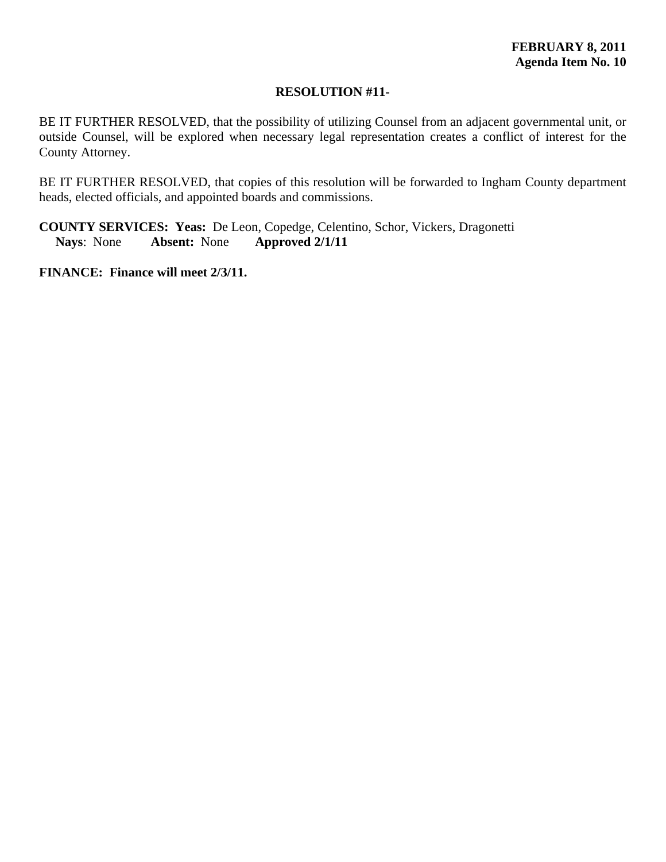## **RESOLUTION #11-**

BE IT FURTHER RESOLVED, that the possibility of utilizing Counsel from an adjacent governmental unit, or outside Counsel, will be explored when necessary legal representation creates a conflict of interest for the County Attorney.

BE IT FURTHER RESOLVED, that copies of this resolution will be forwarded to Ingham County department heads, elected officials, and appointed boards and commissions.

**COUNTY SERVICES: Yeas:** De Leon, Copedge, Celentino, Schor, Vickers, Dragonetti **Nays**: None **Absent:** None **Approved 2/1/11**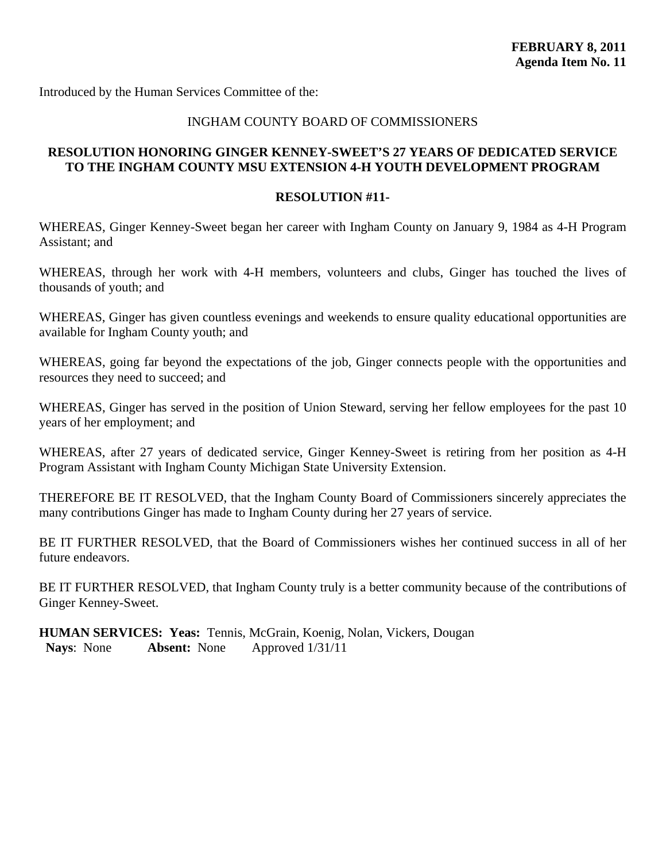<span id="page-54-0"></span>Introduced by the Human Services Committee of the:

#### INGHAM COUNTY BOARD OF COMMISSIONERS

## **RESOLUTION HONORING GINGER KENNEY-SWEET'S 27 YEARS OF DEDICATED SERVICE TO THE INGHAM COUNTY MSU EXTENSION 4-H YOUTH DEVELOPMENT PROGRAM**

#### **RESOLUTION #11-**

WHEREAS, Ginger Kenney-Sweet began her career with Ingham County on January 9, 1984 as 4-H Program Assistant; and

WHEREAS, through her work with 4-H members, volunteers and clubs, Ginger has touched the lives of thousands of youth; and

WHEREAS, Ginger has given countless evenings and weekends to ensure quality educational opportunities are available for Ingham County youth; and

WHEREAS, going far beyond the expectations of the job, Ginger connects people with the opportunities and resources they need to succeed; and

WHEREAS, Ginger has served in the position of Union Steward, serving her fellow employees for the past 10 years of her employment; and

WHEREAS, after 27 years of dedicated service, Ginger Kenney-Sweet is retiring from her position as 4-H Program Assistant with Ingham County Michigan State University Extension.

THEREFORE BE IT RESOLVED, that the Ingham County Board of Commissioners sincerely appreciates the many contributions Ginger has made to Ingham County during her 27 years of service.

BE IT FURTHER RESOLVED, that the Board of Commissioners wishes her continued success in all of her future endeavors.

BE IT FURTHER RESOLVED, that Ingham County truly is a better community because of the contributions of Ginger Kenney-Sweet.

**HUMAN SERVICES: Yeas:** Tennis, McGrain, Koenig, Nolan, Vickers, Dougan  **Nays**: None **Absent:** None Approved 1/31/11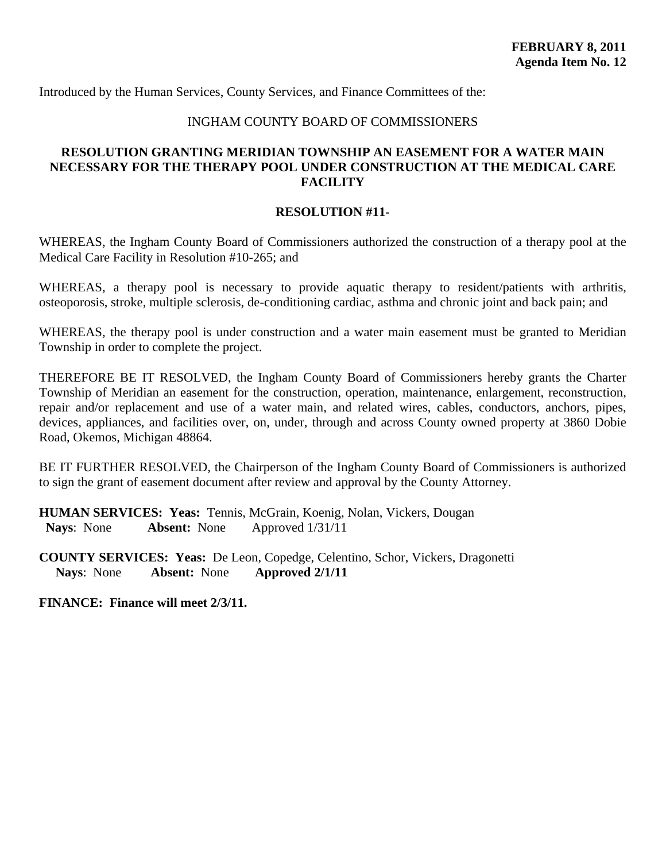<span id="page-55-0"></span>Introduced by the Human Services, County Services, and Finance Committees of the:

## INGHAM COUNTY BOARD OF COMMISSIONERS

## **RESOLUTION GRANTING MERIDIAN TOWNSHIP AN EASEMENT FOR A WATER MAIN NECESSARY FOR THE THERAPY POOL UNDER CONSTRUCTION AT THE MEDICAL CARE FACILITY**

#### **RESOLUTION #11-**

WHEREAS, the Ingham County Board of Commissioners authorized the construction of a therapy pool at the Medical Care Facility in Resolution #10-265; and

WHEREAS, a therapy pool is necessary to provide aquatic therapy to resident/patients with arthritis, osteoporosis, stroke, multiple sclerosis, de-conditioning cardiac, asthma and chronic joint and back pain; and

WHEREAS, the therapy pool is under construction and a water main easement must be granted to Meridian Township in order to complete the project.

THEREFORE BE IT RESOLVED, the Ingham County Board of Commissioners hereby grants the Charter Township of Meridian an easement for the construction, operation, maintenance, enlargement, reconstruction, repair and/or replacement and use of a water main, and related wires, cables, conductors, anchors, pipes, devices, appliances, and facilities over, on, under, through and across County owned property at 3860 Dobie Road, Okemos, Michigan 48864.

BE IT FURTHER RESOLVED, the Chairperson of the Ingham County Board of Commissioners is authorized to sign the grant of easement document after review and approval by the County Attorney.

**HUMAN SERVICES: Yeas:** Tennis, McGrain, Koenig, Nolan, Vickers, Dougan  **Nays**: None **Absent:** None Approved 1/31/11

**COUNTY SERVICES: Yeas:** De Leon, Copedge, Celentino, Schor, Vickers, Dragonetti **Nays**: None **Absent:** None **Approved 2/1/11**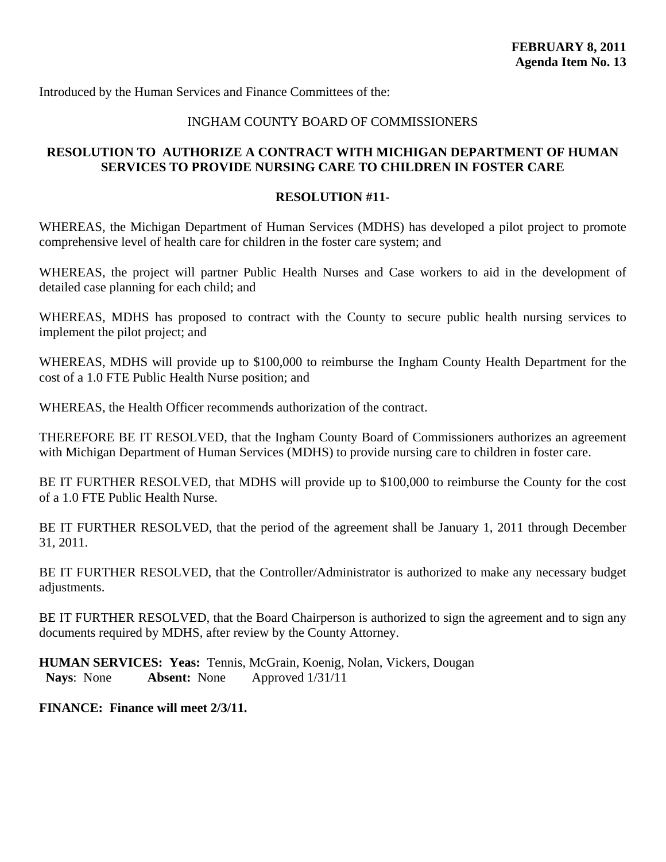<span id="page-56-0"></span>Introduced by the Human Services and Finance Committees of the:

## INGHAM COUNTY BOARD OF COMMISSIONERS

## **RESOLUTION TO AUTHORIZE A CONTRACT WITH MICHIGAN DEPARTMENT OF HUMAN SERVICES TO PROVIDE NURSING CARE TO CHILDREN IN FOSTER CARE**

#### **RESOLUTION #11-**

WHEREAS, the Michigan Department of Human Services (MDHS) has developed a pilot project to promote comprehensive level of health care for children in the foster care system; and

WHEREAS, the project will partner Public Health Nurses and Case workers to aid in the development of detailed case planning for each child; and

WHEREAS, MDHS has proposed to contract with the County to secure public health nursing services to implement the pilot project; and

WHEREAS, MDHS will provide up to \$100,000 to reimburse the Ingham County Health Department for the cost of a 1.0 FTE Public Health Nurse position; and

WHEREAS, the Health Officer recommends authorization of the contract.

THEREFORE BE IT RESOLVED, that the Ingham County Board of Commissioners authorizes an agreement with Michigan Department of Human Services (MDHS) to provide nursing care to children in foster care.

BE IT FURTHER RESOLVED, that MDHS will provide up to \$100,000 to reimburse the County for the cost of a 1.0 FTE Public Health Nurse.

BE IT FURTHER RESOLVED, that the period of the agreement shall be January 1, 2011 through December 31, 2011.

BE IT FURTHER RESOLVED, that the Controller/Administrator is authorized to make any necessary budget adjustments.

BE IT FURTHER RESOLVED, that the Board Chairperson is authorized to sign the agreement and to sign any documents required by MDHS, after review by the County Attorney.

**HUMAN SERVICES: Yeas:** Tennis, McGrain, Koenig, Nolan, Vickers, Dougan  **Nays**: None **Absent:** None Approved 1/31/11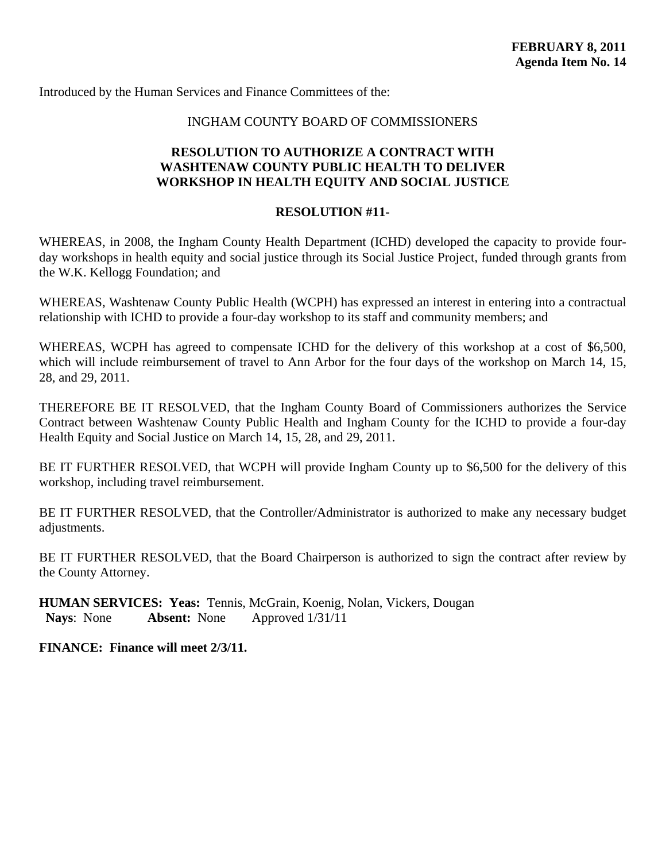<span id="page-57-0"></span>Introduced by the Human Services and Finance Committees of the:

#### INGHAM COUNTY BOARD OF COMMISSIONERS

## **RESOLUTION TO AUTHORIZE A CONTRACT WITH WASHTENAW COUNTY PUBLIC HEALTH TO DELIVER WORKSHOP IN HEALTH EQUITY AND SOCIAL JUSTICE**

## **RESOLUTION #11-**

WHEREAS, in 2008, the Ingham County Health Department (ICHD) developed the capacity to provide fourday workshops in health equity and social justice through its Social Justice Project, funded through grants from the W.K. Kellogg Foundation; and

WHEREAS, Washtenaw County Public Health (WCPH) has expressed an interest in entering into a contractual relationship with ICHD to provide a four-day workshop to its staff and community members; and

WHEREAS, WCPH has agreed to compensate ICHD for the delivery of this workshop at a cost of \$6,500, which will include reimbursement of travel to Ann Arbor for the four days of the workshop on March 14, 15, 28, and 29, 2011.

THEREFORE BE IT RESOLVED, that the Ingham County Board of Commissioners authorizes the Service Contract between Washtenaw County Public Health and Ingham County for the ICHD to provide a four-day Health Equity and Social Justice on March 14, 15, 28, and 29, 2011.

BE IT FURTHER RESOLVED, that WCPH will provide Ingham County up to \$6,500 for the delivery of this workshop, including travel reimbursement.

BE IT FURTHER RESOLVED, that the Controller/Administrator is authorized to make any necessary budget adjustments.

BE IT FURTHER RESOLVED, that the Board Chairperson is authorized to sign the contract after review by the County Attorney.

**HUMAN SERVICES: Yeas:** Tennis, McGrain, Koenig, Nolan, Vickers, Dougan  **Nays**: None **Absent:** None Approved 1/31/11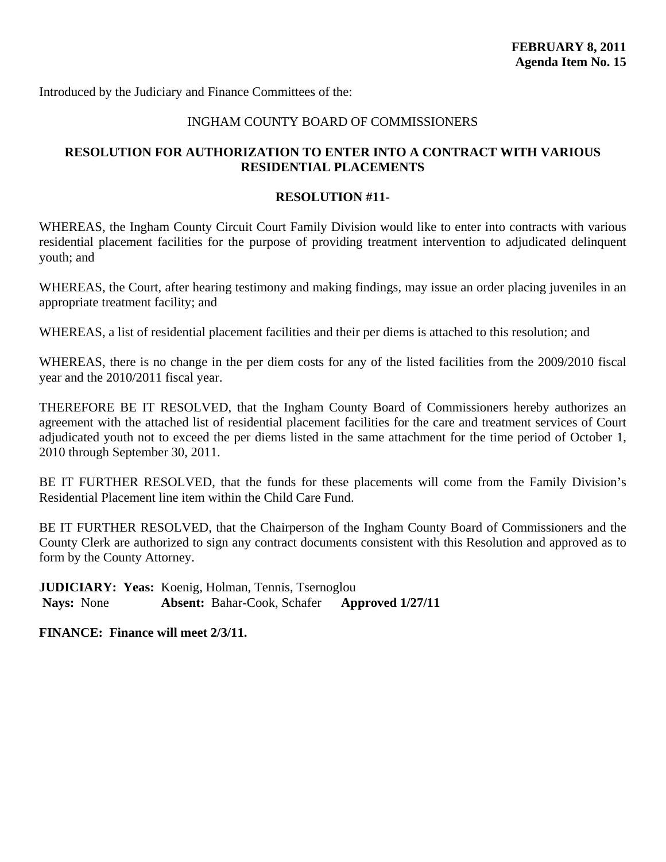<span id="page-58-0"></span>Introduced by the Judiciary and Finance Committees of the:

## INGHAM COUNTY BOARD OF COMMISSIONERS

## **RESOLUTION FOR AUTHORIZATION TO ENTER INTO A CONTRACT WITH VARIOUS RESIDENTIAL PLACEMENTS**

#### **RESOLUTION #11-**

WHEREAS, the Ingham County Circuit Court Family Division would like to enter into contracts with various residential placement facilities for the purpose of providing treatment intervention to adjudicated delinquent youth; and

WHEREAS, the Court, after hearing testimony and making findings, may issue an order placing juveniles in an appropriate treatment facility; and

WHEREAS, a list of residential placement facilities and their per diems is attached to this resolution; and

WHEREAS, there is no change in the per diem costs for any of the listed facilities from the 2009/2010 fiscal year and the 2010/2011 fiscal year.

THEREFORE BE IT RESOLVED, that the Ingham County Board of Commissioners hereby authorizes an agreement with the attached list of residential placement facilities for the care and treatment services of Court adjudicated youth not to exceed the per diems listed in the same attachment for the time period of October 1, 2010 through September 30, 2011.

BE IT FURTHER RESOLVED, that the funds for these placements will come from the Family Division's Residential Placement line item within the Child Care Fund.

BE IT FURTHER RESOLVED, that the Chairperson of the Ingham County Board of Commissioners and the County Clerk are authorized to sign any contract documents consistent with this Resolution and approved as to form by the County Attorney.

**JUDICIARY: Yeas:** Koenig, Holman, Tennis, Tsernoglou  **Nays:** None **Absent:** Bahar-Cook, Schafer **Approved 1/27/11**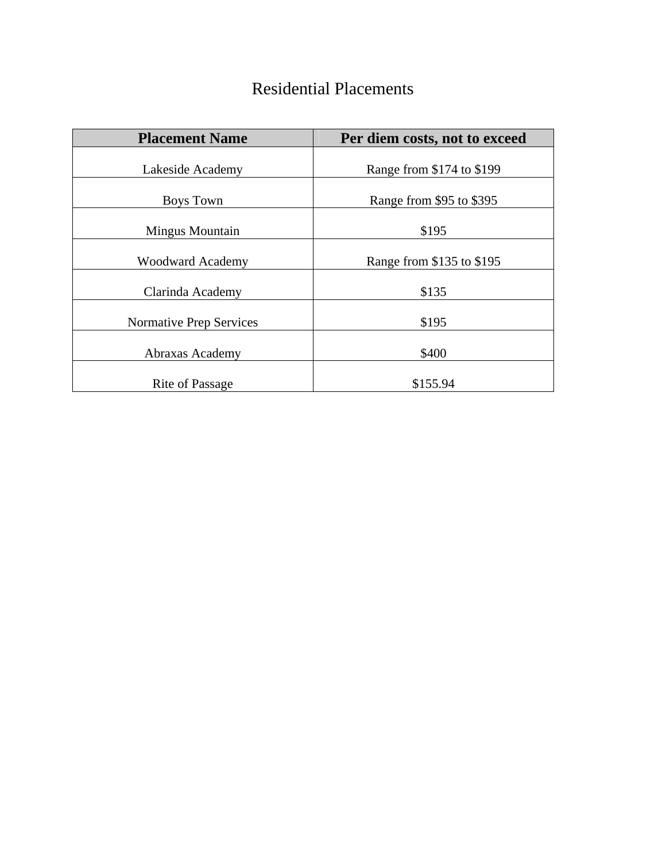# Residential Placements

| <b>Placement Name</b>          | Per diem costs, not to exceed |
|--------------------------------|-------------------------------|
| Lakeside Academy               | Range from \$174 to \$199     |
| <b>Boys Town</b>               | Range from \$95 to \$395      |
| <b>Mingus Mountain</b>         | \$195                         |
| <b>Woodward Academy</b>        | Range from \$135 to \$195     |
| Clarinda Academy               | \$135                         |
| <b>Normative Prep Services</b> | \$195                         |
| Abraxas Academy                | \$400                         |
| <b>Rite of Passage</b>         | \$155.94                      |